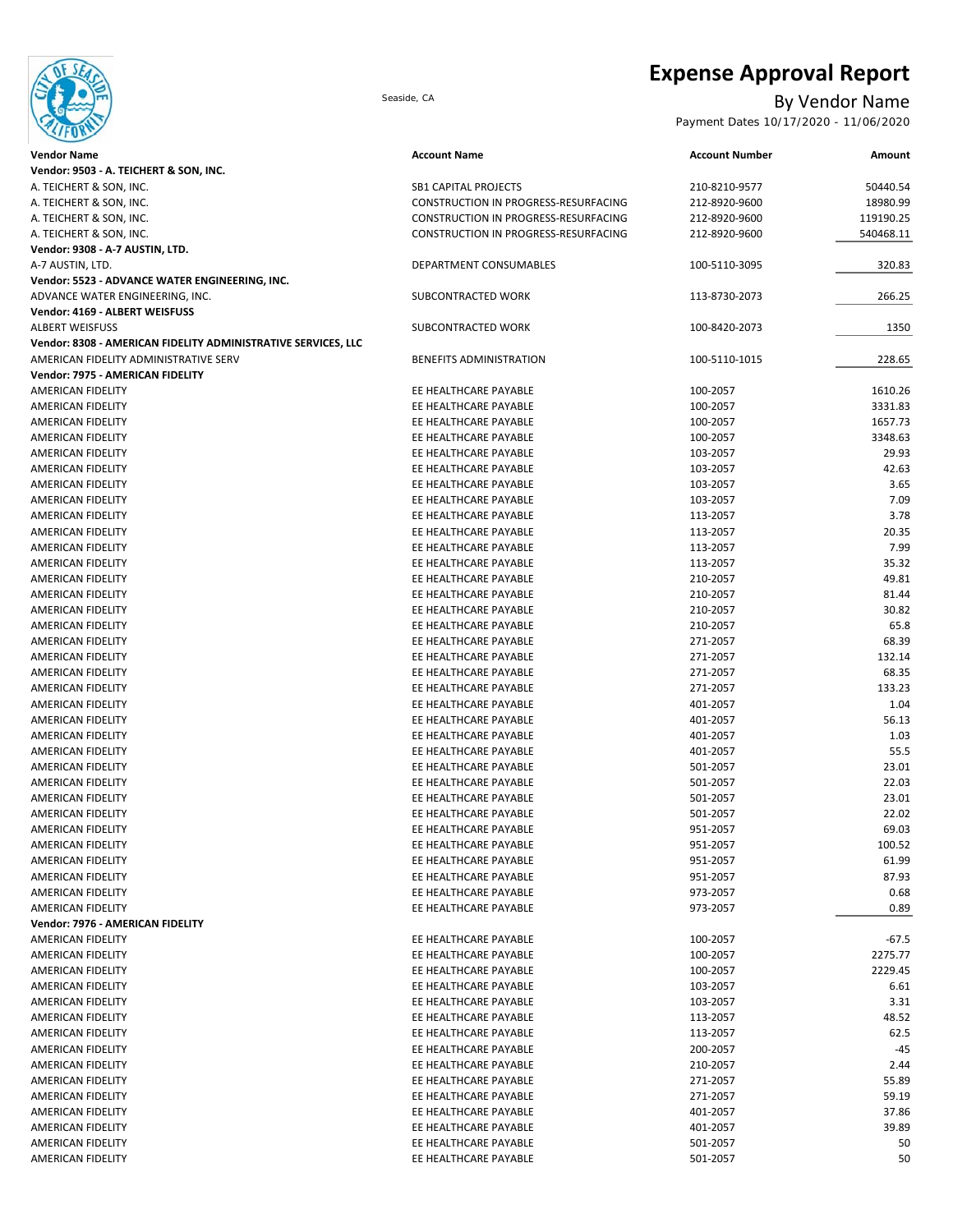

# **Expense Approval Report**

## Seaside, CA By Vendor Name

Payment Dates 10/17/2020 - 11/06/2020

| <b>Vendor Name</b>                                            | <b>Account Name</b>                  | <b>Account Number</b> | Amount    |
|---------------------------------------------------------------|--------------------------------------|-----------------------|-----------|
| Vendor: 9503 - A. TEICHERT & SON, INC.                        |                                      |                       |           |
| A. TEICHERT & SON, INC.                                       | <b>SB1 CAPITAL PROJECTS</b>          | 210-8210-9577         | 50440.54  |
| A. TEICHERT & SON, INC.                                       | CONSTRUCTION IN PROGRESS-RESURFACING | 212-8920-9600         | 18980.99  |
| A. TEICHERT & SON, INC.                                       | CONSTRUCTION IN PROGRESS-RESURFACING | 212-8920-9600         | 119190.25 |
| A. TEICHERT & SON, INC.                                       | CONSTRUCTION IN PROGRESS-RESURFACING | 212-8920-9600         | 540468.11 |
| Vendor: 9308 - A-7 AUSTIN, LTD.                               |                                      |                       |           |
| A-7 AUSTIN, LTD.                                              | DEPARTMENT CONSUMABLES               | 100-5110-3095         | 320.83    |
| Vendor: 5523 - ADVANCE WATER ENGINEERING, INC.                |                                      |                       |           |
| ADVANCE WATER ENGINEERING, INC.                               | SUBCONTRACTED WORK                   | 113-8730-2073         | 266.25    |
| Vendor: 4169 - ALBERT WEISFUSS                                |                                      |                       |           |
| <b>ALBERT WEISFUSS</b>                                        | SUBCONTRACTED WORK                   | 100-8420-2073         | 1350      |
| Vendor: 8308 - AMERICAN FIDELITY ADMINISTRATIVE SERVICES, LLC |                                      |                       |           |
| AMERICAN FIDELITY ADMINISTRATIVE SERV                         | <b>BENEFITS ADMINISTRATION</b>       | 100-5110-1015         | 228.65    |
| Vendor: 7975 - AMERICAN FIDELITY                              |                                      |                       |           |
| AMERICAN FIDELITY                                             | EE HEALTHCARE PAYABLE                | 100-2057              | 1610.26   |
| AMERICAN FIDELITY                                             | EE HEALTHCARE PAYABLE                | 100-2057              | 3331.83   |
| AMERICAN FIDELITY                                             | EE HEALTHCARE PAYABLE                | 100-2057              | 1657.73   |
| AMERICAN FIDELITY                                             | EE HEALTHCARE PAYABLE                | 100-2057              | 3348.63   |
| AMERICAN FIDELITY                                             | EE HEALTHCARE PAYABLE                | 103-2057              | 29.93     |
| AMERICAN FIDELITY                                             | EE HEALTHCARE PAYABLE                | 103-2057              | 42.63     |
| AMERICAN FIDELITY                                             | EE HEALTHCARE PAYABLE                | 103-2057              | 3.65      |
| AMERICAN FIDELITY                                             | EE HEALTHCARE PAYABLE                | 103-2057              | 7.09      |
| AMERICAN FIDELITY                                             | EE HEALTHCARE PAYABLE                | 113-2057              | 3.78      |
| AMERICAN FIDELITY                                             | EE HEALTHCARE PAYABLE                | 113-2057              | 20.35     |
| AMERICAN FIDELITY                                             | EE HEALTHCARE PAYABLE                | 113-2057              | 7.99      |
| AMERICAN FIDELITY                                             | EE HEALTHCARE PAYABLE                | 113-2057              | 35.32     |
| <b>AMERICAN FIDELITY</b>                                      | EE HEALTHCARE PAYABLE                | 210-2057              | 49.81     |
| AMERICAN FIDELITY                                             | EE HEALTHCARE PAYABLE                | 210-2057              | 81.44     |
| AMERICAN FIDELITY                                             | EE HEALTHCARE PAYABLE                | 210-2057              | 30.82     |
| AMERICAN FIDELITY                                             | EE HEALTHCARE PAYABLE                | 210-2057              | 65.8      |
| AMERICAN FIDELITY                                             | EE HEALTHCARE PAYABLE                | 271-2057              | 68.39     |
| AMERICAN FIDELITY                                             | EE HEALTHCARE PAYABLE                | 271-2057              | 132.14    |
| AMERICAN FIDELITY                                             | EE HEALTHCARE PAYABLE                | 271-2057              | 68.35     |
| AMERICAN FIDELITY                                             | EE HEALTHCARE PAYABLE                | 271-2057              | 133.23    |
| AMERICAN FIDELITY                                             | EE HEALTHCARE PAYABLE                | 401-2057              | 1.04      |
| AMERICAN FIDELITY                                             | EE HEALTHCARE PAYABLE                | 401-2057              | 56.13     |
| AMERICAN FIDELITY                                             | EE HEALTHCARE PAYABLE                | 401-2057              | 1.03      |
| AMERICAN FIDELITY                                             | EE HEALTHCARE PAYABLE                | 401-2057              | 55.5      |
| AMERICAN FIDELITY                                             | EE HEALTHCARE PAYABLE                | 501-2057              | 23.01     |
| AMERICAN FIDELITY                                             | EE HEALTHCARE PAYABLE                | 501-2057              | 22.03     |
| AMERICAN FIDELITY                                             | EE HEALTHCARE PAYABLE                | 501-2057              | 23.01     |
| <b>AMERICAN FIDELITY</b>                                      | EE HEALTHCARE PAYABLE                | 501-2057              | 22.02     |
| AMERICAN FIDELITY                                             | EE HEALTHCARE PAYABLE                | 951-2057              | 69.03     |
| AMERICAN FIDELITY                                             | EE HEALTHCARE PAYABLE                | 951-2057              | 100.52    |
| AMERICAN FIDELITY                                             | EE HEALTHCARE PAYABLE                | 951-2057              | 61.99     |
| AMERICAN FIDELITY                                             | EE HEALTHCARE PAYABLE                | 951-2057              | 87.93     |
| AMERICAN FIDELITY                                             | EE HEALTHCARE PAYABLE                | 973-2057              | 0.68      |
| AMERICAN FIDELITY                                             | EE HEALTHCARE PAYABLE                | 973-2057              | 0.89      |
| Vendor: 7976 - AMERICAN FIDELITY                              |                                      |                       |           |
| AMERICAN FIDELITY                                             | EE HEALTHCARE PAYABLE                | 100-2057              | $-67.5$   |
| AMERICAN FIDELITY                                             | EE HEALTHCARE PAYABLE                | 100-2057              | 2275.77   |
| AMERICAN FIDELITY                                             | EE HEALTHCARE PAYABLE                | 100-2057              | 2229.45   |
| AMERICAN FIDELITY                                             | EE HEALTHCARE PAYABLE                | 103-2057              | 6.61      |
| AMERICAN FIDELITY                                             | EE HEALTHCARE PAYABLE                | 103-2057              | 3.31      |
| AMERICAN FIDELITY                                             | EE HEALTHCARE PAYABLE                | 113-2057              | 48.52     |
| AMERICAN FIDELITY                                             | EE HEALTHCARE PAYABLE                | 113-2057              | 62.5      |
| AMERICAN FIDELITY                                             | EE HEALTHCARE PAYABLE                | 200-2057              | -45       |
| AMERICAN FIDELITY                                             | EE HEALTHCARE PAYABLE                | 210-2057              | 2.44      |
| AMERICAN FIDELITY                                             | EE HEALTHCARE PAYABLE                | 271-2057              | 55.89     |
| AMERICAN FIDELITY                                             | EE HEALTHCARE PAYABLE                | 271-2057              | 59.19     |
| AMERICAN FIDELITY                                             | EE HEALTHCARE PAYABLE                | 401-2057              | 37.86     |
| AMERICAN FIDELITY                                             | EE HEALTHCARE PAYABLE                | 401-2057              | 39.89     |
| AMERICAN FIDELITY                                             | EE HEALTHCARE PAYABLE                | 501-2057              | 50        |
| AMERICAN FIDELITY                                             | EE HEALTHCARE PAYABLE                | 501-2057              | 50        |
|                                                               |                                      |                       |           |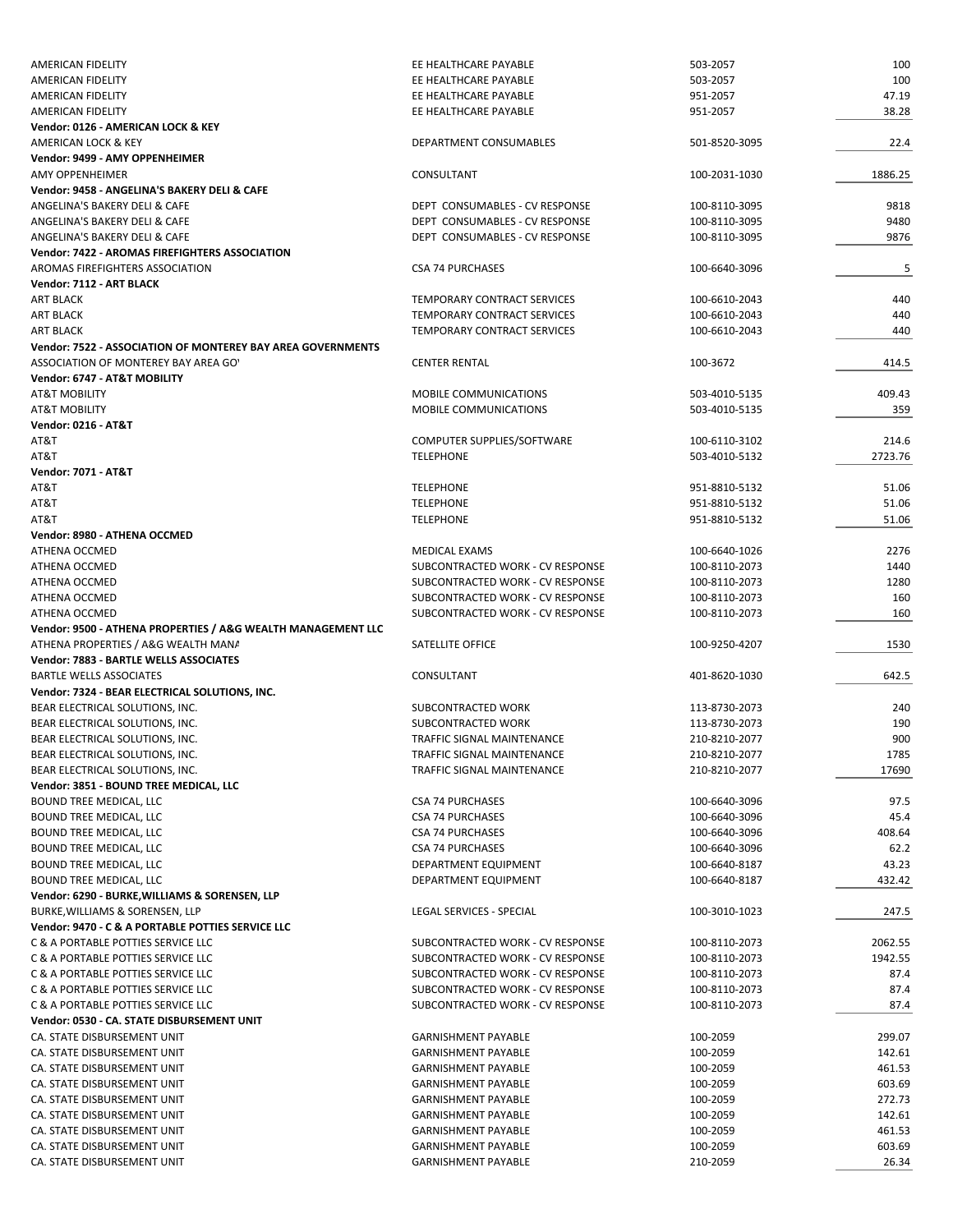| <b>AMERICAN FIDELITY</b>                                     | EE HEALTHCARE PAYABLE            | 503-2057      | 100     |
|--------------------------------------------------------------|----------------------------------|---------------|---------|
| AMERICAN FIDELITY                                            | EE HEALTHCARE PAYABLE            | 503-2057      | 100     |
| AMERICAN FIDELITY                                            | EE HEALTHCARE PAYABLE            | 951-2057      | 47.19   |
|                                                              |                                  |               |         |
| <b>AMERICAN FIDELITY</b>                                     | EE HEALTHCARE PAYABLE            | 951-2057      | 38.28   |
| Vendor: 0126 - AMERICAN LOCK & KEY                           |                                  |               |         |
| AMERICAN LOCK & KEY                                          | DEPARTMENT CONSUMABLES           | 501-8520-3095 | 22.4    |
| Vendor: 9499 - AMY OPPENHEIMER                               |                                  |               |         |
| <b>AMY OPPENHEIMER</b>                                       | CONSULTANT                       | 100-2031-1030 | 1886.25 |
| Vendor: 9458 - ANGELINA'S BAKERY DELI & CAFE                 |                                  |               |         |
|                                                              |                                  |               |         |
| ANGELINA'S BAKERY DELI & CAFE                                | DEPT CONSUMABLES - CV RESPONSE   | 100-8110-3095 | 9818    |
| ANGELINA'S BAKERY DELI & CAFE                                | DEPT CONSUMABLES - CV RESPONSE   | 100-8110-3095 | 9480    |
| ANGELINA'S BAKERY DELI & CAFE                                | DEPT CONSUMABLES - CV RESPONSE   | 100-8110-3095 | 9876    |
| Vendor: 7422 - AROMAS FIREFIGHTERS ASSOCIATION               |                                  |               |         |
| AROMAS FIREFIGHTERS ASSOCIATION                              | <b>CSA 74 PURCHASES</b>          | 100-6640-3096 | 5       |
|                                                              |                                  |               |         |
| Vendor: 7112 - ART BLACK                                     |                                  |               |         |
| <b>ART BLACK</b>                                             | TEMPORARY CONTRACT SERVICES      | 100-6610-2043 | 440     |
| <b>ART BLACK</b>                                             | TEMPORARY CONTRACT SERVICES      | 100-6610-2043 | 440     |
| <b>ART BLACK</b>                                             | TEMPORARY CONTRACT SERVICES      | 100-6610-2043 | 440     |
| Vendor: 7522 - ASSOCIATION OF MONTEREY BAY AREA GOVERNMENTS  |                                  |               |         |
| ASSOCIATION OF MONTEREY BAY AREA GO'                         | <b>CENTER RENTAL</b>             | 100-3672      | 414.5   |
|                                                              |                                  |               |         |
| Vendor: 6747 - AT&T MOBILITY                                 |                                  |               |         |
| <b>AT&amp;T MOBILITY</b>                                     | MOBILE COMMUNICATIONS            | 503-4010-5135 | 409.43  |
| <b>AT&amp;T MOBILITY</b>                                     | <b>MOBILE COMMUNICATIONS</b>     | 503-4010-5135 | 359     |
| <b>Vendor: 0216 - AT&amp;T</b>                               |                                  |               |         |
| AT&T                                                         | COMPUTER SUPPLIES/SOFTWARE       | 100-6110-3102 | 214.6   |
|                                                              |                                  |               | 2723.76 |
| AT&T                                                         | <b>TELEPHONE</b>                 | 503-4010-5132 |         |
| <b>Vendor: 7071 - AT&amp;T</b>                               |                                  |               |         |
| AT&T                                                         | <b>TELEPHONE</b>                 | 951-8810-5132 | 51.06   |
| AT&T                                                         | <b>TELEPHONE</b>                 | 951-8810-5132 | 51.06   |
| AT&T                                                         | <b>TELEPHONE</b>                 | 951-8810-5132 | 51.06   |
| Vendor: 8980 - ATHENA OCCMED                                 |                                  |               |         |
|                                                              |                                  |               |         |
| ATHENA OCCMED                                                | MEDICAL EXAMS                    | 100-6640-1026 | 2276    |
| ATHENA OCCMED                                                | SUBCONTRACTED WORK - CV RESPONSE | 100-8110-2073 | 1440    |
| ATHENA OCCMED                                                | SUBCONTRACTED WORK - CV RESPONSE | 100-8110-2073 | 1280    |
| ATHENA OCCMED                                                | SUBCONTRACTED WORK - CV RESPONSE | 100-8110-2073 | 160     |
| ATHENA OCCMED                                                | SUBCONTRACTED WORK - CV RESPONSE | 100-8110-2073 | 160     |
|                                                              |                                  |               |         |
| Vendor: 9500 - ATHENA PROPERTIES / A&G WEALTH MANAGEMENT LLC |                                  |               |         |
| ATHENA PROPERTIES / A&G WEALTH MANA                          | SATELLITE OFFICE                 | 100-9250-4207 | 1530    |
| Vendor: 7883 - BARTLE WELLS ASSOCIATES                       |                                  |               |         |
| <b>BARTLE WELLS ASSOCIATES</b>                               | CONSULTANT                       | 401-8620-1030 | 642.5   |
| Vendor: 7324 - BEAR ELECTRICAL SOLUTIONS, INC.               |                                  |               |         |
| BEAR ELECTRICAL SOLUTIONS, INC.                              | SUBCONTRACTED WORK               | 113-8730-2073 | 240     |
|                                                              |                                  |               |         |
| BEAR ELECTRICAL SOLUTIONS, INC.                              | SUBCONTRACTED WORK               | 113-8730-2073 | 190     |
| BEAR ELECTRICAL SOLUTIONS, INC.                              | TRAFFIC SIGNAL MAINTENANCE       | 210-8210-2077 | 900     |
| BEAR ELECTRICAL SOLUTIONS. INC.                              | TRAFFIC SIGNAL MAINTENANCE       | 210-8210-2077 | 1785    |
| BEAR ELECTRICAL SOLUTIONS, INC.                              | TRAFFIC SIGNAL MAINTENANCE       | 210-8210-2077 | 17690   |
| Vendor: 3851 - BOUND TREE MEDICAL, LLC                       |                                  |               |         |
|                                                              |                                  |               |         |
| BOUND TREE MEDICAL, LLC                                      | <b>CSA 74 PURCHASES</b>          | 100-6640-3096 | 97.5    |
| BOUND TREE MEDICAL, LLC                                      | <b>CSA 74 PURCHASES</b>          | 100-6640-3096 | 45.4    |
| BOUND TREE MEDICAL, LLC                                      | <b>CSA 74 PURCHASES</b>          | 100-6640-3096 | 408.64  |
| BOUND TREE MEDICAL, LLC                                      | <b>CSA 74 PURCHASES</b>          | 100-6640-3096 | 62.2    |
| BOUND TREE MEDICAL, LLC                                      | DEPARTMENT EQUIPMENT             | 100-6640-8187 | 43.23   |
| BOUND TREE MEDICAL, LLC                                      | DEPARTMENT EQUIPMENT             | 100-6640-8187 | 432.42  |
|                                                              |                                  |               |         |
| Vendor: 6290 - BURKE, WILLIAMS & SORENSEN, LLP               |                                  |               |         |
| BURKE, WILLIAMS & SORENSEN, LLP                              | LEGAL SERVICES - SPECIAL         | 100-3010-1023 | 247.5   |
| Vendor: 9470 - C & A PORTABLE POTTIES SERVICE LLC            |                                  |               |         |
| C & A PORTABLE POTTIES SERVICE LLC                           | SUBCONTRACTED WORK - CV RESPONSE | 100-8110-2073 | 2062.55 |
| C & A PORTABLE POTTIES SERVICE LLC                           | SUBCONTRACTED WORK - CV RESPONSE |               |         |
|                                                              |                                  | 100-8110-2073 | 1942.55 |
| C & A PORTABLE POTTIES SERVICE LLC                           | SUBCONTRACTED WORK - CV RESPONSE | 100-8110-2073 | 87.4    |
| C & A PORTABLE POTTIES SERVICE LLC                           | SUBCONTRACTED WORK - CV RESPONSE | 100-8110-2073 | 87.4    |
| C & A PORTABLE POTTIES SERVICE LLC                           | SUBCONTRACTED WORK - CV RESPONSE | 100-8110-2073 | 87.4    |
| Vendor: 0530 - CA. STATE DISBURSEMENT UNIT                   |                                  |               |         |
| CA. STATE DISBURSEMENT UNIT                                  | <b>GARNISHMENT PAYABLE</b>       | 100-2059      | 299.07  |
|                                                              |                                  |               |         |
| CA. STATE DISBURSEMENT UNIT                                  | <b>GARNISHMENT PAYABLE</b>       | 100-2059      | 142.61  |
| CA. STATE DISBURSEMENT UNIT                                  | <b>GARNISHMENT PAYABLE</b>       | 100-2059      | 461.53  |
| CA. STATE DISBURSEMENT UNIT                                  | <b>GARNISHMENT PAYABLE</b>       | 100-2059      | 603.69  |
| CA. STATE DISBURSEMENT UNIT                                  | <b>GARNISHMENT PAYABLE</b>       | 100-2059      | 272.73  |
| CA. STATE DISBURSEMENT UNIT                                  | <b>GARNISHMENT PAYABLE</b>       | 100-2059      | 142.61  |
|                                                              |                                  |               |         |
| CA. STATE DISBURSEMENT UNIT                                  | <b>GARNISHMENT PAYABLE</b>       | 100-2059      | 461.53  |
| CA. STATE DISBURSEMENT UNIT                                  | <b>GARNISHMENT PAYABLE</b>       | 100-2059      | 603.69  |
| CA. STATE DISBURSEMENT UNIT                                  | <b>GARNISHMENT PAYABLE</b>       | 210-2059      | 26.34   |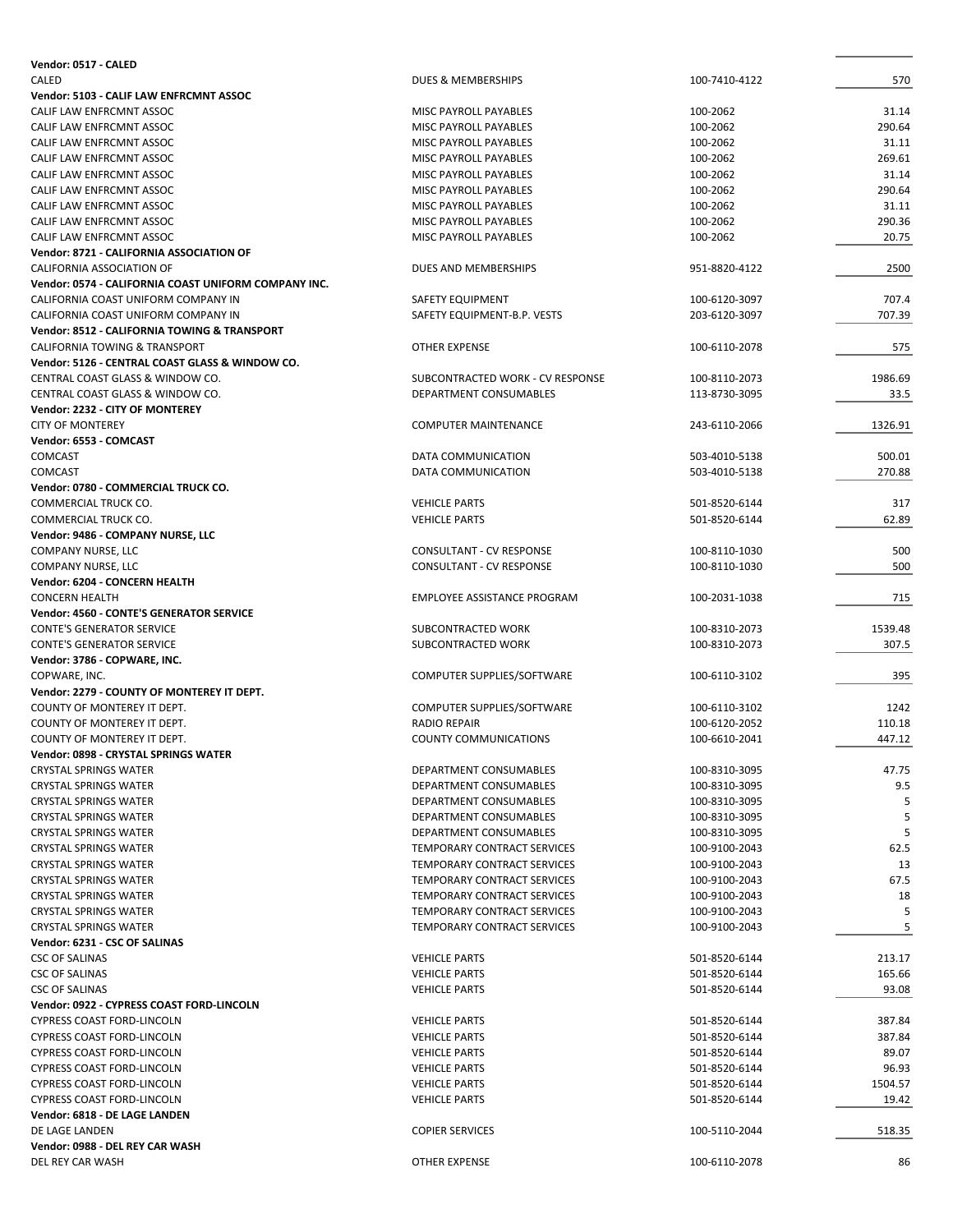| Vendor: 0517 - CALED                                                   |                                                       |                                |                  |
|------------------------------------------------------------------------|-------------------------------------------------------|--------------------------------|------------------|
| CALED                                                                  | DUES & MEMBERSHIPS                                    | 100-7410-4122                  | 570              |
| Vendor: 5103 - CALIF LAW ENFRCMNT ASSOC                                |                                                       |                                |                  |
| CALIF LAW ENFRCMNT ASSOC                                               | MISC PAYROLL PAYABLES                                 | 100-2062                       | 31.14            |
| CALIF LAW ENFRCMNT ASSOC                                               | MISC PAYROLL PAYABLES                                 | 100-2062                       | 290.64           |
| CALIF LAW ENFRCMNT ASSOC<br>CALIF LAW ENFRCMNT ASSOC                   | MISC PAYROLL PAYABLES<br><b>MISC PAYROLL PAYABLES</b> | 100-2062<br>100-2062           | 31.11<br>269.61  |
| CALIF LAW ENFRCMNT ASSOC                                               | MISC PAYROLL PAYABLES                                 | 100-2062                       | 31.14            |
| CALIF LAW ENFRCMNT ASSOC                                               | MISC PAYROLL PAYABLES                                 | 100-2062                       | 290.64           |
| CALIF LAW ENFRCMNT ASSOC                                               | MISC PAYROLL PAYABLES                                 | 100-2062                       | 31.11            |
| CALIF LAW ENFRCMNT ASSOC                                               | MISC PAYROLL PAYABLES                                 | 100-2062                       | 290.36           |
| CALIF LAW ENFRCMNT ASSOC                                               | MISC PAYROLL PAYABLES                                 | 100-2062                       | 20.75            |
| Vendor: 8721 - CALIFORNIA ASSOCIATION OF                               |                                                       |                                |                  |
| CALIFORNIA ASSOCIATION OF                                              | DUES AND MEMBERSHIPS                                  | 951-8820-4122                  | 2500             |
| Vendor: 0574 - CALIFORNIA COAST UNIFORM COMPANY INC.                   |                                                       |                                |                  |
| CALIFORNIA COAST UNIFORM COMPANY IN                                    | SAFETY EQUIPMENT                                      | 100-6120-3097                  | 707.4            |
| CALIFORNIA COAST UNIFORM COMPANY IN                                    | SAFETY EQUIPMENT-B.P. VESTS                           | 203-6120-3097                  | 707.39           |
| Vendor: 8512 - CALIFORNIA TOWING & TRANSPORT                           |                                                       |                                |                  |
| CALIFORNIA TOWING & TRANSPORT                                          | OTHER EXPENSE                                         | 100-6110-2078                  | 575              |
| Vendor: 5126 - CENTRAL COAST GLASS & WINDOW CO.                        |                                                       |                                |                  |
| CENTRAL COAST GLASS & WINDOW CO.                                       | SUBCONTRACTED WORK - CV RESPONSE                      | 100-8110-2073                  | 1986.69          |
| CENTRAL COAST GLASS & WINDOW CO.                                       | DEPARTMENT CONSUMABLES                                | 113-8730-3095                  | 33.5             |
| Vendor: 2232 - CITY OF MONTEREY                                        |                                                       |                                |                  |
| <b>CITY OF MONTEREY</b>                                                | <b>COMPUTER MAINTENANCE</b>                           | 243-6110-2066                  | 1326.91          |
| Vendor: 6553 - COMCAST                                                 |                                                       |                                |                  |
| <b>COMCAST</b>                                                         | <b>DATA COMMUNICATION</b>                             | 503-4010-5138                  | 500.01           |
| <b>COMCAST</b>                                                         | DATA COMMUNICATION                                    | 503-4010-5138                  | 270.88           |
| Vendor: 0780 - COMMERCIAL TRUCK CO.                                    |                                                       |                                |                  |
| COMMERCIAL TRUCK CO.                                                   | <b>VEHICLE PARTS</b>                                  | 501-8520-6144                  | 317              |
| COMMERCIAL TRUCK CO.                                                   | <b>VEHICLE PARTS</b>                                  | 501-8520-6144                  | 62.89            |
| Vendor: 9486 - COMPANY NURSE, LLC                                      |                                                       |                                | 500              |
| COMPANY NURSE, LLC                                                     | <b>CONSULTANT - CV RESPONSE</b>                       | 100-8110-1030<br>100-8110-1030 | 500              |
| COMPANY NURSE, LLC<br>Vendor: 6204 - CONCERN HEALTH                    | CONSULTANT - CV RESPONSE                              |                                |                  |
| <b>CONCERN HEALTH</b>                                                  | <b>EMPLOYEE ASSISTANCE PROGRAM</b>                    | 100-2031-1038                  | 715              |
| Vendor: 4560 - CONTE'S GENERATOR SERVICE                               |                                                       |                                |                  |
| <b>CONTE'S GENERATOR SERVICE</b>                                       | SUBCONTRACTED WORK                                    | 100-8310-2073                  | 1539.48          |
| <b>CONTE'S GENERATOR SERVICE</b>                                       | SUBCONTRACTED WORK                                    | 100-8310-2073                  | 307.5            |
| Vendor: 3786 - COPWARE, INC.                                           |                                                       |                                |                  |
| COPWARE, INC.                                                          | COMPUTER SUPPLIES/SOFTWARE                            | 100-6110-3102                  | 395              |
| Vendor: 2279 - COUNTY OF MONTEREY IT DEPT.                             |                                                       |                                |                  |
| COUNTY OF MONTEREY IT DEPT.                                            | COMPUTER SUPPLIES/SOFTWARE                            | 100-6110-3102                  | 1242             |
| COUNTY OF MONTEREY IT DEPT.                                            | <b>RADIO REPAIR</b>                                   | 100-6120-2052                  | 110.18           |
| COUNTY OF MONTEREY IT DEPT.                                            | <b>COUNTY COMMUNICATIONS</b>                          | 100-6610-2041                  | 447.12           |
| Vendor: 0898 - CRYSTAL SPRINGS WATER                                   |                                                       |                                |                  |
| <b>CRYSTAL SPRINGS WATER</b>                                           | DEPARTMENT CONSUMABLES                                | 100-8310-3095                  | 47.75            |
| <b>CRYSTAL SPRINGS WATER</b>                                           | DEPARTMENT CONSUMABLES                                | 100-8310-3095                  | 9.5              |
| <b>CRYSTAL SPRINGS WATER</b>                                           | DEPARTMENT CONSUMABLES                                | 100-8310-3095                  |                  |
| <b>CRYSTAL SPRINGS WATER</b>                                           | DEPARTMENT CONSUMABLES                                | 100-8310-3095                  | 5                |
| <b>CRYSTAL SPRINGS WATER</b>                                           | DEPARTMENT CONSUMABLES                                | 100-8310-3095                  | 5                |
| <b>CRYSTAL SPRINGS WATER</b>                                           | TEMPORARY CONTRACT SERVICES                           | 100-9100-2043                  | 62.5             |
| <b>CRYSTAL SPRINGS WATER</b>                                           | TEMPORARY CONTRACT SERVICES                           | 100-9100-2043                  | 13               |
| <b>CRYSTAL SPRINGS WATER</b>                                           | TEMPORARY CONTRACT SERVICES                           | 100-9100-2043                  | 67.5             |
| <b>CRYSTAL SPRINGS WATER</b>                                           | TEMPORARY CONTRACT SERVICES                           | 100-9100-2043                  | 18               |
| <b>CRYSTAL SPRINGS WATER</b>                                           | TEMPORARY CONTRACT SERVICES                           | 100-9100-2043                  | 5                |
| <b>CRYSTAL SPRINGS WATER</b>                                           | TEMPORARY CONTRACT SERVICES                           | 100-9100-2043                  | 5                |
| Vendor: 6231 - CSC OF SALINAS                                          |                                                       |                                |                  |
| <b>CSC OF SALINAS</b>                                                  | <b>VEHICLE PARTS</b>                                  | 501-8520-6144                  | 213.17           |
| <b>CSC OF SALINAS</b>                                                  | <b>VEHICLE PARTS</b>                                  | 501-8520-6144                  | 165.66           |
| <b>CSC OF SALINAS</b>                                                  | <b>VEHICLE PARTS</b>                                  | 501-8520-6144                  | 93.08            |
| Vendor: 0922 - CYPRESS COAST FORD-LINCOLN                              |                                                       |                                |                  |
| <b>CYPRESS COAST FORD-LINCOLN</b>                                      | <b>VEHICLE PARTS</b>                                  | 501-8520-6144                  | 387.84           |
| <b>CYPRESS COAST FORD-LINCOLN</b><br><b>CYPRESS COAST FORD-LINCOLN</b> | <b>VEHICLE PARTS</b>                                  | 501-8520-6144                  | 387.84<br>89.07  |
| <b>CYPRESS COAST FORD-LINCOLN</b>                                      | <b>VEHICLE PARTS</b><br><b>VEHICLE PARTS</b>          | 501-8520-6144                  | 96.93            |
| <b>CYPRESS COAST FORD-LINCOLN</b>                                      |                                                       | 501-8520-6144                  |                  |
| <b>CYPRESS COAST FORD-LINCOLN</b>                                      | <b>VEHICLE PARTS</b><br><b>VEHICLE PARTS</b>          | 501-8520-6144<br>501-8520-6144 | 1504.57<br>19.42 |
| Vendor: 6818 - DE LAGE LANDEN                                          |                                                       |                                |                  |
| DE LAGE LANDEN                                                         | <b>COPIER SERVICES</b>                                | 100-5110-2044                  | 518.35           |
| Vendor: 0988 - DEL REY CAR WASH                                        |                                                       |                                |                  |
| DEL REY CAR WASH                                                       | OTHER EXPENSE                                         | 100-6110-2078                  | 86               |
|                                                                        |                                                       |                                |                  |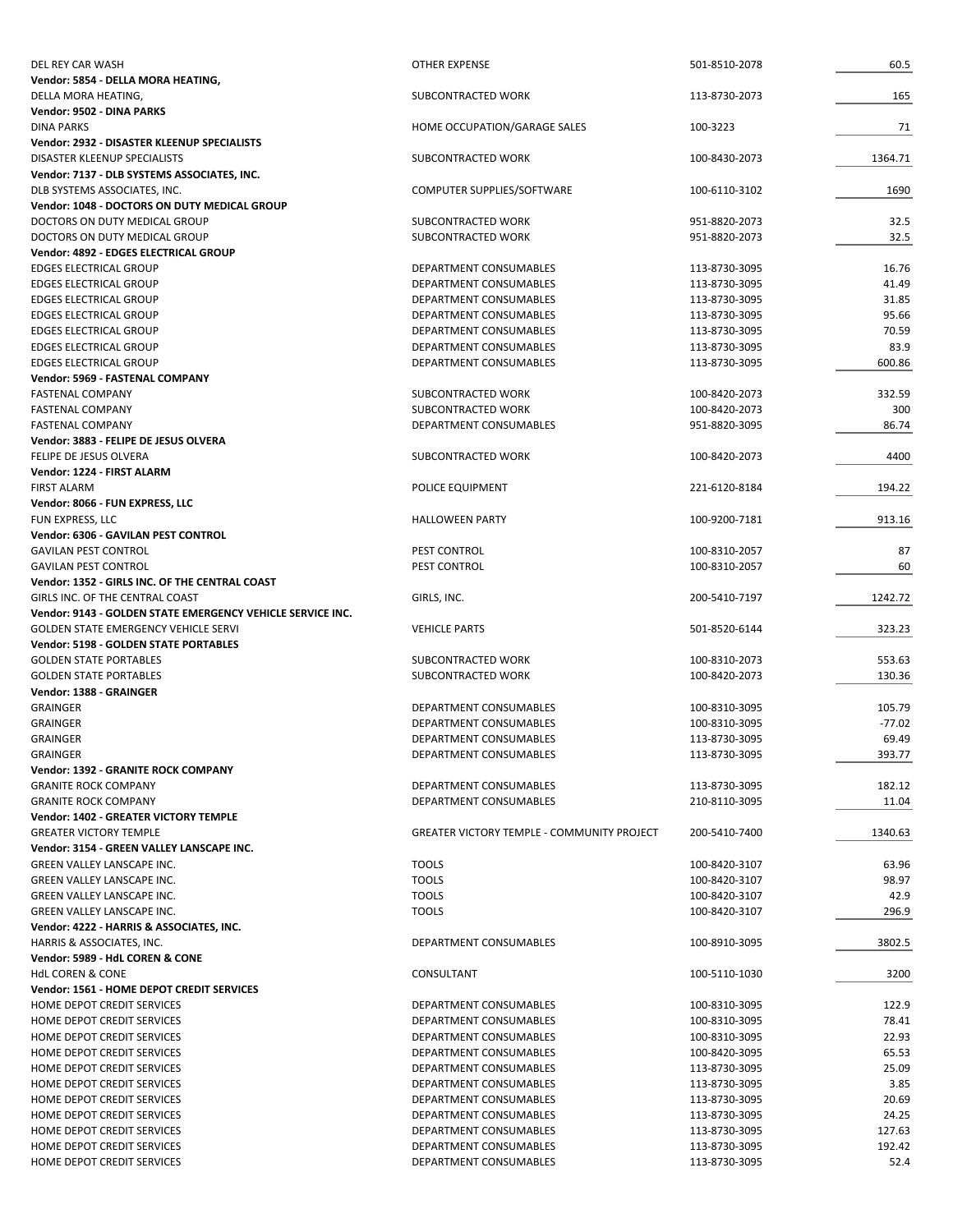| DEL REY CAR WASH                                                       | OTHER EXPENSE                                     | 501-8510-2078                  | 60.5     |
|------------------------------------------------------------------------|---------------------------------------------------|--------------------------------|----------|
| Vendor: 5854 - DELLA MORA HEATING,                                     |                                                   |                                |          |
| DELLA MORA HEATING,                                                    | SUBCONTRACTED WORK                                | 113-8730-2073                  | 165      |
| Vendor: 9502 - DINA PARKS                                              |                                                   |                                |          |
| <b>DINA PARKS</b>                                                      | HOME OCCUPATION/GARAGE SALES                      | 100-3223                       | 71       |
| <b>Vendor: 2932 - DISASTER KLEENUP SPECIALISTS</b>                     |                                                   |                                |          |
| <b>DISASTER KLEENUP SPECIALISTS</b>                                    | SUBCONTRACTED WORK                                | 100-8430-2073                  | 1364.71  |
| Vendor: 7137 - DLB SYSTEMS ASSOCIATES, INC.                            |                                                   |                                |          |
| DLB SYSTEMS ASSOCIATES, INC.                                           | COMPUTER SUPPLIES/SOFTWARE                        | 100-6110-3102                  | 1690     |
| Vendor: 1048 - DOCTORS ON DUTY MEDICAL GROUP                           |                                                   |                                |          |
| DOCTORS ON DUTY MEDICAL GROUP                                          | SUBCONTRACTED WORK<br>SUBCONTRACTED WORK          | 951-8820-2073<br>951-8820-2073 | 32.5     |
| DOCTORS ON DUTY MEDICAL GROUP<br>Vendor: 4892 - EDGES ELECTRICAL GROUP |                                                   |                                | 32.5     |
| <b>EDGES ELECTRICAL GROUP</b>                                          | DEPARTMENT CONSUMABLES                            | 113-8730-3095                  | 16.76    |
| <b>EDGES ELECTRICAL GROUP</b>                                          | DEPARTMENT CONSUMABLES                            | 113-8730-3095                  | 41.49    |
| EDGES ELECTRICAL GROUP                                                 | DEPARTMENT CONSUMABLES                            | 113-8730-3095                  | 31.85    |
| EDGES ELECTRICAL GROUP                                                 | DEPARTMENT CONSUMABLES                            | 113-8730-3095                  | 95.66    |
| <b>EDGES ELECTRICAL GROUP</b>                                          | DEPARTMENT CONSUMABLES                            | 113-8730-3095                  | 70.59    |
| <b>EDGES ELECTRICAL GROUP</b>                                          | DEPARTMENT CONSUMABLES                            | 113-8730-3095                  | 83.9     |
| <b>EDGES ELECTRICAL GROUP</b>                                          | DEPARTMENT CONSUMABLES                            | 113-8730-3095                  | 600.86   |
| Vendor: 5969 - FASTENAL COMPANY                                        |                                                   |                                |          |
| <b>FASTENAL COMPANY</b>                                                | SUBCONTRACTED WORK                                | 100-8420-2073                  | 332.59   |
| <b>FASTENAL COMPANY</b>                                                | SUBCONTRACTED WORK                                | 100-8420-2073                  | 300      |
| <b>FASTENAL COMPANY</b>                                                | DEPARTMENT CONSUMABLES                            | 951-8820-3095                  | 86.74    |
| Vendor: 3883 - FELIPE DE JESUS OLVERA                                  |                                                   |                                |          |
| FELIPE DE JESUS OLVERA                                                 | SUBCONTRACTED WORK                                | 100-8420-2073                  | 4400     |
| Vendor: 1224 - FIRST ALARM                                             |                                                   |                                |          |
| <b>FIRST ALARM</b>                                                     | POLICE EQUIPMENT                                  | 221-6120-8184                  | 194.22   |
| Vendor: 8066 - FUN EXPRESS, LLC                                        |                                                   |                                |          |
| FUN EXPRESS, LLC                                                       | <b>HALLOWEEN PARTY</b>                            | 100-9200-7181                  | 913.16   |
| Vendor: 6306 - GAVILAN PEST CONTROL                                    |                                                   |                                |          |
| <b>GAVILAN PEST CONTROL</b>                                            | PEST CONTROL                                      | 100-8310-2057                  | 87       |
| <b>GAVILAN PEST CONTROL</b>                                            | PEST CONTROL                                      | 100-8310-2057                  | 60       |
| Vendor: 1352 - GIRLS INC. OF THE CENTRAL COAST                         |                                                   |                                |          |
| GIRLS INC. OF THE CENTRAL COAST                                        | GIRLS, INC.                                       | 200-5410-7197                  | 1242.72  |
| Vendor: 9143 - GOLDEN STATE EMERGENCY VEHICLE SERVICE INC.             |                                                   |                                |          |
| <b>GOLDEN STATE EMERGENCY VEHICLE SERVI</b>                            | <b>VEHICLE PARTS</b>                              | 501-8520-6144                  | 323.23   |
| <b>Vendor: 5198 - GOLDEN STATE PORTABLES</b>                           |                                                   |                                |          |
| <b>GOLDEN STATE PORTABLES</b>                                          | SUBCONTRACTED WORK                                | 100-8310-2073                  | 553.63   |
| <b>GOLDEN STATE PORTABLES</b>                                          | SUBCONTRACTED WORK                                | 100-8420-2073                  | 130.36   |
| Vendor: 1388 - GRAINGER                                                |                                                   |                                |          |
| <b>GRAINGER</b>                                                        | DEPARTMENT CONSUMABLES                            | 100-8310-3095                  | 105.79   |
| <b>GRAINGER</b>                                                        | DEPARTMENT CONSUMABLES                            | 100-8310-3095                  | $-77.02$ |
| <b>GRAINGER</b>                                                        | DEPARTMENT CONSUMABLES                            | 113-8730-3095                  | 69.49    |
| <b>GRAINGER</b>                                                        | DEPARTMENT CONSUMABLES                            | 113-8730-3095                  | 393.77   |
| Vendor: 1392 - GRANITE ROCK COMPANY                                    |                                                   |                                |          |
| <b>GRANITE ROCK COMPANY</b>                                            | DEPARTMENT CONSUMABLES                            | 113-8730-3095                  | 182.12   |
| <b>GRANITE ROCK COMPANY</b>                                            | DEPARTMENT CONSUMABLES                            | 210-8110-3095                  | 11.04    |
| <b>Vendor: 1402 - GREATER VICTORY TEMPLE</b>                           |                                                   |                                |          |
| <b>GREATER VICTORY TEMPLE</b>                                          | <b>GREATER VICTORY TEMPLE - COMMUNITY PROJECT</b> | 200-5410-7400                  | 1340.63  |
| Vendor: 3154 - GREEN VALLEY LANSCAPE INC.                              |                                                   |                                |          |
| GREEN VALLEY LANSCAPE INC.                                             | <b>TOOLS</b>                                      | 100-8420-3107                  | 63.96    |
| <b>GREEN VALLEY LANSCAPE INC.</b>                                      | <b>TOOLS</b>                                      | 100-8420-3107                  | 98.97    |
| <b>GREEN VALLEY LANSCAPE INC.</b>                                      | <b>TOOLS</b>                                      | 100-8420-3107                  | 42.9     |
| <b>GREEN VALLEY LANSCAPE INC.</b>                                      | <b>TOOLS</b>                                      | 100-8420-3107                  | 296.9    |
| Vendor: 4222 - HARRIS & ASSOCIATES, INC.                               |                                                   |                                |          |
| HARRIS & ASSOCIATES, INC.                                              | DEPARTMENT CONSUMABLES                            | 100-8910-3095                  | 3802.5   |
| Vendor: 5989 - HdL COREN & CONE                                        |                                                   |                                |          |
| <b>HdL COREN &amp; CONE</b>                                            | CONSULTANT                                        | 100-5110-1030                  | 3200     |
| Vendor: 1561 - HOME DEPOT CREDIT SERVICES                              |                                                   |                                |          |
| HOME DEPOT CREDIT SERVICES                                             | DEPARTMENT CONSUMABLES                            | 100-8310-3095                  | 122.9    |
| HOME DEPOT CREDIT SERVICES                                             | DEPARTMENT CONSUMABLES                            | 100-8310-3095                  | 78.41    |
| HOME DEPOT CREDIT SERVICES                                             | DEPARTMENT CONSUMABLES                            | 100-8310-3095                  | 22.93    |
| HOME DEPOT CREDIT SERVICES                                             | DEPARTMENT CONSUMABLES                            | 100-8420-3095                  | 65.53    |
| HOME DEPOT CREDIT SERVICES                                             | DEPARTMENT CONSUMABLES                            | 113-8730-3095                  | 25.09    |
| HOME DEPOT CREDIT SERVICES                                             | DEPARTMENT CONSUMABLES                            | 113-8730-3095                  | 3.85     |
| HOME DEPOT CREDIT SERVICES                                             | DEPARTMENT CONSUMABLES                            | 113-8730-3095                  | 20.69    |
| HOME DEPOT CREDIT SERVICES                                             | DEPARTMENT CONSUMABLES                            | 113-8730-3095                  | 24.25    |
| HOME DEPOT CREDIT SERVICES                                             | DEPARTMENT CONSUMABLES                            | 113-8730-3095                  | 127.63   |
| HOME DEPOT CREDIT SERVICES                                             | DEPARTMENT CONSUMABLES                            | 113-8730-3095                  | 192.42   |
| HOME DEPOT CREDIT SERVICES                                             | DEPARTMENT CONSUMABLES                            | 113-8730-3095                  | 52.4     |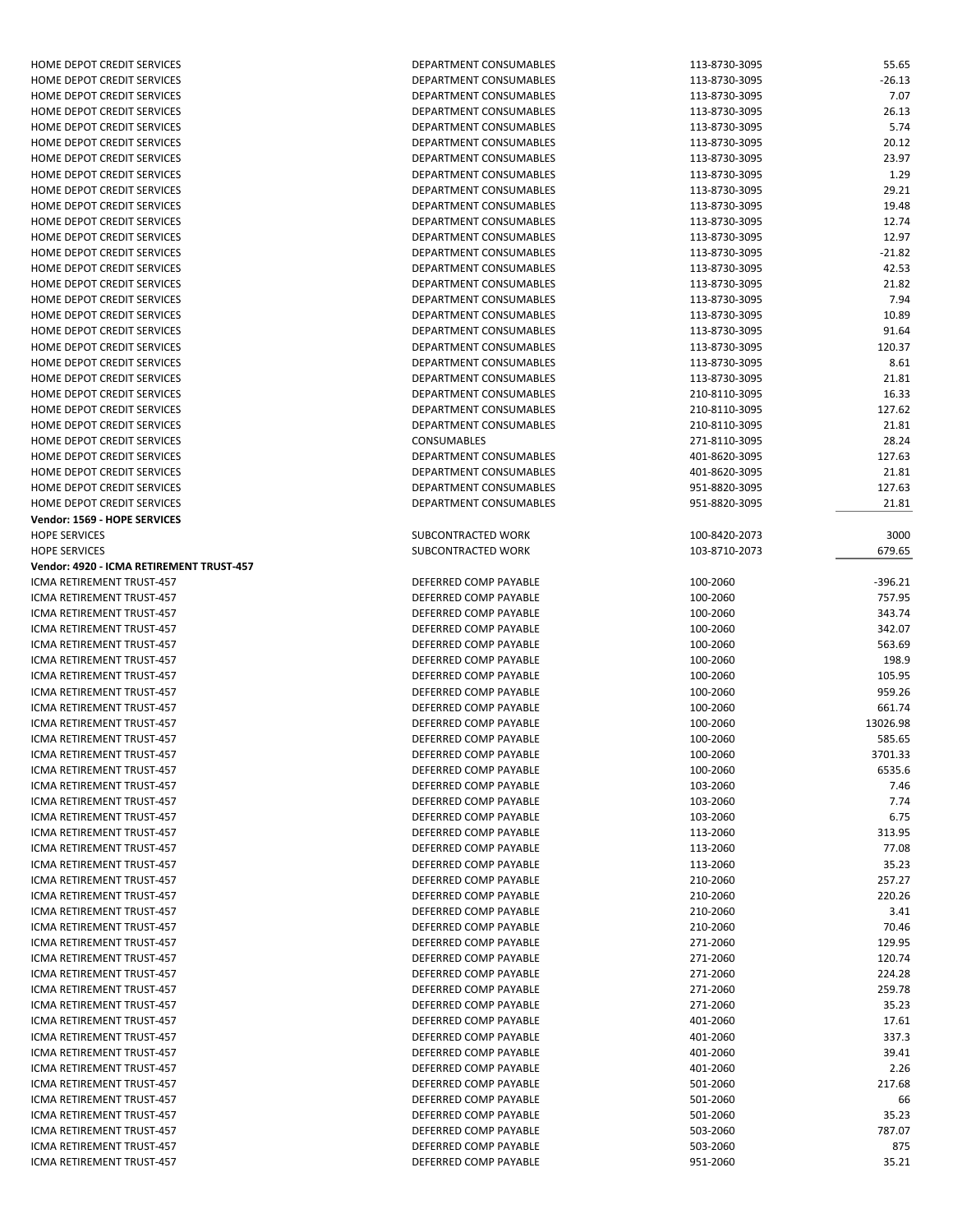| HOME DEPOT CREDIT SERVICES               | DEPARTMENT CONSUMABLES        | 113-8730-3095 | 55.65     |
|------------------------------------------|-------------------------------|---------------|-----------|
| HOME DEPOT CREDIT SERVICES               | DEPARTMENT CONSUMABLES        | 113-8730-3095 | $-26.13$  |
| HOME DEPOT CREDIT SERVICES               | <b>DEPARTMENT CONSUMABLES</b> | 113-8730-3095 | 7.07      |
| HOME DEPOT CREDIT SERVICES               | DEPARTMENT CONSUMABLES        | 113-8730-3095 | 26.13     |
| HOME DEPOT CREDIT SERVICES               | DEPARTMENT CONSUMABLES        | 113-8730-3095 | 5.74      |
| HOME DEPOT CREDIT SERVICES               | DEPARTMENT CONSUMABLES        | 113-8730-3095 | 20.12     |
| HOME DEPOT CREDIT SERVICES               | DEPARTMENT CONSUMABLES        | 113-8730-3095 | 23.97     |
| HOME DEPOT CREDIT SERVICES               | DEPARTMENT CONSUMABLES        | 113-8730-3095 | 1.29      |
| HOME DEPOT CREDIT SERVICES               | DEPARTMENT CONSUMABLES        | 113-8730-3095 | 29.21     |
| HOME DEPOT CREDIT SERVICES               | DEPARTMENT CONSUMABLES        | 113-8730-3095 | 19.48     |
| HOME DEPOT CREDIT SERVICES               | DEPARTMENT CONSUMABLES        | 113-8730-3095 | 12.74     |
| HOME DEPOT CREDIT SERVICES               | DEPARTMENT CONSUMABLES        | 113-8730-3095 | 12.97     |
| HOME DEPOT CREDIT SERVICES               | DEPARTMENT CONSUMABLES        | 113-8730-3095 | $-21.82$  |
| HOME DEPOT CREDIT SERVICES               | DEPARTMENT CONSUMABLES        | 113-8730-3095 | 42.53     |
| HOME DEPOT CREDIT SERVICES               | DEPARTMENT CONSUMABLES        | 113-8730-3095 | 21.82     |
| HOME DEPOT CREDIT SERVICES               | DEPARTMENT CONSUMABLES        | 113-8730-3095 | 7.94      |
| HOME DEPOT CREDIT SERVICES               | DEPARTMENT CONSUMABLES        | 113-8730-3095 | 10.89     |
| HOME DEPOT CREDIT SERVICES               | DEPARTMENT CONSUMABLES        | 113-8730-3095 | 91.64     |
| HOME DEPOT CREDIT SERVICES               | DEPARTMENT CONSUMABLES        | 113-8730-3095 | 120.37    |
| HOME DEPOT CREDIT SERVICES               | DEPARTMENT CONSUMABLES        | 113-8730-3095 | 8.61      |
| HOME DEPOT CREDIT SERVICES               | DEPARTMENT CONSUMABLES        | 113-8730-3095 | 21.81     |
| HOME DEPOT CREDIT SERVICES               | DEPARTMENT CONSUMABLES        | 210-8110-3095 | 16.33     |
| HOME DEPOT CREDIT SERVICES               | DEPARTMENT CONSUMABLES        | 210-8110-3095 | 127.62    |
| HOME DEPOT CREDIT SERVICES               | DEPARTMENT CONSUMABLES        | 210-8110-3095 | 21.81     |
| HOME DEPOT CREDIT SERVICES               | CONSUMABLES                   | 271-8110-3095 | 28.24     |
| HOME DEPOT CREDIT SERVICES               | DEPARTMENT CONSUMABLES        | 401-8620-3095 | 127.63    |
| HOME DEPOT CREDIT SERVICES               | DEPARTMENT CONSUMABLES        | 401-8620-3095 | 21.81     |
| HOME DEPOT CREDIT SERVICES               | DEPARTMENT CONSUMABLES        | 951-8820-3095 | 127.63    |
| HOME DEPOT CREDIT SERVICES               | DEPARTMENT CONSUMABLES        | 951-8820-3095 | 21.81     |
| <b>Vendor: 1569 - HOPE SERVICES</b>      |                               |               |           |
| <b>HOPE SERVICES</b>                     | SUBCONTRACTED WORK            | 100-8420-2073 | 3000      |
| <b>HOPE SERVICES</b>                     | SUBCONTRACTED WORK            | 103-8710-2073 | 679.65    |
| Vendor: 4920 - ICMA RETIREMENT TRUST-457 |                               |               |           |
| ICMA RETIREMENT TRUST-457                | DEFERRED COMP PAYABLE         | 100-2060      | $-396.21$ |
| ICMA RETIREMENT TRUST-457                | DEFERRED COMP PAYABLE         | 100-2060      | 757.95    |
| ICMA RETIREMENT TRUST-457                | DEFERRED COMP PAYABLE         | 100-2060      | 343.74    |
| ICMA RETIREMENT TRUST-457                | DEFERRED COMP PAYABLE         | 100-2060      | 342.07    |
| ICMA RETIREMENT TRUST-457                | DEFERRED COMP PAYABLE         | 100-2060      | 563.69    |
| ICMA RETIREMENT TRUST-457                | DEFERRED COMP PAYABLE         | 100-2060      | 198.9     |
| ICMA RETIREMENT TRUST-457                | DEFERRED COMP PAYABLE         | 100-2060      | 105.95    |
| ICMA RETIREMENT TRUST-457                | DEFERRED COMP PAYABLE         | 100-2060      | 959.26    |
| ICMA RETIREMENT TRUST-457                | DEFERRED COMP PAYABLE         | 100-2060      | 661.74    |
| ICMA RETIREMENT TRUST-457                | DEFERRED COMP PAYABLE         | 100-2060      | 13026.98  |
| ICMA RETIREMENT TRUST-457                | DEFERRED COMP PAYABLE         | 100-2060      | 585.65    |
| ICMA RETIREMENT TRUST-457                | DEFERRED COMP PAYABLE         | 100-2060      | 3701.33   |
| ICMA RETIREMENT TRUST-457                | DEFERRED COMP PAYABLE         | 100-2060      | 6535.6    |
| ICMA RETIREMENT TRUST-457                | DEFERRED COMP PAYABLE         | 103-2060      | 7.46      |
| ICMA RETIREMENT TRUST-457                | DEFERRED COMP PAYABLE         | 103-2060      | 7.74      |
| ICMA RETIREMENT TRUST-457                | DEFERRED COMP PAYABLE         | 103-2060      | 6.75      |
| ICMA RETIREMENT TRUST-457                | DEFERRED COMP PAYABLE         | 113-2060      | 313.95    |
| ICMA RETIREMENT TRUST-457                | DEFERRED COMP PAYABLE         | 113-2060      | 77.08     |
| ICMA RETIREMENT TRUST-457                | DEFERRED COMP PAYABLE         | 113-2060      | 35.23     |
| ICMA RETIREMENT TRUST-457                | DEFERRED COMP PAYABLE         | 210-2060      | 257.27    |
| ICMA RETIREMENT TRUST-457                | DEFERRED COMP PAYABLE         | 210-2060      | 220.26    |
| ICMA RETIREMENT TRUST-457                | DEFERRED COMP PAYABLE         | 210-2060      | 3.41      |
| ICMA RETIREMENT TRUST-457                | DEFERRED COMP PAYABLE         | 210-2060      | 70.46     |
| ICMA RETIREMENT TRUST-457                | DEFERRED COMP PAYABLE         | 271-2060      | 129.95    |
| ICMA RETIREMENT TRUST-457                | DEFERRED COMP PAYABLE         | 271-2060      | 120.74    |
| ICMA RETIREMENT TRUST-457                | DEFERRED COMP PAYABLE         | 271-2060      | 224.28    |
| ICMA RETIREMENT TRUST-457                | DEFERRED COMP PAYABLE         | 271-2060      | 259.78    |
| ICMA RETIREMENT TRUST-457                | DEFERRED COMP PAYABLE         | 271-2060      | 35.23     |
| ICMA RETIREMENT TRUST-457                | DEFERRED COMP PAYABLE         | 401-2060      | 17.61     |
| ICMA RETIREMENT TRUST-457                | DEFERRED COMP PAYABLE         | 401-2060      | 337.3     |
| ICMA RETIREMENT TRUST-457                | DEFERRED COMP PAYABLE         | 401-2060      | 39.41     |
| ICMA RETIREMENT TRUST-457                | DEFERRED COMP PAYABLE         | 401-2060      | 2.26      |
| ICMA RETIREMENT TRUST-457                | DEFERRED COMP PAYABLE         | 501-2060      | 217.68    |
| ICMA RETIREMENT TRUST-457                | DEFERRED COMP PAYABLE         | 501-2060      | 66        |
| ICMA RETIREMENT TRUST-457                | DEFERRED COMP PAYABLE         | 501-2060      | 35.23     |
| ICMA RETIREMENT TRUST-457                | DEFERRED COMP PAYABLE         | 503-2060      | 787.07    |
| ICMA RETIREMENT TRUST-457                | DEFERRED COMP PAYABLE         | 503-2060      | 875       |
| ICMA RETIREMENT TRUST-457                | DEFERRED COMP PAYABLE         | 951-2060      | 35.21     |
|                                          |                               |               |           |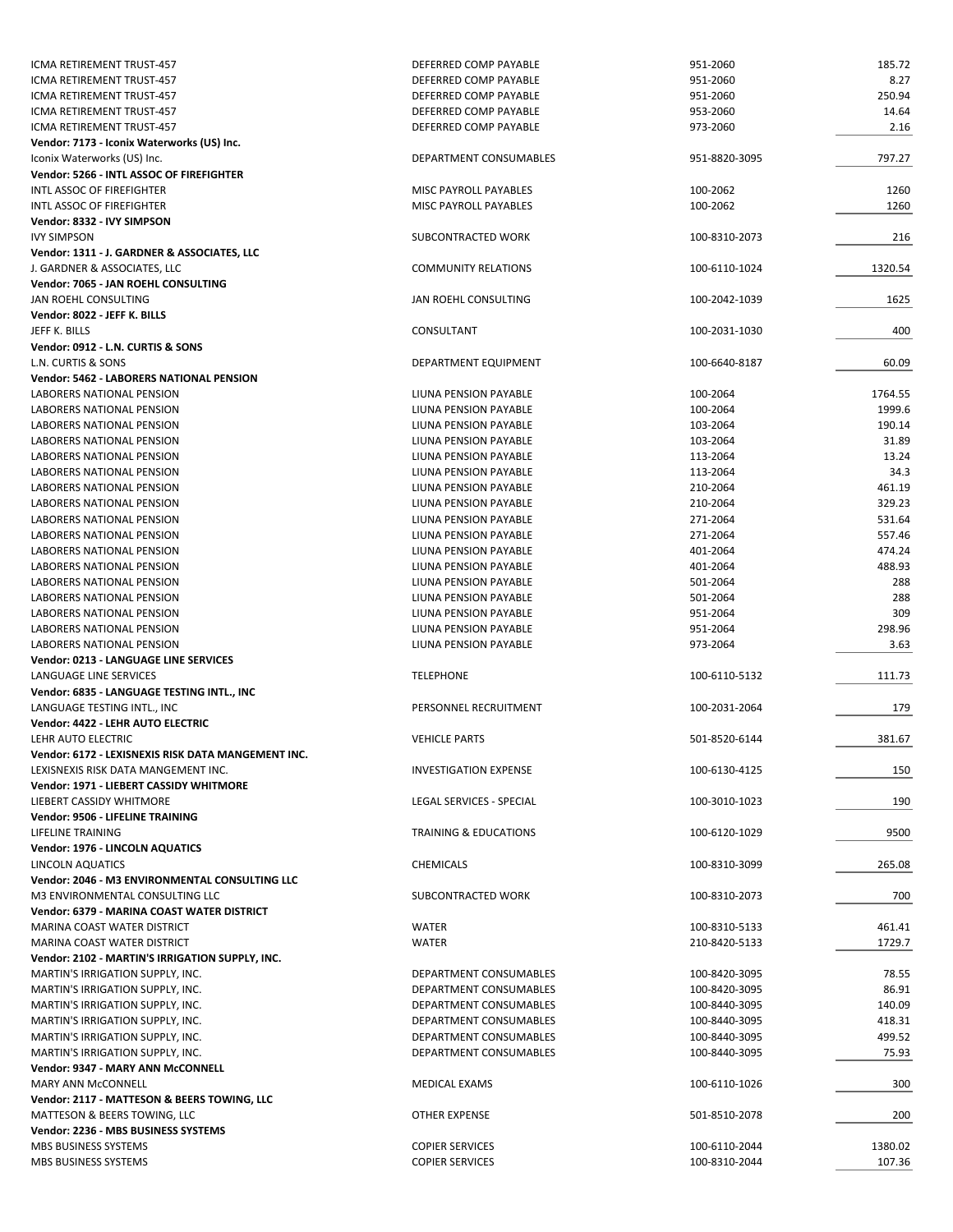| ICMA RETIREMENT TRUST-457                                    | DEFERRED COMP PAYABLE            | 951-2060      | 185.72  |
|--------------------------------------------------------------|----------------------------------|---------------|---------|
| ICMA RETIREMENT TRUST-457                                    | DEFERRED COMP PAYABLE            | 951-2060      | 8.27    |
| ICMA RETIREMENT TRUST-457                                    | DEFERRED COMP PAYABLE            | 951-2060      | 250.94  |
| ICMA RETIREMENT TRUST-457                                    | DEFERRED COMP PAYABLE            | 953-2060      | 14.64   |
| ICMA RETIREMENT TRUST-457                                    | DEFERRED COMP PAYABLE            | 973-2060      | 2.16    |
| Vendor: 7173 - Iconix Waterworks (US) Inc.                   |                                  |               |         |
| Iconix Waterworks (US) Inc.                                  | DEPARTMENT CONSUMABLES           | 951-8820-3095 | 797.27  |
| Vendor: 5266 - INTL ASSOC OF FIREFIGHTER                     |                                  |               |         |
| INTL ASSOC OF FIREFIGHTER                                    | MISC PAYROLL PAYABLES            | 100-2062      | 1260    |
| INTL ASSOC OF FIREFIGHTER                                    | MISC PAYROLL PAYABLES            | 100-2062      | 1260    |
| Vendor: 8332 - IVY SIMPSON                                   |                                  |               |         |
| <b>IVY SIMPSON</b>                                           | SUBCONTRACTED WORK               | 100-8310-2073 | 216     |
| Vendor: 1311 - J. GARDNER & ASSOCIATES, LLC                  |                                  |               |         |
| J. GARDNER & ASSOCIATES, LLC                                 | <b>COMMUNITY RELATIONS</b>       | 100-6110-1024 | 1320.54 |
| Vendor: 7065 - JAN ROEHL CONSULTING                          |                                  |               |         |
| JAN ROEHL CONSULTING                                         | JAN ROEHL CONSULTING             | 100-2042-1039 | 1625    |
| Vendor: 8022 - JEFF K. BILLS                                 |                                  |               |         |
| JEFF K. BILLS                                                | CONSULTANT                       | 100-2031-1030 | 400     |
| Vendor: 0912 - L.N. CURTIS & SONS                            |                                  |               |         |
| L.N. CURTIS & SONS                                           | DEPARTMENT EQUIPMENT             | 100-6640-8187 | 60.09   |
| <b>Vendor: 5462 - LABORERS NATIONAL PENSION</b>              |                                  |               |         |
| LABORERS NATIONAL PENSION                                    | LIUNA PENSION PAYABLE            | 100-2064      | 1764.55 |
| LABORERS NATIONAL PENSION                                    | LIUNA PENSION PAYABLE            | 100-2064      | 1999.6  |
| LABORERS NATIONAL PENSION                                    | LIUNA PENSION PAYABLE            | 103-2064      | 190.14  |
| LABORERS NATIONAL PENSION                                    | LIUNA PENSION PAYABLE            | 103-2064      | 31.89   |
| LABORERS NATIONAL PENSION                                    | LIUNA PENSION PAYABLE            | 113-2064      | 13.24   |
| LABORERS NATIONAL PENSION                                    | LIUNA PENSION PAYABLE            | 113-2064      | 34.3    |
| LABORERS NATIONAL PENSION                                    | LIUNA PENSION PAYABLE            | 210-2064      | 461.19  |
| LABORERS NATIONAL PENSION                                    | LIUNA PENSION PAYABLE            | 210-2064      | 329.23  |
| LABORERS NATIONAL PENSION                                    | LIUNA PENSION PAYABLE            | 271-2064      | 531.64  |
| LABORERS NATIONAL PENSION                                    | LIUNA PENSION PAYABLE            | 271-2064      | 557.46  |
| LABORERS NATIONAL PENSION                                    | LIUNA PENSION PAYABLE            | 401-2064      | 474.24  |
| LABORERS NATIONAL PENSION                                    | LIUNA PENSION PAYABLE            | 401-2064      | 488.93  |
| LABORERS NATIONAL PENSION                                    | LIUNA PENSION PAYABLE            | 501-2064      | 288     |
| LABORERS NATIONAL PENSION                                    | LIUNA PENSION PAYABLE            | 501-2064      | 288     |
| LABORERS NATIONAL PENSION                                    | LIUNA PENSION PAYABLE            | 951-2064      | 309     |
| LABORERS NATIONAL PENSION                                    | LIUNA PENSION PAYABLE            | 951-2064      | 298.96  |
| LABORERS NATIONAL PENSION                                    | LIUNA PENSION PAYABLE            | 973-2064      | 3.63    |
| Vendor: 0213 - LANGUAGE LINE SERVICES                        |                                  |               |         |
| LANGUAGE LINE SERVICES                                       | <b>TELEPHONE</b>                 | 100-6110-5132 | 111.73  |
| Vendor: 6835 - LANGUAGE TESTING INTL., INC                   |                                  |               |         |
| LANGUAGE TESTING INTL., INC                                  | PERSONNEL RECRUITMENT            | 100-2031-2064 | 179     |
| Vendor: 4422 - LEHR AUTO ELECTRIC<br>LEHR AUTO ELECTRIC      | <b>VEHICLE PARTS</b>             | 501-8520-6144 |         |
| Vendor: 6172 - LEXISNEXIS RISK DATA MANGEMENT INC.           |                                  |               | 381.67  |
| LEXISNEXIS RISK DATA MANGEMENT INC.                          | <b>INVESTIGATION EXPENSE</b>     | 100-6130-4125 |         |
| Vendor: 1971 - LIEBERT CASSIDY WHITMORE                      |                                  |               | 150     |
|                                                              |                                  |               | 190     |
| LIEBERT CASSIDY WHITMORE<br>Vendor: 9506 - LIFELINE TRAINING | LEGAL SERVICES - SPECIAL         | 100-3010-1023 |         |
| LIFELINE TRAINING                                            | <b>TRAINING &amp; EDUCATIONS</b> |               | 9500    |
| Vendor: 1976 - LINCOLN AQUATICS                              |                                  | 100-6120-1029 |         |
| LINCOLN AQUATICS                                             | <b>CHEMICALS</b>                 | 100-8310-3099 | 265.08  |
| Vendor: 2046 - M3 ENVIRONMENTAL CONSULTING LLC               |                                  |               |         |
| M3 ENVIRONMENTAL CONSULTING LLC                              | SUBCONTRACTED WORK               | 100-8310-2073 | 700     |
| Vendor: 6379 - MARINA COAST WATER DISTRICT                   |                                  |               |         |
| MARINA COAST WATER DISTRICT                                  | <b>WATER</b>                     | 100-8310-5133 | 461.41  |
| MARINA COAST WATER DISTRICT                                  | <b>WATER</b>                     | 210-8420-5133 | 1729.7  |
| Vendor: 2102 - MARTIN'S IRRIGATION SUPPLY, INC.              |                                  |               |         |
| MARTIN'S IRRIGATION SUPPLY, INC.                             | DEPARTMENT CONSUMABLES           | 100-8420-3095 | 78.55   |
| MARTIN'S IRRIGATION SUPPLY, INC.                             | DEPARTMENT CONSUMABLES           | 100-8420-3095 | 86.91   |
| MARTIN'S IRRIGATION SUPPLY, INC.                             | DEPARTMENT CONSUMABLES           | 100-8440-3095 | 140.09  |
| MARTIN'S IRRIGATION SUPPLY, INC.                             | DEPARTMENT CONSUMABLES           | 100-8440-3095 | 418.31  |
| MARTIN'S IRRIGATION SUPPLY, INC.                             | DEPARTMENT CONSUMABLES           | 100-8440-3095 | 499.52  |
| MARTIN'S IRRIGATION SUPPLY, INC.                             | DEPARTMENT CONSUMABLES           | 100-8440-3095 | 75.93   |
| Vendor: 9347 - MARY ANN McCONNELL                            |                                  |               |         |
| <b>MARY ANN McCONNELL</b>                                    | MEDICAL EXAMS                    | 100-6110-1026 | 300     |
| Vendor: 2117 - MATTESON & BEERS TOWING, LLC                  |                                  |               |         |
| MATTESON & BEERS TOWING, LLC                                 | OTHER EXPENSE                    | 501-8510-2078 | 200     |
| Vendor: 2236 - MBS BUSINESS SYSTEMS                          |                                  |               |         |
| MBS BUSINESS SYSTEMS                                         | <b>COPIER SERVICES</b>           | 100-6110-2044 | 1380.02 |
| MBS BUSINESS SYSTEMS                                         | <b>COPIER SERVICES</b>           | 100-8310-2044 | 107.36  |
|                                                              |                                  |               |         |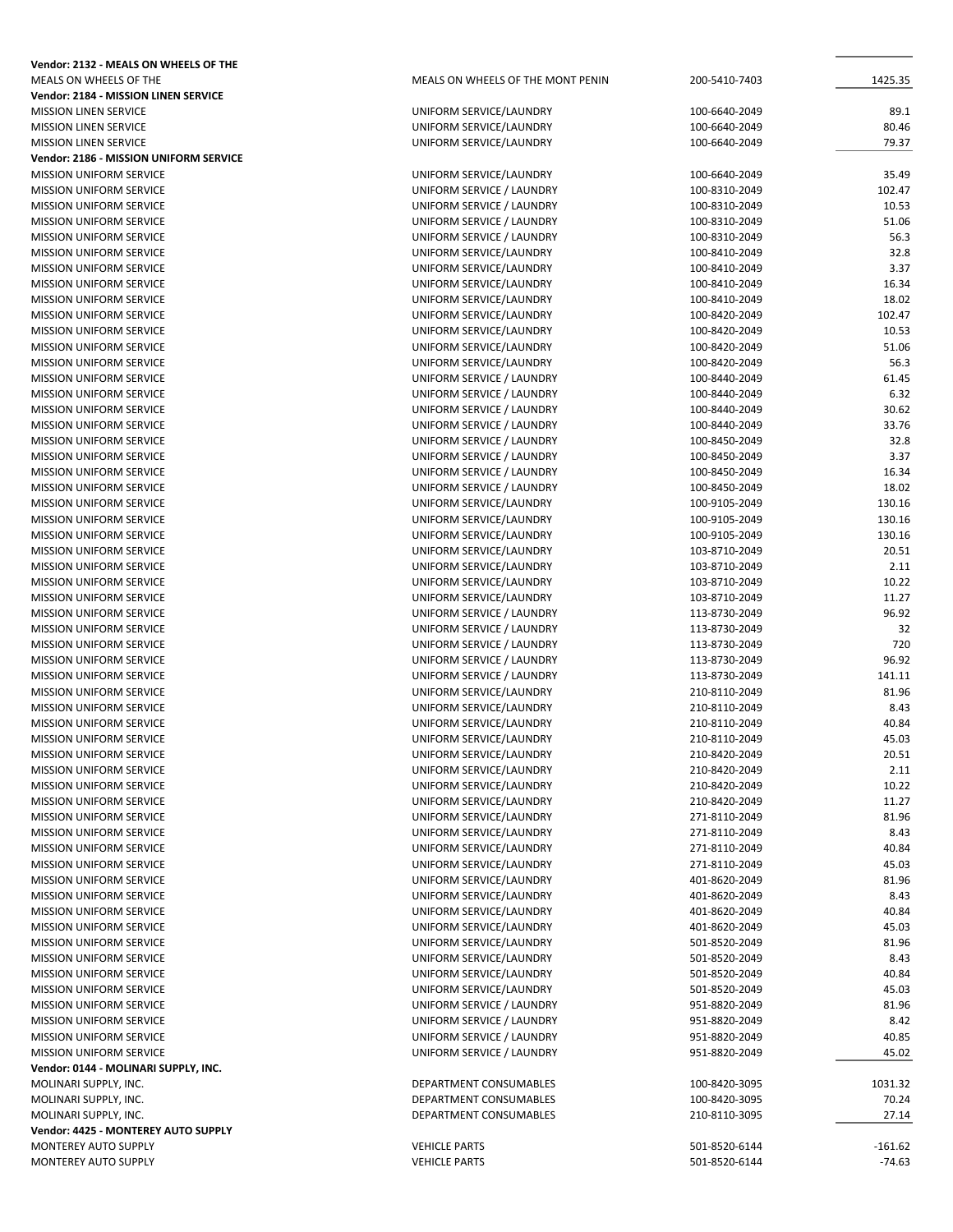| Vendor: 2132 - MEALS ON WHEELS OF THE                            |                                                        |                                |                  |
|------------------------------------------------------------------|--------------------------------------------------------|--------------------------------|------------------|
| MEALS ON WHEELS OF THE                                           | MEALS ON WHEELS OF THE MONT PENIN                      | 200-5410-7403                  | 1425.35          |
| Vendor: 2184 - MISSION LINEN SERVICE                             |                                                        |                                |                  |
| <b>MISSION LINEN SERVICE</b>                                     | UNIFORM SERVICE/LAUNDRY                                | 100-6640-2049                  | 89.1             |
| <b>MISSION LINEN SERVICE</b>                                     | UNIFORM SERVICE/LAUNDRY                                | 100-6640-2049                  | 80.46            |
| <b>MISSION LINEN SERVICE</b>                                     | UNIFORM SERVICE/LAUNDRY                                | 100-6640-2049                  | 79.37            |
| Vendor: 2186 - MISSION UNIFORM SERVICE                           |                                                        |                                |                  |
| <b>MISSION UNIFORM SERVICE</b>                                   | UNIFORM SERVICE/LAUNDRY                                | 100-6640-2049                  | 35.49            |
| MISSION UNIFORM SERVICE                                          | UNIFORM SERVICE / LAUNDRY                              | 100-8310-2049                  | 102.47<br>10.53  |
| <b>MISSION UNIFORM SERVICE</b><br><b>MISSION UNIFORM SERVICE</b> | UNIFORM SERVICE / LAUNDRY<br>UNIFORM SERVICE / LAUNDRY | 100-8310-2049<br>100-8310-2049 | 51.06            |
| <b>MISSION UNIFORM SERVICE</b>                                   | UNIFORM SERVICE / LAUNDRY                              | 100-8310-2049                  | 56.3             |
| MISSION UNIFORM SERVICE                                          | UNIFORM SERVICE/LAUNDRY                                | 100-8410-2049                  | 32.8             |
| <b>MISSION UNIFORM SERVICE</b>                                   | UNIFORM SERVICE/LAUNDRY                                | 100-8410-2049                  | 3.37             |
| <b>MISSION UNIFORM SERVICE</b>                                   | UNIFORM SERVICE/LAUNDRY                                | 100-8410-2049                  | 16.34            |
| <b>MISSION UNIFORM SERVICE</b>                                   | UNIFORM SERVICE/LAUNDRY                                | 100-8410-2049                  | 18.02            |
| MISSION UNIFORM SERVICE                                          | UNIFORM SERVICE/LAUNDRY                                | 100-8420-2049                  | 102.47           |
| <b>MISSION UNIFORM SERVICE</b>                                   | UNIFORM SERVICE/LAUNDRY                                | 100-8420-2049                  | 10.53            |
| <b>MISSION UNIFORM SERVICE</b>                                   | UNIFORM SERVICE/LAUNDRY                                | 100-8420-2049                  | 51.06            |
| MISSION UNIFORM SERVICE                                          | UNIFORM SERVICE/LAUNDRY                                | 100-8420-2049                  | 56.3             |
| <b>MISSION UNIFORM SERVICE</b>                                   | UNIFORM SERVICE / LAUNDRY                              | 100-8440-2049                  | 61.45            |
| <b>MISSION UNIFORM SERVICE</b>                                   | UNIFORM SERVICE / LAUNDRY                              | 100-8440-2049                  | 6.32             |
| <b>MISSION UNIFORM SERVICE</b>                                   | UNIFORM SERVICE / LAUNDRY                              | 100-8440-2049                  | 30.62            |
| MISSION UNIFORM SERVICE                                          | UNIFORM SERVICE / LAUNDRY                              | 100-8440-2049                  | 33.76            |
| <b>MISSION UNIFORM SERVICE</b>                                   | UNIFORM SERVICE / LAUNDRY                              | 100-8450-2049                  | 32.8             |
| MISSION UNIFORM SERVICE                                          | UNIFORM SERVICE / LAUNDRY                              | 100-8450-2049                  | 3.37             |
| <b>MISSION UNIFORM SERVICE</b><br><b>MISSION UNIFORM SERVICE</b> | UNIFORM SERVICE / LAUNDRY                              | 100-8450-2049                  | 16.34<br>18.02   |
| <b>MISSION UNIFORM SERVICE</b>                                   | UNIFORM SERVICE / LAUNDRY<br>UNIFORM SERVICE/LAUNDRY   | 100-8450-2049<br>100-9105-2049 | 130.16           |
| <b>MISSION UNIFORM SERVICE</b>                                   | UNIFORM SERVICE/LAUNDRY                                | 100-9105-2049                  | 130.16           |
| MISSION UNIFORM SERVICE                                          | UNIFORM SERVICE/LAUNDRY                                | 100-9105-2049                  | 130.16           |
| <b>MISSION UNIFORM SERVICE</b>                                   | UNIFORM SERVICE/LAUNDRY                                | 103-8710-2049                  | 20.51            |
| <b>MISSION UNIFORM SERVICE</b>                                   | UNIFORM SERVICE/LAUNDRY                                | 103-8710-2049                  | 2.11             |
| <b>MISSION UNIFORM SERVICE</b>                                   | UNIFORM SERVICE/LAUNDRY                                | 103-8710-2049                  | 10.22            |
| <b>MISSION UNIFORM SERVICE</b>                                   | UNIFORM SERVICE/LAUNDRY                                | 103-8710-2049                  | 11.27            |
| <b>MISSION UNIFORM SERVICE</b>                                   | UNIFORM SERVICE / LAUNDRY                              | 113-8730-2049                  | 96.92            |
| <b>MISSION UNIFORM SERVICE</b>                                   | UNIFORM SERVICE / LAUNDRY                              | 113-8730-2049                  | 32               |
| MISSION UNIFORM SERVICE                                          | UNIFORM SERVICE / LAUNDRY                              | 113-8730-2049                  | 720              |
| <b>MISSION UNIFORM SERVICE</b>                                   | UNIFORM SERVICE / LAUNDRY                              | 113-8730-2049                  | 96.92            |
| <b>MISSION UNIFORM SERVICE</b>                                   | UNIFORM SERVICE / LAUNDRY                              | 113-8730-2049                  | 141.11           |
| <b>MISSION UNIFORM SERVICE</b>                                   | UNIFORM SERVICE/LAUNDRY                                | 210-8110-2049                  | 81.96            |
| MISSION UNIFORM SERVICE                                          | UNIFORM SERVICE/LAUNDRY                                | 210-8110-2049                  | 8.43             |
| <b>MISSION UNIFORM SERVICE</b>                                   | UNIFORM SERVICE/LAUNDRY                                | 210-8110-2049                  | 40.84            |
| <b>MISSION UNIFORM SERVICE</b>                                   | UNIFORM SERVICE/LAUNDRY                                | 210-8110-2049                  | 45.03            |
| MISSION UNIFORM SERVICE                                          | UNIFORM SERVICE/LAUNDRY                                | 210-8420-2049                  | 20.51            |
| <b>MISSION UNIFORM SERVICE</b>                                   | UNIFORM SERVICE/LAUNDRY                                | 210-8420-2049                  | 2.11<br>10.22    |
| <b>MISSION UNIFORM SERVICE</b><br><b>MISSION UNIFORM SERVICE</b> | UNIFORM SERVICE/LAUNDRY<br>UNIFORM SERVICE/LAUNDRY     | 210-8420-2049<br>210-8420-2049 | 11.27            |
| MISSION UNIFORM SERVICE                                          | UNIFORM SERVICE/LAUNDRY                                | 271-8110-2049                  | 81.96            |
| <b>MISSION UNIFORM SERVICE</b>                                   | UNIFORM SERVICE/LAUNDRY                                | 271-8110-2049                  | 8.43             |
| <b>MISSION UNIFORM SERVICE</b>                                   | UNIFORM SERVICE/LAUNDRY                                | 271-8110-2049                  | 40.84            |
| <b>MISSION UNIFORM SERVICE</b>                                   | UNIFORM SERVICE/LAUNDRY                                | 271-8110-2049                  | 45.03            |
| <b>MISSION UNIFORM SERVICE</b>                                   | UNIFORM SERVICE/LAUNDRY                                | 401-8620-2049                  | 81.96            |
| <b>MISSION UNIFORM SERVICE</b>                                   | UNIFORM SERVICE/LAUNDRY                                | 401-8620-2049                  | 8.43             |
| <b>MISSION UNIFORM SERVICE</b>                                   | UNIFORM SERVICE/LAUNDRY                                | 401-8620-2049                  | 40.84            |
| <b>MISSION UNIFORM SERVICE</b>                                   | UNIFORM SERVICE/LAUNDRY                                | 401-8620-2049                  | 45.03            |
| <b>MISSION UNIFORM SERVICE</b>                                   | UNIFORM SERVICE/LAUNDRY                                | 501-8520-2049                  | 81.96            |
| <b>MISSION UNIFORM SERVICE</b>                                   | UNIFORM SERVICE/LAUNDRY                                | 501-8520-2049                  | 8.43             |
| MISSION UNIFORM SERVICE                                          | UNIFORM SERVICE/LAUNDRY                                | 501-8520-2049                  | 40.84            |
| <b>MISSION UNIFORM SERVICE</b>                                   | UNIFORM SERVICE/LAUNDRY                                | 501-8520-2049                  | 45.03            |
| <b>MISSION UNIFORM SERVICE</b>                                   | UNIFORM SERVICE / LAUNDRY                              | 951-8820-2049                  | 81.96            |
| <b>MISSION UNIFORM SERVICE</b>                                   | UNIFORM SERVICE / LAUNDRY                              | 951-8820-2049                  | 8.42             |
| MISSION UNIFORM SERVICE                                          | UNIFORM SERVICE / LAUNDRY                              | 951-8820-2049                  | 40.85            |
| <b>MISSION UNIFORM SERVICE</b>                                   | UNIFORM SERVICE / LAUNDRY                              | 951-8820-2049                  | 45.02            |
| Vendor: 0144 - MOLINARI SUPPLY, INC.                             |                                                        |                                |                  |
| MOLINARI SUPPLY, INC.<br>MOLINARI SUPPLY, INC.                   | DEPARTMENT CONSUMABLES<br>DEPARTMENT CONSUMABLES       | 100-8420-3095<br>100-8420-3095 | 1031.32<br>70.24 |
| MOLINARI SUPPLY, INC.                                            | DEPARTMENT CONSUMABLES                                 | 210-8110-3095                  | 27.14            |
| Vendor: 4425 - MONTEREY AUTO SUPPLY                              |                                                        |                                |                  |
| MONTEREY AUTO SUPPLY                                             | <b>VEHICLE PARTS</b>                                   | 501-8520-6144                  | $-161.62$        |
| MONTEREY AUTO SUPPLY                                             | <b>VEHICLE PARTS</b>                                   | 501-8520-6144                  | $-74.63$         |
|                                                                  |                                                        |                                |                  |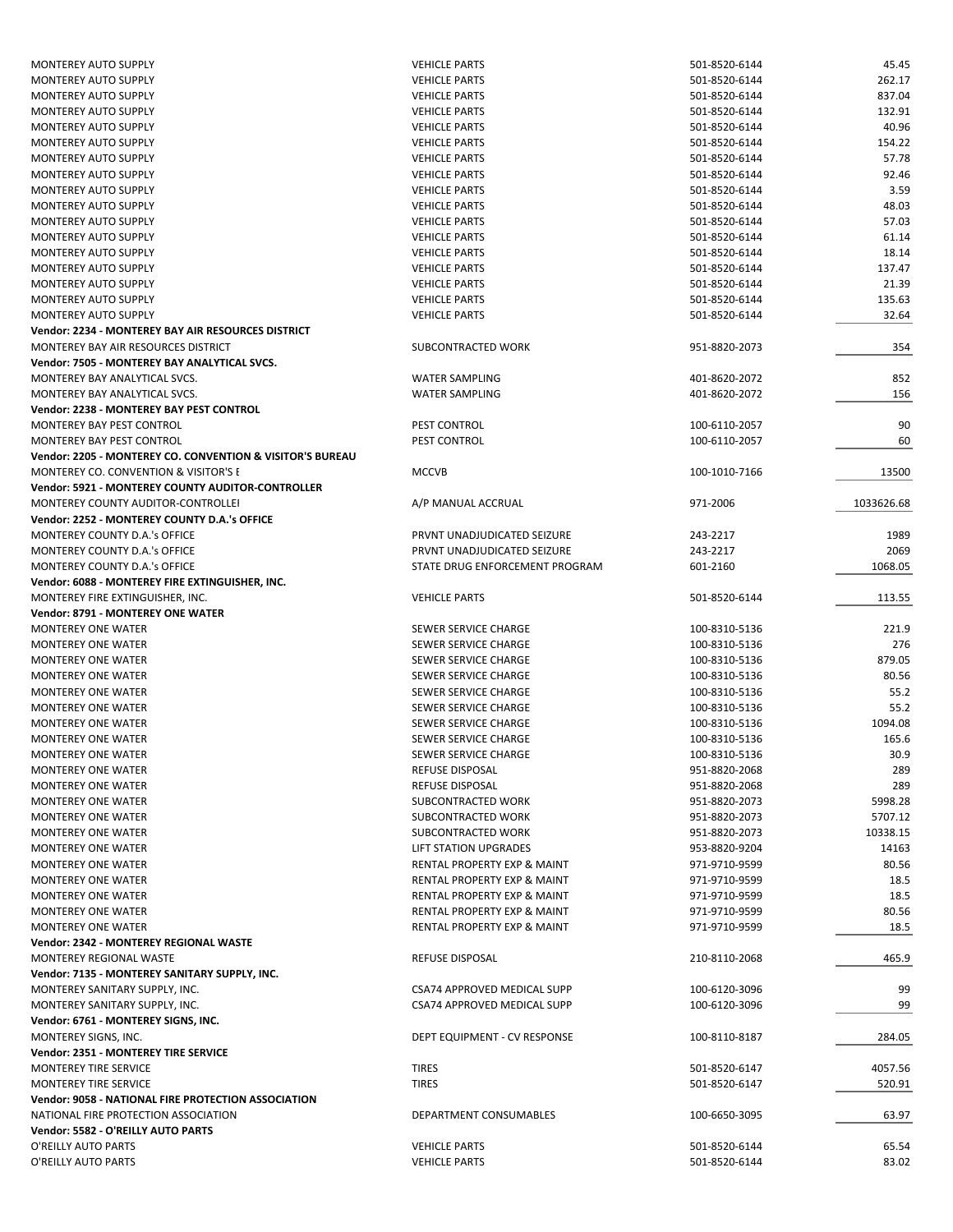| <b>MONTEREY AUTO SUPPLY</b>                               | <b>VEHICLE PARTS</b>                         | 501-8520-6144                  | 45.45          |
|-----------------------------------------------------------|----------------------------------------------|--------------------------------|----------------|
|                                                           | <b>VEHICLE PARTS</b>                         | 501-8520-6144                  | 262.17         |
| MONTEREY AUTO SUPPLY                                      | <b>VEHICLE PARTS</b>                         | 501-8520-6144                  | 837.04         |
| MONTEREY AUTO SUPPLY                                      | <b>VEHICLE PARTS</b>                         | 501-8520-6144                  | 132.91         |
| <b>MONTEREY AUTO SUPPLY</b>                               | <b>VEHICLE PARTS</b>                         | 501-8520-6144                  | 40.96          |
| <b>MONTEREY AUTO SUPPLY</b>                               | <b>VEHICLE PARTS</b>                         | 501-8520-6144                  | 154.22         |
|                                                           |                                              |                                |                |
| <b>MONTEREY AUTO SUPPLY</b>                               | <b>VEHICLE PARTS</b>                         | 501-8520-6144                  | 57.78          |
| <b>MONTEREY AUTO SUPPLY</b>                               | <b>VEHICLE PARTS</b>                         | 501-8520-6144                  | 92.46          |
| <b>MONTEREY AUTO SUPPLY</b>                               | <b>VEHICLE PARTS</b>                         | 501-8520-6144                  | 3.59           |
| MONTEREY AUTO SUPPLY                                      | <b>VEHICLE PARTS</b>                         | 501-8520-6144                  | 48.03          |
| MONTEREY AUTO SUPPLY                                      | <b>VEHICLE PARTS</b>                         | 501-8520-6144                  | 57.03          |
| <b>MONTEREY AUTO SUPPLY</b>                               | <b>VEHICLE PARTS</b>                         | 501-8520-6144                  | 61.14          |
| <b>MONTEREY AUTO SUPPLY</b>                               | <b>VEHICLE PARTS</b>                         | 501-8520-6144                  | 18.14          |
| <b>MONTEREY AUTO SUPPLY</b>                               | <b>VEHICLE PARTS</b>                         | 501-8520-6144                  | 137.47         |
| MONTEREY AUTO SUPPLY                                      | <b>VEHICLE PARTS</b>                         | 501-8520-6144                  | 21.39          |
| <b>MONTEREY AUTO SUPPLY</b>                               | <b>VEHICLE PARTS</b>                         | 501-8520-6144                  | 135.63         |
| MONTEREY AUTO SUPPLY                                      | <b>VEHICLE PARTS</b>                         | 501-8520-6144                  | 32.64          |
| Vendor: 2234 - MONTEREY BAY AIR RESOURCES DISTRICT        |                                              |                                |                |
|                                                           |                                              |                                | 354            |
| MONTEREY BAY AIR RESOURCES DISTRICT                       | SUBCONTRACTED WORK                           | 951-8820-2073                  |                |
| Vendor: 7505 - MONTEREY BAY ANALYTICAL SVCS.              |                                              |                                |                |
| MONTEREY BAY ANALYTICAL SVCS.                             | <b>WATER SAMPLING</b>                        | 401-8620-2072                  | 852            |
| MONTEREY BAY ANALYTICAL SVCS.                             | <b>WATER SAMPLING</b>                        | 401-8620-2072                  | 156            |
| Vendor: 2238 - MONTEREY BAY PEST CONTROL                  |                                              |                                |                |
| MONTEREY BAY PEST CONTROL                                 | PEST CONTROL                                 | 100-6110-2057                  | 90             |
| MONTEREY BAY PEST CONTROL                                 | PEST CONTROL                                 | 100-6110-2057                  | 60             |
| Vendor: 2205 - MONTEREY CO. CONVENTION & VISITOR'S BUREAU |                                              |                                |                |
| <b>MONTEREY CO. CONVENTION &amp; VISITOR'S E</b>          | <b>MCCVB</b>                                 | 100-1010-7166                  | 13500          |
| Vendor: 5921 - MONTEREY COUNTY AUDITOR-CONTROLLER         |                                              |                                |                |
| MONTEREY COUNTY AUDITOR-CONTROLLEI                        | A/P MANUAL ACCRUAL                           | 971-2006                       | 1033626.68     |
| Vendor: 2252 - MONTEREY COUNTY D.A.'s OFFICE              |                                              |                                |                |
|                                                           |                                              |                                |                |
| MONTEREY COUNTY D.A.'s OFFICE                             | PRVNT UNADJUDICATED SEIZURE                  | 243-2217                       | 1989           |
| MONTEREY COUNTY D.A.'s OFFICE                             | PRVNT UNADJUDICATED SEIZURE                  | 243-2217                       | 2069           |
| MONTEREY COUNTY D.A.'s OFFICE                             | STATE DRUG ENFORCEMENT PROGRAM               | 601-2160                       | 1068.05        |
| Vendor: 6088 - MONTEREY FIRE EXTINGUISHER, INC.           |                                              |                                |                |
| MONTEREY FIRE EXTINGUISHER, INC.                          | <b>VEHICLE PARTS</b>                         | 501-8520-6144                  | 113.55         |
| <b>Vendor: 8791 - MONTEREY ONE WATER</b>                  |                                              |                                |                |
| <b>MONTEREY ONE WATER</b>                                 | SEWER SERVICE CHARGE                         | 100-8310-5136                  | 221.9          |
| <b>MONTEREY ONE WATER</b>                                 | SEWER SERVICE CHARGE                         | 100-8310-5136                  | 276            |
| <b>MONTEREY ONE WATER</b>                                 | SEWER SERVICE CHARGE                         | 100-8310-5136                  | 879.05         |
| <b>MONTEREY ONE WATER</b>                                 | SEWER SERVICE CHARGE                         | 100-8310-5136                  | 80.56          |
| <b>MONTEREY ONE WATER</b>                                 | SEWER SERVICE CHARGE                         | 100-8310-5136                  | 55.2           |
| <b>MONTEREY ONE WATER</b>                                 | SEWER SERVICE CHARGE                         | 100-8310-5136                  | 55.2           |
| <b>MONTEREY ONE WATER</b>                                 | SEWER SERVICE CHARGE                         | 100-8310-5136                  | 1094.08        |
|                                                           |                                              | 100-8310-5136                  |                |
|                                                           | SEWER SERVICE CHARGE                         |                                |                |
| MONTEREY ONE WATER                                        |                                              |                                | 165.6          |
| <b>MONTEREY ONE WATER</b>                                 | SEWER SERVICE CHARGE                         | 100-8310-5136                  | 30.9           |
| MONTEREY ONE WATER                                        | REFUSE DISPOSAL                              | 951-8820-2068                  | 289            |
| <b>MONTEREY ONE WATER</b>                                 | <b>REFUSE DISPOSAL</b>                       | 951-8820-2068                  | 289            |
| <b>MONTEREY ONE WATER</b>                                 | SUBCONTRACTED WORK                           | 951-8820-2073                  | 5998.28        |
| <b>MONTEREY ONE WATER</b>                                 | SUBCONTRACTED WORK                           | 951-8820-2073                  | 5707.12        |
| <b>MONTEREY ONE WATER</b>                                 | SUBCONTRACTED WORK                           | 951-8820-2073                  | 10338.15       |
| <b>MONTEREY ONE WATER</b>                                 | LIFT STATION UPGRADES                        | 953-8820-9204                  | 14163          |
|                                                           |                                              |                                |                |
| <b>MONTEREY ONE WATER</b>                                 | RENTAL PROPERTY EXP & MAINT                  | 971-9710-9599                  | 80.56          |
| <b>MONTEREY ONE WATER</b>                                 | RENTAL PROPERTY EXP & MAINT                  | 971-9710-9599                  | 18.5           |
| <b>MONTEREY ONE WATER</b>                                 | RENTAL PROPERTY EXP & MAINT                  | 971-9710-9599                  | 18.5           |
| <b>MONTEREY ONE WATER</b>                                 | RENTAL PROPERTY EXP & MAINT                  | 971-9710-9599                  | 80.56          |
| <b>MONTEREY ONE WATER</b>                                 | RENTAL PROPERTY EXP & MAINT                  | 971-9710-9599                  | 18.5           |
| Vendor: 2342 - MONTEREY REGIONAL WASTE                    |                                              |                                |                |
| MONTEREY REGIONAL WASTE                                   | REFUSE DISPOSAL                              | 210-8110-2068                  | 465.9          |
| Vendor: 7135 - MONTEREY SANITARY SUPPLY, INC.             |                                              |                                |                |
| MONTEREY SANITARY SUPPLY, INC.                            | CSA74 APPROVED MEDICAL SUPP                  | 100-6120-3096                  | 99             |
| MONTEREY SANITARY SUPPLY, INC.                            | CSA74 APPROVED MEDICAL SUPP                  | 100-6120-3096                  | 99             |
| Vendor: 6761 - MONTEREY SIGNS, INC.                       |                                              |                                |                |
|                                                           | DEPT EQUIPMENT - CV RESPONSE                 | 100-8110-8187                  |                |
| MONTEREY SIGNS, INC.                                      |                                              |                                | 284.05         |
| Vendor: 2351 - MONTEREY TIRE SERVICE                      |                                              |                                |                |
| MONTEREY TIRE SERVICE                                     | <b>TIRES</b>                                 | 501-8520-6147                  | 4057.56        |
| <b>MONTEREY TIRE SERVICE</b>                              | <b>TIRES</b>                                 | 501-8520-6147                  | 520.91         |
| Vendor: 9058 - NATIONAL FIRE PROTECTION ASSOCIATION       |                                              |                                |                |
| NATIONAL FIRE PROTECTION ASSOCIATION                      | DEPARTMENT CONSUMABLES                       | 100-6650-3095                  | 63.97          |
| Vendor: 5582 - O'REILLY AUTO PARTS                        |                                              |                                |                |
| O'REILLY AUTO PARTS<br>O'REILLY AUTO PARTS                | <b>VEHICLE PARTS</b><br><b>VEHICLE PARTS</b> | 501-8520-6144<br>501-8520-6144 | 65.54<br>83.02 |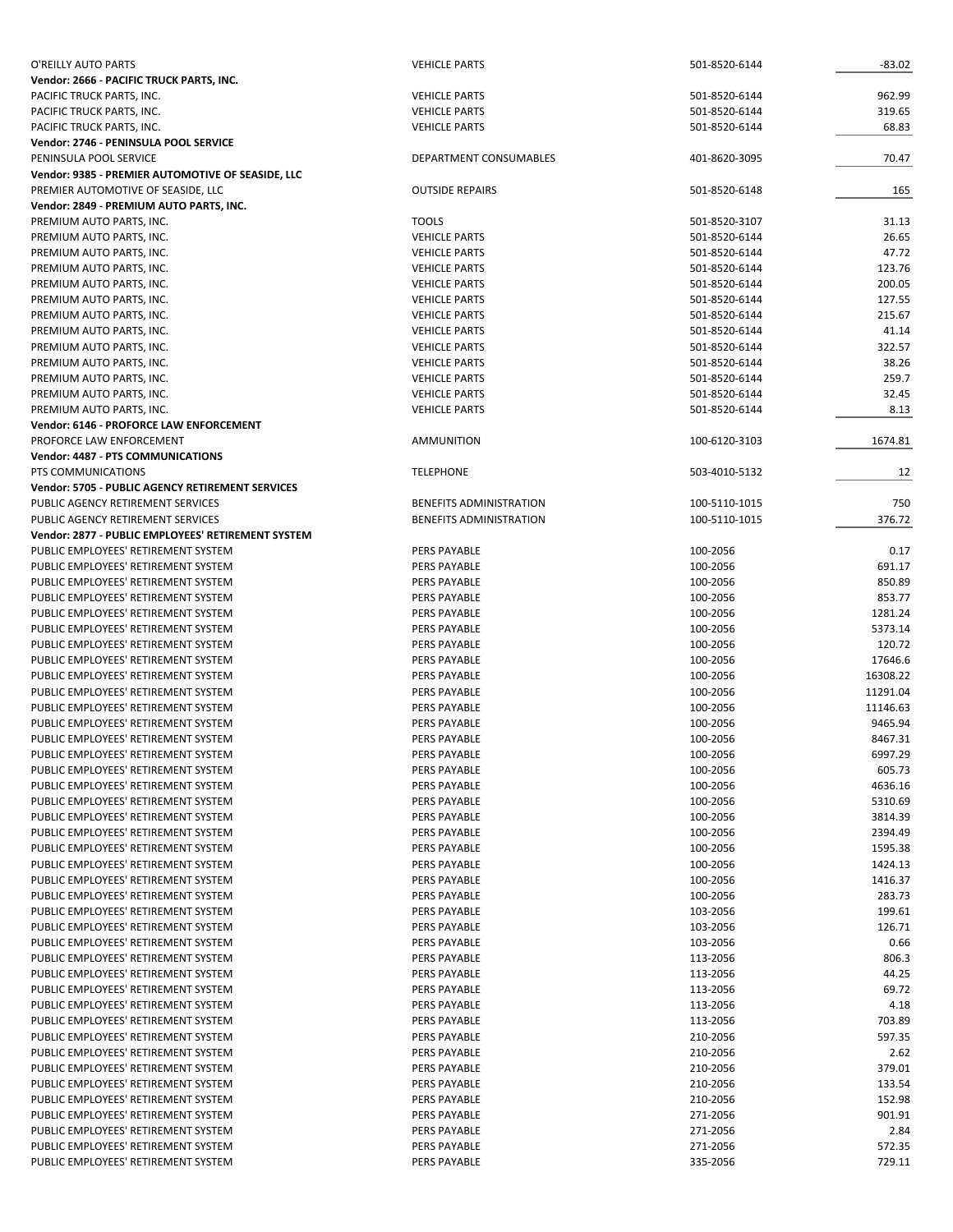| O'REILLY AUTO PARTS                                | <b>VEHICLE PARTS</b>    | 501-8520-6144 | $-83.02$ |
|----------------------------------------------------|-------------------------|---------------|----------|
| Vendor: 2666 - PACIFIC TRUCK PARTS, INC.           |                         |               |          |
| PACIFIC TRUCK PARTS, INC.                          | <b>VEHICLE PARTS</b>    | 501-8520-6144 | 962.99   |
| PACIFIC TRUCK PARTS, INC.                          | <b>VEHICLE PARTS</b>    | 501-8520-6144 | 319.65   |
| PACIFIC TRUCK PARTS, INC.                          | <b>VEHICLE PARTS</b>    | 501-8520-6144 | 68.83    |
| Vendor: 2746 - PENINSULA POOL SERVICE              |                         |               |          |
| PENINSULA POOL SERVICE                             | DEPARTMENT CONSUMABLES  | 401-8620-3095 | 70.47    |
| Vendor: 9385 - PREMIER AUTOMOTIVE OF SEASIDE, LLC  |                         |               |          |
| PREMIER AUTOMOTIVE OF SEASIDE, LLC                 | <b>OUTSIDE REPAIRS</b>  | 501-8520-6148 | 165      |
| Vendor: 2849 - PREMIUM AUTO PARTS, INC.            |                         |               |          |
| PREMIUM AUTO PARTS, INC.                           | <b>TOOLS</b>            | 501-8520-3107 | 31.13    |
| PREMIUM AUTO PARTS, INC.                           | <b>VEHICLE PARTS</b>    | 501-8520-6144 | 26.65    |
| PREMIUM AUTO PARTS, INC.                           | <b>VEHICLE PARTS</b>    | 501-8520-6144 | 47.72    |
| PREMIUM AUTO PARTS, INC.                           | <b>VEHICLE PARTS</b>    | 501-8520-6144 | 123.76   |
| PREMIUM AUTO PARTS, INC.                           | <b>VEHICLE PARTS</b>    | 501-8520-6144 | 200.05   |
| PREMIUM AUTO PARTS, INC.                           | <b>VEHICLE PARTS</b>    | 501-8520-6144 | 127.55   |
| PREMIUM AUTO PARTS, INC.                           | <b>VEHICLE PARTS</b>    | 501-8520-6144 | 215.67   |
| PREMIUM AUTO PARTS, INC.                           | <b>VEHICLE PARTS</b>    | 501-8520-6144 | 41.14    |
| PREMIUM AUTO PARTS, INC.                           | <b>VEHICLE PARTS</b>    | 501-8520-6144 | 322.57   |
| PREMIUM AUTO PARTS, INC.                           | <b>VEHICLE PARTS</b>    | 501-8520-6144 | 38.26    |
| PREMIUM AUTO PARTS, INC.                           | <b>VEHICLE PARTS</b>    | 501-8520-6144 | 259.7    |
| PREMIUM AUTO PARTS, INC.                           | <b>VEHICLE PARTS</b>    | 501-8520-6144 | 32.45    |
| PREMIUM AUTO PARTS, INC.                           | <b>VEHICLE PARTS</b>    | 501-8520-6144 | 8.13     |
| <b>Vendor: 6146 - PROFORCE LAW ENFORCEMENT</b>     |                         |               |          |
| PROFORCE LAW ENFORCEMENT                           | AMMUNITION              | 100-6120-3103 | 1674.81  |
| Vendor: 4487 - PTS COMMUNICATIONS                  |                         |               |          |
| PTS COMMUNICATIONS                                 | <b>TELEPHONE</b>        | 503-4010-5132 | 12       |
| Vendor: 5705 - PUBLIC AGENCY RETIREMENT SERVICES   |                         |               |          |
|                                                    |                         |               |          |
| PUBLIC AGENCY RETIREMENT SERVICES                  | BENEFITS ADMINISTRATION | 100-5110-1015 | 750      |
| PUBLIC AGENCY RETIREMENT SERVICES                  | BENEFITS ADMINISTRATION | 100-5110-1015 | 376.72   |
| Vendor: 2877 - PUBLIC EMPLOYEES' RETIREMENT SYSTEM |                         |               |          |
| PUBLIC EMPLOYEES' RETIREMENT SYSTEM                | <b>PERS PAYABLE</b>     | 100-2056      | 0.17     |
| PUBLIC EMPLOYEES' RETIREMENT SYSTEM                | <b>PERS PAYABLE</b>     | 100-2056      | 691.17   |
| PUBLIC EMPLOYEES' RETIREMENT SYSTEM                | PERS PAYABLE            | 100-2056      | 850.89   |
| PUBLIC EMPLOYEES' RETIREMENT SYSTEM                | PERS PAYABLE            | 100-2056      | 853.77   |
| PUBLIC EMPLOYEES' RETIREMENT SYSTEM                | <b>PERS PAYABLE</b>     | 100-2056      | 1281.24  |
| PUBLIC EMPLOYEES' RETIREMENT SYSTEM                | PERS PAYABLE            | 100-2056      | 5373.14  |
| PUBLIC EMPLOYEES' RETIREMENT SYSTEM                | <b>PERS PAYABLE</b>     | 100-2056      | 120.72   |
| PUBLIC EMPLOYEES' RETIREMENT SYSTEM                | <b>PERS PAYABLE</b>     | 100-2056      | 17646.6  |
| PUBLIC EMPLOYEES' RETIREMENT SYSTEM                | <b>PERS PAYABLE</b>     | 100-2056      | 16308.22 |
| PUBLIC EMPLOYEES' RETIREMENT SYSTEM                | PERS PAYABLE            | 100-2056      | 11291.04 |
| PUBLIC EMPLOYEES' RETIREMENT SYSTEM                | PERS PAYABLE            | 100-2056      | 11146.63 |
| PUBLIC EMPLOYEES' RETIREMENT SYSTEM                | <b>PERS PAYABLE</b>     | 100-2056      | 9465.94  |
| PUBLIC EMPLOYEES' RETIREMENT SYSTEM                | <b>PERS PAYABLE</b>     | 100-2056      | 8467.31  |
| PUBLIC EMPLOYEES' RETIREMENT SYSTEM                | PERS PAYABLE            | 100-2056      | 6997.29  |
| PUBLIC EMPLOYEES' RETIREMENT SYSTEM                | PERS PAYABLE            | 100-2056      | 605.73   |
| PUBLIC EMPLOYEES' RETIREMENT SYSTEM                | <b>PERS PAYABLE</b>     | 100-2056      | 4636.16  |
| PUBLIC EMPLOYEES' RETIREMENT SYSTEM                | PERS PAYABLE            | 100-2056      | 5310.69  |
| PUBLIC EMPLOYEES' RETIREMENT SYSTEM                | PERS PAYABLE            | 100-2056      | 3814.39  |
| PUBLIC EMPLOYEES' RETIREMENT SYSTEM                | PERS PAYABLE            | 100-2056      | 2394.49  |
| PUBLIC EMPLOYEES' RETIREMENT SYSTEM                | PERS PAYABLE            | 100-2056      | 1595.38  |
| PUBLIC EMPLOYEES' RETIREMENT SYSTEM                | <b>PERS PAYABLE</b>     | 100-2056      | 1424.13  |
| PUBLIC EMPLOYEES' RETIREMENT SYSTEM                | PERS PAYABLE            | 100-2056      | 1416.37  |
| PUBLIC EMPLOYEES' RETIREMENT SYSTEM                | <b>PERS PAYABLE</b>     | 100-2056      | 283.73   |
| PUBLIC EMPLOYEES' RETIREMENT SYSTEM                | PERS PAYABLE            | 103-2056      | 199.61   |
| PUBLIC EMPLOYEES' RETIREMENT SYSTEM                | PERS PAYABLE            | 103-2056      | 126.71   |
| PUBLIC EMPLOYEES' RETIREMENT SYSTEM                | PERS PAYABLE            | 103-2056      | 0.66     |
| PUBLIC EMPLOYEES' RETIREMENT SYSTEM                | PERS PAYABLE            | 113-2056      | 806.3    |
| PUBLIC EMPLOYEES' RETIREMENT SYSTEM                | PERS PAYABLE            | 113-2056      | 44.25    |
| PUBLIC EMPLOYEES' RETIREMENT SYSTEM                | PERS PAYABLE            | 113-2056      | 69.72    |
| PUBLIC EMPLOYEES' RETIREMENT SYSTEM                | PERS PAYABLE            |               | 4.18     |
| PUBLIC EMPLOYEES' RETIREMENT SYSTEM                |                         | 113-2056      | 703.89   |
|                                                    | PERS PAYABLE            | 113-2056      |          |
| PUBLIC EMPLOYEES' RETIREMENT SYSTEM                | PERS PAYABLE            | 210-2056      | 597.35   |
| PUBLIC EMPLOYEES' RETIREMENT SYSTEM                | <b>PERS PAYABLE</b>     | 210-2056      | 2.62     |
| PUBLIC EMPLOYEES' RETIREMENT SYSTEM                | PERS PAYABLE            | 210-2056      | 379.01   |
| PUBLIC EMPLOYEES' RETIREMENT SYSTEM                | PERS PAYABLE            | 210-2056      | 133.54   |
| PUBLIC EMPLOYEES' RETIREMENT SYSTEM                | <b>PERS PAYABLE</b>     | 210-2056      | 152.98   |
| PUBLIC EMPLOYEES' RETIREMENT SYSTEM                | PERS PAYABLE            | 271-2056      | 901.91   |
| PUBLIC EMPLOYEES' RETIREMENT SYSTEM                | PERS PAYABLE            | 271-2056      | 2.84     |
| PUBLIC EMPLOYEES' RETIREMENT SYSTEM                | PERS PAYABLE            | 271-2056      | 572.35   |
| PUBLIC EMPLOYEES' RETIREMENT SYSTEM                | <b>PERS PAYABLE</b>     | 335-2056      | 729.11   |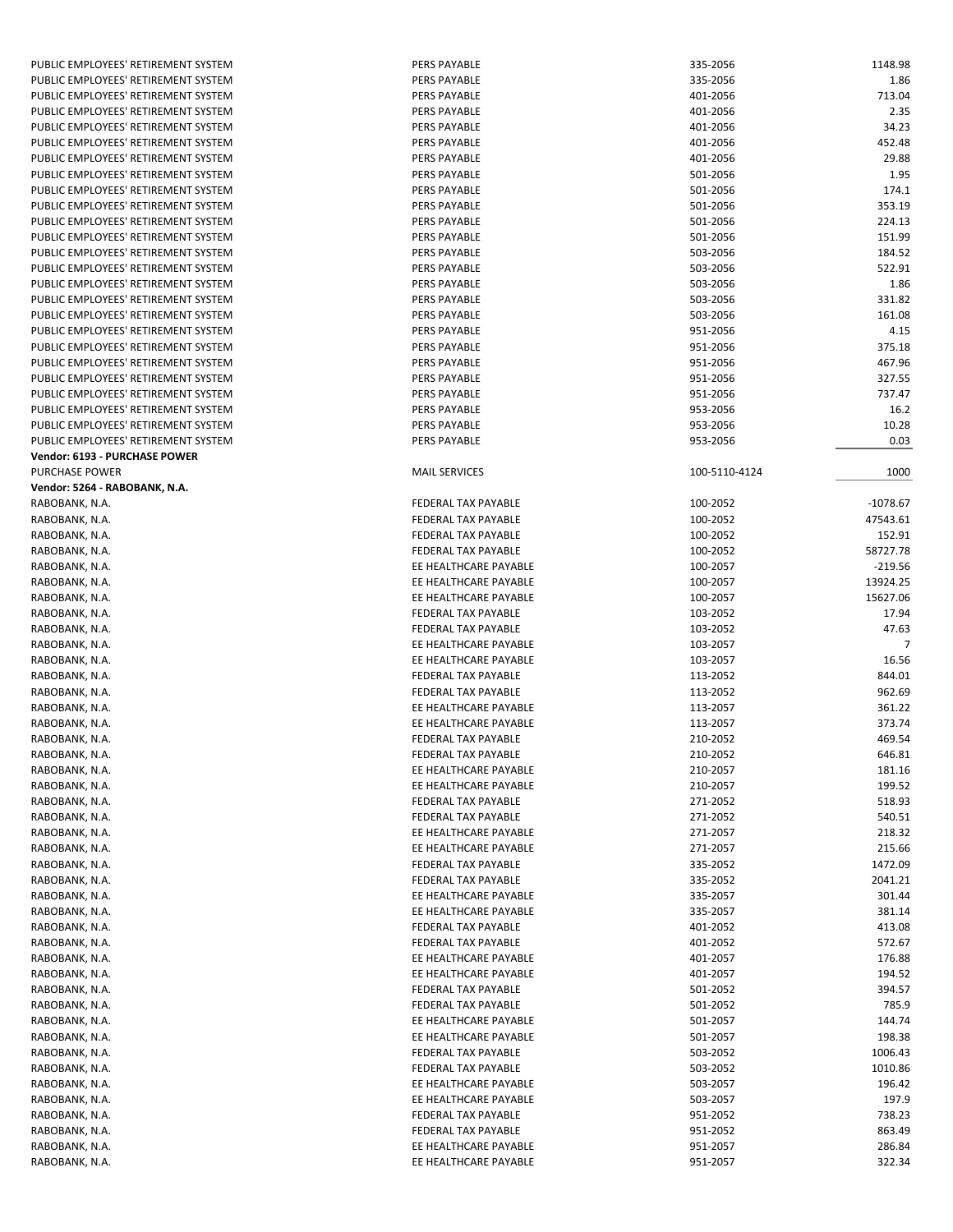| PUBLIC EMPLOYEES' RETIREMENT SYSTEM | PERS PAYABLE               | 335-2056      | 1148.98    |
|-------------------------------------|----------------------------|---------------|------------|
| PUBLIC EMPLOYEES' RETIREMENT SYSTEM | PERS PAYABLE               | 335-2056      | 1.86       |
| PUBLIC EMPLOYEES' RETIREMENT SYSTEM | PERS PAYABLE               | 401-2056      | 713.04     |
|                                     |                            |               |            |
| PUBLIC EMPLOYEES' RETIREMENT SYSTEM | PERS PAYABLE               | 401-2056      | 2.35       |
| PUBLIC EMPLOYEES' RETIREMENT SYSTEM | PERS PAYABLE               | 401-2056      | 34.23      |
| PUBLIC EMPLOYEES' RETIREMENT SYSTEM | PERS PAYABLE               | 401-2056      | 452.48     |
| PUBLIC EMPLOYEES' RETIREMENT SYSTEM | PERS PAYABLE               | 401-2056      | 29.88      |
| PUBLIC EMPLOYEES' RETIREMENT SYSTEM | PERS PAYABLE               | 501-2056      | 1.95       |
| PUBLIC EMPLOYEES' RETIREMENT SYSTEM | PERS PAYABLE               | 501-2056      | 174.1      |
|                                     |                            |               |            |
| PUBLIC EMPLOYEES' RETIREMENT SYSTEM | PERS PAYABLE               | 501-2056      | 353.19     |
| PUBLIC EMPLOYEES' RETIREMENT SYSTEM | PERS PAYABLE               | 501-2056      | 224.13     |
| PUBLIC EMPLOYEES' RETIREMENT SYSTEM | <b>PERS PAYABLE</b>        | 501-2056      | 151.99     |
| PUBLIC EMPLOYEES' RETIREMENT SYSTEM | PERS PAYABLE               | 503-2056      | 184.52     |
| PUBLIC EMPLOYEES' RETIREMENT SYSTEM | PERS PAYABLE               | 503-2056      | 522.91     |
| PUBLIC EMPLOYEES' RETIREMENT SYSTEM | PERS PAYABLE               | 503-2056      | 1.86       |
|                                     |                            |               |            |
| PUBLIC EMPLOYEES' RETIREMENT SYSTEM | PERS PAYABLE               | 503-2056      | 331.82     |
| PUBLIC EMPLOYEES' RETIREMENT SYSTEM | PERS PAYABLE               | 503-2056      | 161.08     |
| PUBLIC EMPLOYEES' RETIREMENT SYSTEM | PERS PAYABLE               | 951-2056      | 4.15       |
| PUBLIC EMPLOYEES' RETIREMENT SYSTEM | PERS PAYABLE               | 951-2056      | 375.18     |
| PUBLIC EMPLOYEES' RETIREMENT SYSTEM | PERS PAYABLE               | 951-2056      | 467.96     |
| PUBLIC EMPLOYEES' RETIREMENT SYSTEM | PERS PAYABLE               | 951-2056      | 327.55     |
| PUBLIC EMPLOYEES' RETIREMENT SYSTEM | PERS PAYABLE               | 951-2056      | 737.47     |
|                                     |                            |               |            |
| PUBLIC EMPLOYEES' RETIREMENT SYSTEM | PERS PAYABLE               | 953-2056      | 16.2       |
| PUBLIC EMPLOYEES' RETIREMENT SYSTEM | PERS PAYABLE               | 953-2056      | 10.28      |
| PUBLIC EMPLOYEES' RETIREMENT SYSTEM | PERS PAYABLE               | 953-2056      | 0.03       |
| Vendor: 6193 - PURCHASE POWER       |                            |               |            |
| PURCHASE POWER                      | <b>MAIL SERVICES</b>       | 100-5110-4124 | 1000       |
| Vendor: 5264 - RABOBANK, N.A.       |                            |               |            |
|                                     |                            |               |            |
| RABOBANK, N.A.                      | <b>FEDERAL TAX PAYABLE</b> | 100-2052      | $-1078.67$ |
| RABOBANK, N.A.                      | FEDERAL TAX PAYABLE        | 100-2052      | 47543.61   |
| RABOBANK, N.A.                      | FEDERAL TAX PAYABLE        | 100-2052      | 152.91     |
| RABOBANK, N.A.                      | FEDERAL TAX PAYABLE        | 100-2052      | 58727.78   |
| RABOBANK, N.A.                      | EE HEALTHCARE PAYABLE      | 100-2057      | $-219.56$  |
| RABOBANK, N.A.                      | EE HEALTHCARE PAYABLE      | 100-2057      | 13924.25   |
|                                     | EE HEALTHCARE PAYABLE      |               |            |
| RABOBANK, N.A.                      |                            | 100-2057      | 15627.06   |
| RABOBANK, N.A.                      | FEDERAL TAX PAYABLE        | 103-2052      | 17.94      |
| RABOBANK, N.A.                      | FEDERAL TAX PAYABLE        | 103-2052      | 47.63      |
| RABOBANK, N.A.                      | EE HEALTHCARE PAYABLE      | 103-2057      | 7          |
| RABOBANK, N.A.                      | EE HEALTHCARE PAYABLE      | 103-2057      | 16.56      |
| RABOBANK, N.A.                      | FEDERAL TAX PAYABLE        | 113-2052      | 844.01     |
|                                     | <b>FEDERAL TAX PAYABLE</b> |               | 962.69     |
| RABOBANK, N.A.                      |                            | 113-2052      |            |
| RABOBANK, N.A.                      | EE HEALTHCARE PAYABLE      | 113-2057      | 361.22     |
| RABOBANK, N.A.                      | EE HEALTHCARE PAYABLE      | 113-2057      | 373.74     |
| RABOBANK, N.A.                      | FEDERAL TAX PAYABLE        | 210-2052      | 469.54     |
| RABOBANK, N.A.                      | FEDERAL TAX PAYABLE        | 210-2052      | 646.81     |
| RABOBANK, N.A.                      | EE HEALTHCARE PAYABLE      | 210-2057      | 181.16     |
| RABOBANK, N.A.                      | EE HEALTHCARE PAYABLE      |               | 199.52     |
|                                     |                            | 210-2057      |            |
| RABOBANK, N.A.                      | FEDERAL TAX PAYABLE        | 271-2052      | 518.93     |
| RABOBANK, N.A.                      | FEDERAL TAX PAYABLE        | 271-2052      | 540.51     |
| RABOBANK, N.A.                      | EE HEALTHCARE PAYABLE      | 271-2057      | 218.32     |
| RABOBANK, N.A.                      | EE HEALTHCARE PAYABLE      | 271-2057      | 215.66     |
| RABOBANK, N.A.                      | FEDERAL TAX PAYABLE        | 335-2052      | 1472.09    |
| RABOBANK, N.A.                      | FEDERAL TAX PAYABLE        | 335-2052      | 2041.21    |
|                                     |                            |               |            |
| RABOBANK, N.A.                      | EE HEALTHCARE PAYABLE      | 335-2057      | 301.44     |
| RABOBANK, N.A.                      | EE HEALTHCARE PAYABLE      | 335-2057      | 381.14     |
| RABOBANK, N.A.                      | FEDERAL TAX PAYABLE        | 401-2052      | 413.08     |
| RABOBANK, N.A.                      | FEDERAL TAX PAYABLE        | 401-2052      | 572.67     |
| RABOBANK, N.A.                      | EE HEALTHCARE PAYABLE      | 401-2057      | 176.88     |
| RABOBANK, N.A.                      | EE HEALTHCARE PAYABLE      | 401-2057      | 194.52     |
|                                     |                            |               |            |
| RABOBANK, N.A.                      | FEDERAL TAX PAYABLE        | 501-2052      | 394.57     |
| RABOBANK, N.A.                      | FEDERAL TAX PAYABLE        | 501-2052      | 785.9      |
| RABOBANK, N.A.                      | EE HEALTHCARE PAYABLE      | 501-2057      | 144.74     |
| RABOBANK, N.A.                      | EE HEALTHCARE PAYABLE      | 501-2057      | 198.38     |
| RABOBANK, N.A.                      | FEDERAL TAX PAYABLE        | 503-2052      | 1006.43    |
| RABOBANK, N.A.                      | FEDERAL TAX PAYABLE        | 503-2052      | 1010.86    |
|                                     |                            |               |            |
| RABOBANK, N.A.                      | EE HEALTHCARE PAYABLE      | 503-2057      | 196.42     |
| RABOBANK, N.A.                      | EE HEALTHCARE PAYABLE      | 503-2057      | 197.9      |
| RABOBANK, N.A.                      | FEDERAL TAX PAYABLE        | 951-2052      | 738.23     |
| RABOBANK, N.A.                      | FEDERAL TAX PAYABLE        | 951-2052      | 863.49     |
| RABOBANK, N.A.                      | EE HEALTHCARE PAYABLE      | 951-2057      | 286.84     |
| RABOBANK, N.A.                      | EE HEALTHCARE PAYABLE      | 951-2057      | 322.34     |
|                                     |                            |               |            |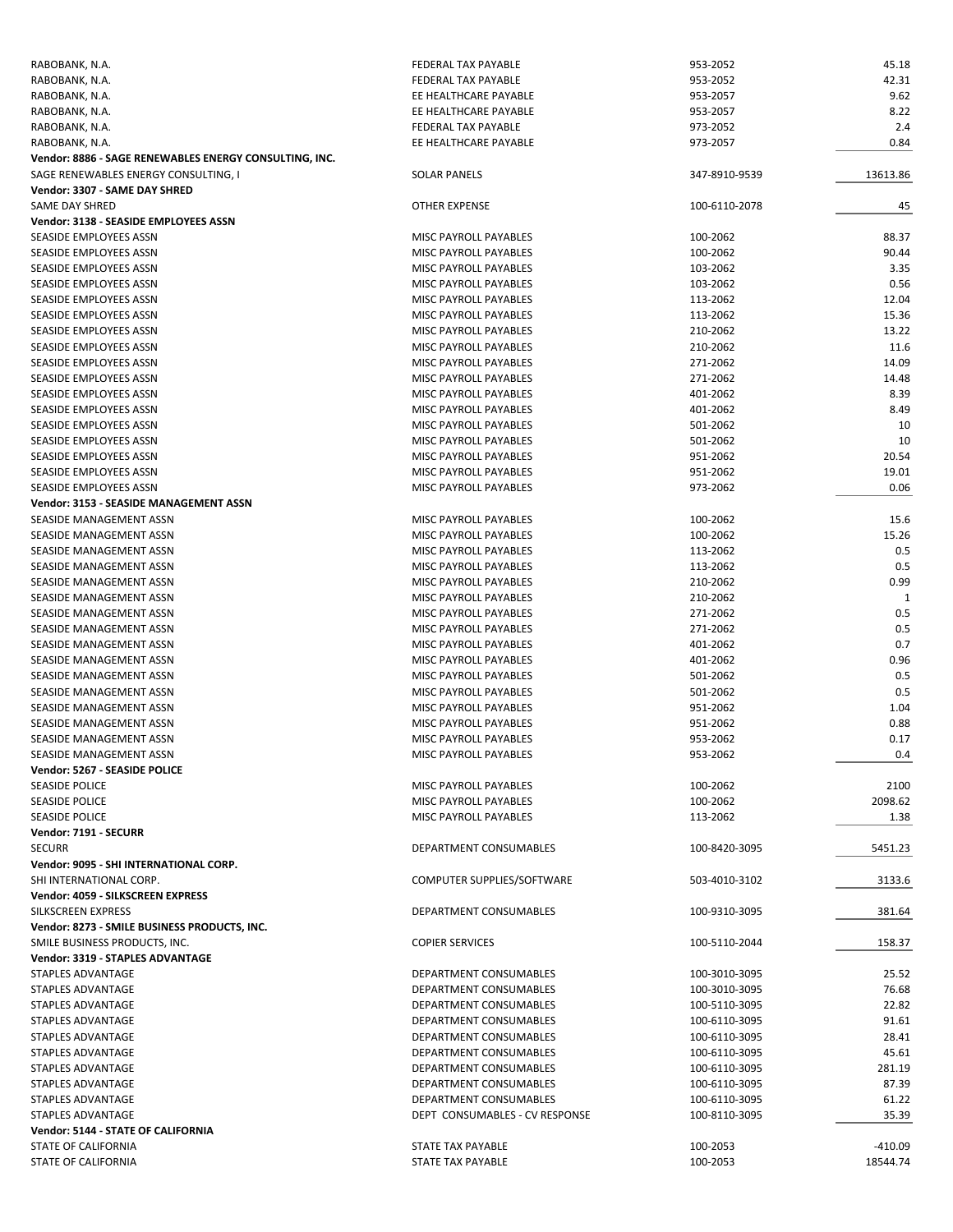| RABOBANK, N.A.                                         | FEDERAL TAX PAYABLE            | 953-2052      | 45.18        |
|--------------------------------------------------------|--------------------------------|---------------|--------------|
| RABOBANK, N.A.                                         | FEDERAL TAX PAYABLE            | 953-2052      | 42.31        |
| RABOBANK, N.A.                                         | EE HEALTHCARE PAYABLE          | 953-2057      | 9.62         |
| RABOBANK, N.A.                                         | EE HEALTHCARE PAYABLE          | 953-2057      | 8.22         |
| RABOBANK, N.A.                                         | FEDERAL TAX PAYABLE            | 973-2052      | 2.4          |
| RABOBANK, N.A.                                         | EE HEALTHCARE PAYABLE          | 973-2057      | 0.84         |
|                                                        |                                |               |              |
| Vendor: 8886 - SAGE RENEWABLES ENERGY CONSULTING, INC. |                                |               |              |
| SAGE RENEWABLES ENERGY CONSULTING, I                   | <b>SOLAR PANELS</b>            | 347-8910-9539 | 13613.86     |
| Vendor: 3307 - SAME DAY SHRED                          |                                |               |              |
| SAME DAY SHRED                                         | OTHER EXPENSE                  | 100-6110-2078 | 45           |
| Vendor: 3138 - SEASIDE EMPLOYEES ASSN                  |                                |               |              |
| SEASIDE EMPLOYEES ASSN                                 | MISC PAYROLL PAYABLES          | 100-2062      | 88.37        |
| SEASIDE EMPLOYEES ASSN                                 | MISC PAYROLL PAYABLES          | 100-2062      | 90.44        |
| SEASIDE EMPLOYEES ASSN                                 | <b>MISC PAYROLL PAYABLES</b>   | 103-2062      | 3.35         |
| SEASIDE EMPLOYEES ASSN                                 | MISC PAYROLL PAYABLES          | 103-2062      | 0.56         |
| SEASIDE EMPLOYEES ASSN                                 | MISC PAYROLL PAYABLES          | 113-2062      | 12.04        |
|                                                        |                                |               | 15.36        |
| SEASIDE EMPLOYEES ASSN                                 | MISC PAYROLL PAYABLES          | 113-2062      |              |
| SEASIDE EMPLOYEES ASSN                                 | MISC PAYROLL PAYABLES          | 210-2062      | 13.22        |
| SEASIDE EMPLOYEES ASSN                                 | MISC PAYROLL PAYABLES          | 210-2062      | 11.6         |
| SEASIDE EMPLOYEES ASSN                                 | MISC PAYROLL PAYABLES          | 271-2062      | 14.09        |
| SEASIDE EMPLOYEES ASSN                                 | MISC PAYROLL PAYABLES          | 271-2062      | 14.48        |
| SEASIDE EMPLOYEES ASSN                                 | MISC PAYROLL PAYABLES          | 401-2062      | 8.39         |
| SEASIDE EMPLOYEES ASSN                                 | MISC PAYROLL PAYABLES          | 401-2062      | 8.49         |
| SEASIDE EMPLOYEES ASSN                                 | <b>MISC PAYROLL PAYABLES</b>   | 501-2062      | 10           |
| SEASIDE EMPLOYEES ASSN                                 | <b>MISC PAYROLL PAYABLES</b>   | 501-2062      | 10           |
|                                                        |                                |               |              |
| SEASIDE EMPLOYEES ASSN                                 | MISC PAYROLL PAYABLES          | 951-2062      | 20.54        |
| SEASIDE EMPLOYEES ASSN                                 | MISC PAYROLL PAYABLES          | 951-2062      | 19.01        |
| SEASIDE EMPLOYEES ASSN                                 | MISC PAYROLL PAYABLES          | 973-2062      | 0.06         |
| Vendor: 3153 - SEASIDE MANAGEMENT ASSN                 |                                |               |              |
| SEASIDE MANAGEMENT ASSN                                | MISC PAYROLL PAYABLES          | 100-2062      | 15.6         |
| SEASIDE MANAGEMENT ASSN                                | MISC PAYROLL PAYABLES          | 100-2062      | 15.26        |
| SEASIDE MANAGEMENT ASSN                                | MISC PAYROLL PAYABLES          | 113-2062      | 0.5          |
| SEASIDE MANAGEMENT ASSN                                | MISC PAYROLL PAYABLES          | 113-2062      | 0.5          |
| SEASIDE MANAGEMENT ASSN                                | MISC PAYROLL PAYABLES          | 210-2062      | 0.99         |
| SEASIDE MANAGEMENT ASSN                                | MISC PAYROLL PAYABLES          | 210-2062      | $\mathbf{1}$ |
|                                                        |                                |               |              |
| SEASIDE MANAGEMENT ASSN                                | MISC PAYROLL PAYABLES          | 271-2062      | 0.5          |
| SEASIDE MANAGEMENT ASSN                                | MISC PAYROLL PAYABLES          | 271-2062      | 0.5          |
| SEASIDE MANAGEMENT ASSN                                | MISC PAYROLL PAYABLES          | 401-2062      | 0.7          |
| SEASIDE MANAGEMENT ASSN                                | MISC PAYROLL PAYABLES          | 401-2062      | 0.96         |
| SEASIDE MANAGEMENT ASSN                                | MISC PAYROLL PAYABLES          | 501-2062      | 0.5          |
| SEASIDE MANAGEMENT ASSN                                | MISC PAYROLL PAYABLES          | 501-2062      | 0.5          |
| SEASIDE MANAGEMENT ASSN                                | MISC PAYROLL PAYABLES          | 951-2062      | 1.04         |
| SEASIDE MANAGEMENT ASSN                                | MISC PAYROLL PAYABLES          | 951-2062      | 0.88         |
| SEASIDE MANAGEMENT ASSN                                | <b>MISC PAYROLL PAYABLES</b>   | 953-2062      | 0.17         |
| SEASIDE MANAGEMENT ASSN                                |                                | 953-2062      |              |
|                                                        | MISC PAYROLL PAYABLES          |               | 0.4          |
| Vendor: 5267 - SEASIDE POLICE                          |                                |               |              |
| <b>SEASIDE POLICE</b>                                  | MISC PAYROLL PAYABLES          | 100-2062      | 2100         |
| SEASIDE POLICE                                         | MISC PAYROLL PAYABLES          | 100-2062      | 2098.62      |
| <b>SEASIDE POLICE</b>                                  | MISC PAYROLL PAYABLES          | 113-2062      | 1.38         |
| Vendor: 7191 - SECURR                                  |                                |               |              |
| <b>SECURR</b>                                          | DEPARTMENT CONSUMABLES         | 100-8420-3095 | 5451.23      |
| Vendor: 9095 - SHI INTERNATIONAL CORP.                 |                                |               |              |
| SHI INTERNATIONAL CORP.                                | COMPUTER SUPPLIES/SOFTWARE     | 503-4010-3102 | 3133.6       |
| Vendor: 4059 - SILKSCREEN EXPRESS                      |                                |               |              |
|                                                        | DEPARTMENT CONSUMABLES         |               |              |
| SILKSCREEN EXPRESS                                     |                                | 100-9310-3095 | 381.64       |
| Vendor: 8273 - SMILE BUSINESS PRODUCTS, INC.           |                                |               |              |
| SMILE BUSINESS PRODUCTS, INC.                          | <b>COPIER SERVICES</b>         | 100-5110-2044 | 158.37       |
| Vendor: 3319 - STAPLES ADVANTAGE                       |                                |               |              |
| STAPLES ADVANTAGE                                      | DEPARTMENT CONSUMABLES         | 100-3010-3095 | 25.52        |
| STAPLES ADVANTAGE                                      | DEPARTMENT CONSUMABLES         | 100-3010-3095 | 76.68        |
| STAPLES ADVANTAGE                                      | DEPARTMENT CONSUMABLES         | 100-5110-3095 | 22.82        |
| STAPLES ADVANTAGE                                      | DEPARTMENT CONSUMABLES         | 100-6110-3095 | 91.61        |
|                                                        |                                |               |              |
| STAPLES ADVANTAGE                                      | DEPARTMENT CONSUMABLES         | 100-6110-3095 | 28.41        |
| STAPLES ADVANTAGE                                      | DEPARTMENT CONSUMABLES         | 100-6110-3095 | 45.61        |
| STAPLES ADVANTAGE                                      | DEPARTMENT CONSUMABLES         | 100-6110-3095 | 281.19       |
| STAPLES ADVANTAGE                                      | DEPARTMENT CONSUMABLES         | 100-6110-3095 | 87.39        |
| STAPLES ADVANTAGE                                      | DEPARTMENT CONSUMABLES         | 100-6110-3095 | 61.22        |
| STAPLES ADVANTAGE                                      | DEPT CONSUMABLES - CV RESPONSE | 100-8110-3095 | 35.39        |
| Vendor: 5144 - STATE OF CALIFORNIA                     |                                |               |              |
| STATE OF CALIFORNIA                                    | STATE TAX PAYABLE              | 100-2053      | -410.09      |
| STATE OF CALIFORNIA                                    | STATE TAX PAYABLE              | 100-2053      | 18544.74     |
|                                                        |                                |               |              |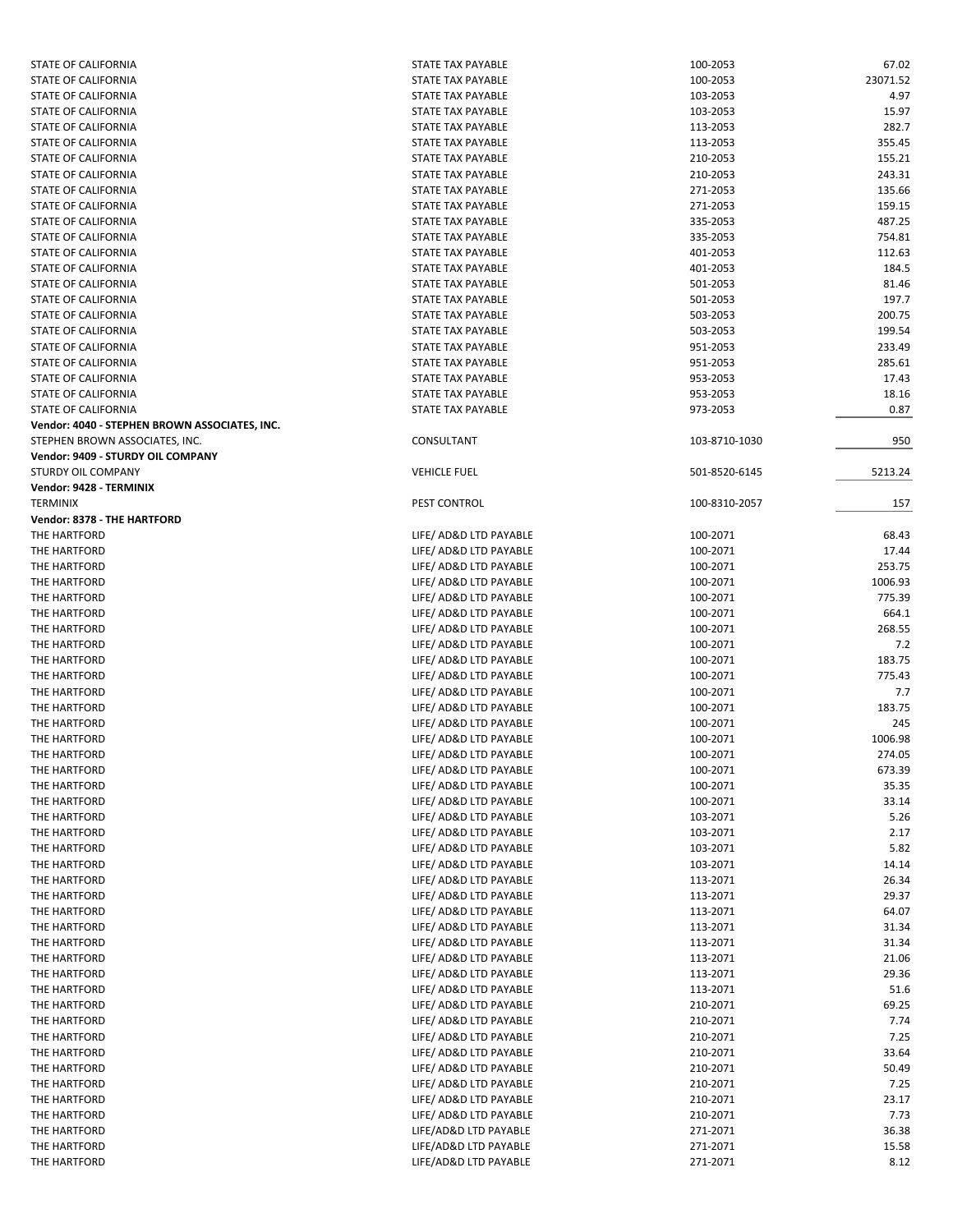| <b>STATE OF CALIFORNIA</b>                    | STATE TAX PAYABLE        | 100-2053      | 67.02    |
|-----------------------------------------------|--------------------------|---------------|----------|
| STATE OF CALIFORNIA                           | STATE TAX PAYABLE        | 100-2053      | 23071.52 |
| STATE OF CALIFORNIA                           | STATE TAX PAYABLE        | 103-2053      | 4.97     |
| STATE OF CALIFORNIA                           | STATE TAX PAYABLE        | 103-2053      | 15.97    |
| STATE OF CALIFORNIA                           | STATE TAX PAYABLE        | 113-2053      | 282.7    |
| STATE OF CALIFORNIA                           | <b>STATE TAX PAYABLE</b> | 113-2053      | 355.45   |
|                                               |                          |               |          |
| STATE OF CALIFORNIA                           | STATE TAX PAYABLE        | 210-2053      | 155.21   |
| STATE OF CALIFORNIA                           | STATE TAX PAYABLE        | 210-2053      | 243.31   |
| STATE OF CALIFORNIA                           | STATE TAX PAYABLE        | 271-2053      | 135.66   |
| STATE OF CALIFORNIA                           | STATE TAX PAYABLE        | 271-2053      | 159.15   |
| STATE OF CALIFORNIA                           | <b>STATE TAX PAYABLE</b> | 335-2053      | 487.25   |
| STATE OF CALIFORNIA                           | STATE TAX PAYABLE        | 335-2053      | 754.81   |
| <b>STATE OF CALIFORNIA</b>                    | STATE TAX PAYABLE        | 401-2053      | 112.63   |
| STATE OF CALIFORNIA                           | <b>STATE TAX PAYABLE</b> | 401-2053      | 184.5    |
| <b>STATE OF CALIFORNIA</b>                    | STATE TAX PAYABLE        | 501-2053      | 81.46    |
| STATE OF CALIFORNIA                           | STATE TAX PAYABLE        |               | 197.7    |
|                                               |                          | 501-2053      |          |
| STATE OF CALIFORNIA                           | <b>STATE TAX PAYABLE</b> | 503-2053      | 200.75   |
| STATE OF CALIFORNIA                           | STATE TAX PAYABLE        | 503-2053      | 199.54   |
| STATE OF CALIFORNIA                           | STATE TAX PAYABLE        | 951-2053      | 233.49   |
| STATE OF CALIFORNIA                           | STATE TAX PAYABLE        | 951-2053      | 285.61   |
| STATE OF CALIFORNIA                           | STATE TAX PAYABLE        | 953-2053      | 17.43    |
| STATE OF CALIFORNIA                           | STATE TAX PAYABLE        | 953-2053      | 18.16    |
| STATE OF CALIFORNIA                           | STATE TAX PAYABLE        | 973-2053      | 0.87     |
| Vendor: 4040 - STEPHEN BROWN ASSOCIATES, INC. |                          |               |          |
| STEPHEN BROWN ASSOCIATES, INC.                | CONSULTANT               | 103-8710-1030 | 950      |
| Vendor: 9409 - STURDY OIL COMPANY             |                          |               |          |
| STURDY OIL COMPANY                            |                          |               |          |
|                                               | <b>VEHICLE FUEL</b>      | 501-8520-6145 | 5213.24  |
| Vendor: 9428 - TERMINIX                       |                          |               |          |
| <b>TERMINIX</b>                               | PEST CONTROL             | 100-8310-2057 | 157      |
| Vendor: 8378 - THE HARTFORD                   |                          |               |          |
| THE HARTFORD                                  | LIFE/ AD&D LTD PAYABLE   | 100-2071      | 68.43    |
| THE HARTFORD                                  | LIFE/ AD&D LTD PAYABLE   | 100-2071      | 17.44    |
| THE HARTFORD                                  | LIFE/ AD&D LTD PAYABLE   | 100-2071      | 253.75   |
| THE HARTFORD                                  | LIFE/ AD&D LTD PAYABLE   | 100-2071      | 1006.93  |
| THE HARTFORD                                  | LIFE/ AD&D LTD PAYABLE   | 100-2071      | 775.39   |
| THE HARTFORD                                  | LIFE/ AD&D LTD PAYABLE   | 100-2071      | 664.1    |
|                                               |                          |               |          |
| THE HARTFORD                                  | LIFE/ AD&D LTD PAYABLE   | 100-2071      | 268.55   |
| THE HARTFORD                                  | LIFE/ AD&D LTD PAYABLE   | 100-2071      | 7.2      |
| THE HARTFORD                                  | LIFE/ AD&D LTD PAYABLE   | 100-2071      | 183.75   |
| THE HARTFORD                                  | LIFE/ AD&D LTD PAYABLE   | 100-2071      | 775.43   |
| THE HARTFORD                                  | LIFE/ AD&D LTD PAYABLE   | 100-2071      | 7.7      |
| THE HARTFORD                                  | LIFE/ AD&D LTD PAYABLE   | 100-2071      | 183.75   |
| THE HARTFORD                                  | LIFE/ AD&D LTD PAYABLE   | 100-2071      | 245      |
| THE HARTFORD                                  | LIFE/ AD&D LTD PAYABLE   | 100-2071      | 1006.98  |
| THE HARTFORD                                  | LIFE/ AD&D LTD PAYABLE   | 100-2071      | 274.05   |
|                                               | LIFE/ AD&D LTD PAYABLE   |               |          |
| THE HARTFORD                                  |                          | 100-2071      | 673.39   |
| THE HARTFORD                                  | LIFE/ AD&D LTD PAYABLE   | 100-2071      | 35.35    |
| THE HARTFORD                                  | LIFE/ AD&D LTD PAYABLE   | 100-2071      | 33.14    |
| THE HARTFORD                                  | LIFE/ AD&D LTD PAYABLE   | 103-2071      | 5.26     |
| THE HARTFORD                                  | LIFE/ AD&D LTD PAYABLE   | 103-2071      | 2.17     |
| THE HARTFORD                                  | LIFE/ AD&D LTD PAYABLE   | 103-2071      | 5.82     |
| THE HARTFORD                                  | LIFE/ AD&D LTD PAYABLE   | 103-2071      | 14.14    |
| THE HARTFORD                                  | LIFE/ AD&D LTD PAYABLE   | 113-2071      | 26.34    |
| THE HARTFORD                                  | LIFE/ AD&D LTD PAYABLE   | 113-2071      | 29.37    |
| THE HARTFORD                                  | LIFE/ AD&D LTD PAYABLE   |               | 64.07    |
|                                               |                          | 113-2071      |          |
| THE HARTFORD                                  | LIFE/ AD&D LTD PAYABLE   | 113-2071      | 31.34    |
| THE HARTFORD                                  | LIFE/ AD&D LTD PAYABLE   | 113-2071      | 31.34    |
| THE HARTFORD                                  | LIFE/ AD&D LTD PAYABLE   | 113-2071      | 21.06    |
| THE HARTFORD                                  | LIFE/ AD&D LTD PAYABLE   | 113-2071      | 29.36    |
| THE HARTFORD                                  | LIFE/ AD&D LTD PAYABLE   | 113-2071      | 51.6     |
| THE HARTFORD                                  | LIFE/ AD&D LTD PAYABLE   | 210-2071      | 69.25    |
| THE HARTFORD                                  | LIFE/ AD&D LTD PAYABLE   | 210-2071      | 7.74     |
| THE HARTFORD                                  | LIFE/ AD&D LTD PAYABLE   | 210-2071      | 7.25     |
|                                               |                          |               |          |
| THE HARTFORD                                  | LIFE/ AD&D LTD PAYABLE   | 210-2071      | 33.64    |
| THE HARTFORD                                  | LIFE/ AD&D LTD PAYABLE   | 210-2071      | 50.49    |
| THE HARTFORD                                  | LIFE/ AD&D LTD PAYABLE   | 210-2071      | 7.25     |
| THE HARTFORD                                  | LIFE/ AD&D LTD PAYABLE   | 210-2071      | 23.17    |
| THE HARTFORD                                  | LIFE/ AD&D LTD PAYABLE   | 210-2071      | 7.73     |
| THE HARTFORD                                  | LIFE/AD&D LTD PAYABLE    | 271-2071      | 36.38    |
| THE HARTFORD                                  | LIFE/AD&D LTD PAYABLE    | 271-2071      | 15.58    |
| THE HARTFORD                                  | LIFE/AD&D LTD PAYABLE    | 271-2071      | 8.12     |
|                                               |                          |               |          |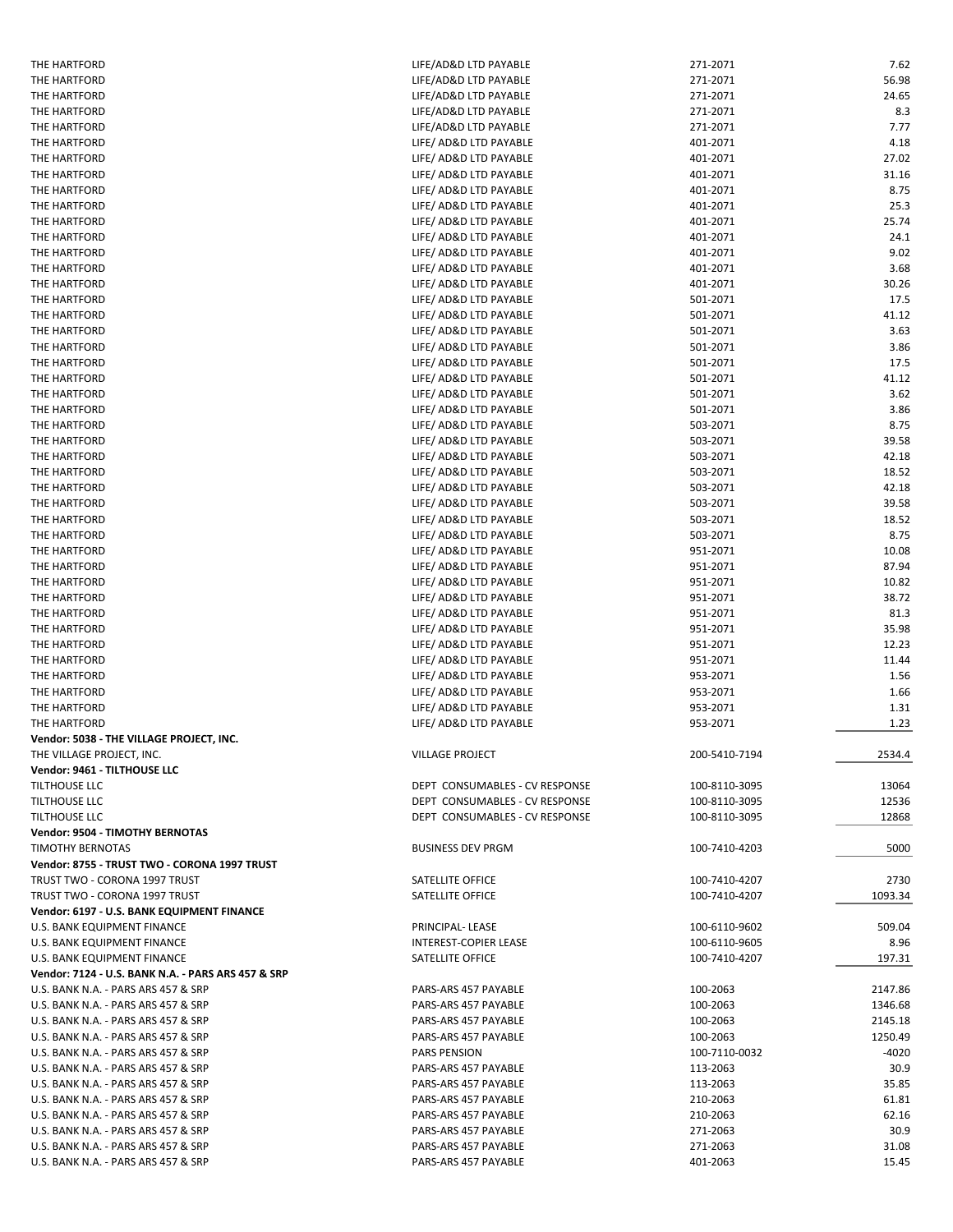| THE HARTFORD                                        | LIFE/AD&D LTD PAYABLE          | 271-2071      | 7.62    |
|-----------------------------------------------------|--------------------------------|---------------|---------|
| THE HARTFORD                                        | LIFE/AD&D LTD PAYABLE          | 271-2071      | 56.98   |
| THE HARTFORD                                        | LIFE/AD&D LTD PAYABLE          | 271-2071      | 24.65   |
| THE HARTFORD                                        | LIFE/AD&D LTD PAYABLE          | 271-2071      | 8.3     |
| THE HARTFORD                                        | LIFE/AD&D LTD PAYABLE          | 271-2071      | 7.77    |
| THE HARTFORD                                        | LIFE/ AD&D LTD PAYABLE         | 401-2071      | 4.18    |
|                                                     |                                |               |         |
| THE HARTFORD                                        | LIFE/ AD&D LTD PAYABLE         | 401-2071      | 27.02   |
| THE HARTFORD                                        | LIFE/ AD&D LTD PAYABLE         | 401-2071      | 31.16   |
| THE HARTFORD                                        | LIFE/ AD&D LTD PAYABLE         | 401-2071      | 8.75    |
| THE HARTFORD                                        | LIFE/ AD&D LTD PAYABLE         | 401-2071      | 25.3    |
| THE HARTFORD                                        | LIFE/ AD&D LTD PAYABLE         | 401-2071      | 25.74   |
| THE HARTFORD                                        | LIFE/ AD&D LTD PAYABLE         | 401-2071      | 24.1    |
| THE HARTFORD                                        | LIFE/ AD&D LTD PAYABLE         | 401-2071      | 9.02    |
| THE HARTFORD                                        | LIFE/ AD&D LTD PAYABLE         | 401-2071      | 3.68    |
| THE HARTFORD                                        | LIFE/ AD&D LTD PAYABLE         | 401-2071      | 30.26   |
| THE HARTFORD                                        | LIFE/ AD&D LTD PAYABLE         | 501-2071      | 17.5    |
| THE HARTFORD                                        | LIFE/ AD&D LTD PAYABLE         | 501-2071      | 41.12   |
|                                                     |                                |               |         |
| THE HARTFORD                                        | LIFE/ AD&D LTD PAYABLE         | 501-2071      | 3.63    |
| THE HARTFORD                                        | LIFE/ AD&D LTD PAYABLE         | 501-2071      | 3.86    |
| THE HARTFORD                                        | LIFE/ AD&D LTD PAYABLE         | 501-2071      | 17.5    |
| THE HARTFORD                                        | LIFE/ AD&D LTD PAYABLE         | 501-2071      | 41.12   |
| THE HARTFORD                                        | LIFE/ AD&D LTD PAYABLE         | 501-2071      | 3.62    |
| THE HARTFORD                                        | LIFE/ AD&D LTD PAYABLE         | 501-2071      | 3.86    |
| THE HARTFORD                                        | LIFE/ AD&D LTD PAYABLE         | 503-2071      | 8.75    |
| THE HARTFORD                                        | LIFE/ AD&D LTD PAYABLE         | 503-2071      | 39.58   |
| THE HARTFORD                                        | LIFE/ AD&D LTD PAYABLE         | 503-2071      | 42.18   |
| THE HARTFORD                                        | LIFE/ AD&D LTD PAYABLE         | 503-2071      | 18.52   |
|                                                     |                                |               |         |
| THE HARTFORD                                        | LIFE/ AD&D LTD PAYABLE         | 503-2071      | 42.18   |
| THE HARTFORD                                        | LIFE/ AD&D LTD PAYABLE         | 503-2071      | 39.58   |
| THE HARTFORD                                        | LIFE/ AD&D LTD PAYABLE         | 503-2071      | 18.52   |
| THE HARTFORD                                        | LIFE/ AD&D LTD PAYABLE         | 503-2071      | 8.75    |
| THE HARTFORD                                        | LIFE/ AD&D LTD PAYABLE         | 951-2071      | 10.08   |
| THE HARTFORD                                        | LIFE/ AD&D LTD PAYABLE         | 951-2071      | 87.94   |
| THE HARTFORD                                        | LIFE/ AD&D LTD PAYABLE         | 951-2071      | 10.82   |
| THE HARTFORD                                        | LIFE/ AD&D LTD PAYABLE         | 951-2071      | 38.72   |
| THE HARTFORD                                        | LIFE/ AD&D LTD PAYABLE         | 951-2071      | 81.3    |
| THE HARTFORD                                        | LIFE/ AD&D LTD PAYABLE         | 951-2071      | 35.98   |
| THE HARTFORD                                        | LIFE/ AD&D LTD PAYABLE         | 951-2071      | 12.23   |
|                                                     |                                |               |         |
| THE HARTFORD                                        | LIFE/ AD&D LTD PAYABLE         | 951-2071      | 11.44   |
| THE HARTFORD                                        | LIFE/ AD&D LTD PAYABLE         | 953-2071      | 1.56    |
| THE HARTFORD                                        | LIFE/ AD&D LTD PAYABLE         | 953-2071      | 1.66    |
| THE HARTFORD                                        | LIFE/ AD&D LTD PAYABLE         | 953-2071      | 1.31    |
| THE HARTFORD                                        | LIFE/ AD&D LTD PAYABLE         | 953-2071      | 1.23    |
| Vendor: 5038 - THE VILLAGE PROJECT, INC.            |                                |               |         |
| THE VILLAGE PROJECT, INC.                           | <b>VILLAGE PROJECT</b>         | 200-5410-7194 | 2534.4  |
| Vendor: 9461 - TILTHOUSE LLC                        |                                |               |         |
| TILTHOUSE LLC                                       | DEPT CONSUMABLES - CV RESPONSE | 100-8110-3095 | 13064   |
| <b>TILTHOUSE LLC</b>                                | DEPT CONSUMABLES - CV RESPONSE | 100-8110-3095 | 12536   |
| TILTHOUSE LLC                                       | DEPT CONSUMABLES - CV RESPONSE | 100-8110-3095 | 12868   |
|                                                     |                                |               |         |
| Vendor: 9504 - TIMOTHY BERNOTAS<br>TIMOTHY BERNOTAS | <b>BUSINESS DEV PRGM</b>       |               |         |
|                                                     |                                | 100-7410-4203 | 5000    |
| Vendor: 8755 - TRUST TWO - CORONA 1997 TRUST        |                                |               |         |
| TRUST TWO - CORONA 1997 TRUST                       | SATELLITE OFFICE               | 100-7410-4207 | 2730    |
| TRUST TWO - CORONA 1997 TRUST                       | SATELLITE OFFICE               | 100-7410-4207 | 1093.34 |
| Vendor: 6197 - U.S. BANK EQUIPMENT FINANCE          |                                |               |         |
| U.S. BANK EQUIPMENT FINANCE                         | PRINCIPAL-LEASE                | 100-6110-9602 | 509.04  |
| U.S. BANK EQUIPMENT FINANCE                         | INTEREST-COPIER LEASE          | 100-6110-9605 | 8.96    |
| U.S. BANK EQUIPMENT FINANCE                         |                                |               |         |
| Vendor: 7124 - U.S. BANK N.A. - PARS ARS 457 & SRP  | SATELLITE OFFICE               | 100-7410-4207 |         |
| U.S. BANK N.A. - PARS ARS 457 & SRP                 |                                |               | 197.31  |
|                                                     |                                |               |         |
|                                                     | PARS-ARS 457 PAYABLE           | 100-2063      | 2147.86 |
| U.S. BANK N.A. - PARS ARS 457 & SRP                 | PARS-ARS 457 PAYABLE           | 100-2063      | 1346.68 |
| U.S. BANK N.A. - PARS ARS 457 & SRP                 | PARS-ARS 457 PAYABLE           | 100-2063      | 2145.18 |
| U.S. BANK N.A. - PARS ARS 457 & SRP                 | PARS-ARS 457 PAYABLE           | 100-2063      | 1250.49 |
| U.S. BANK N.A. - PARS ARS 457 & SRP                 | <b>PARS PENSION</b>            | 100-7110-0032 | $-4020$ |
| U.S. BANK N.A. - PARS ARS 457 & SRP                 | PARS-ARS 457 PAYABLE           | 113-2063      | 30.9    |
| U.S. BANK N.A. - PARS ARS 457 & SRP                 | PARS-ARS 457 PAYABLE           | 113-2063      | 35.85   |
| U.S. BANK N.A. - PARS ARS 457 & SRP                 | PARS-ARS 457 PAYABLE           | 210-2063      | 61.81   |
| U.S. BANK N.A. - PARS ARS 457 & SRP                 | PARS-ARS 457 PAYABLE           | 210-2063      | 62.16   |
| U.S. BANK N.A. - PARS ARS 457 & SRP                 | PARS-ARS 457 PAYABLE           | 271-2063      | 30.9    |
| U.S. BANK N.A. - PARS ARS 457 & SRP                 | PARS-ARS 457 PAYABLE           | 271-2063      | 31.08   |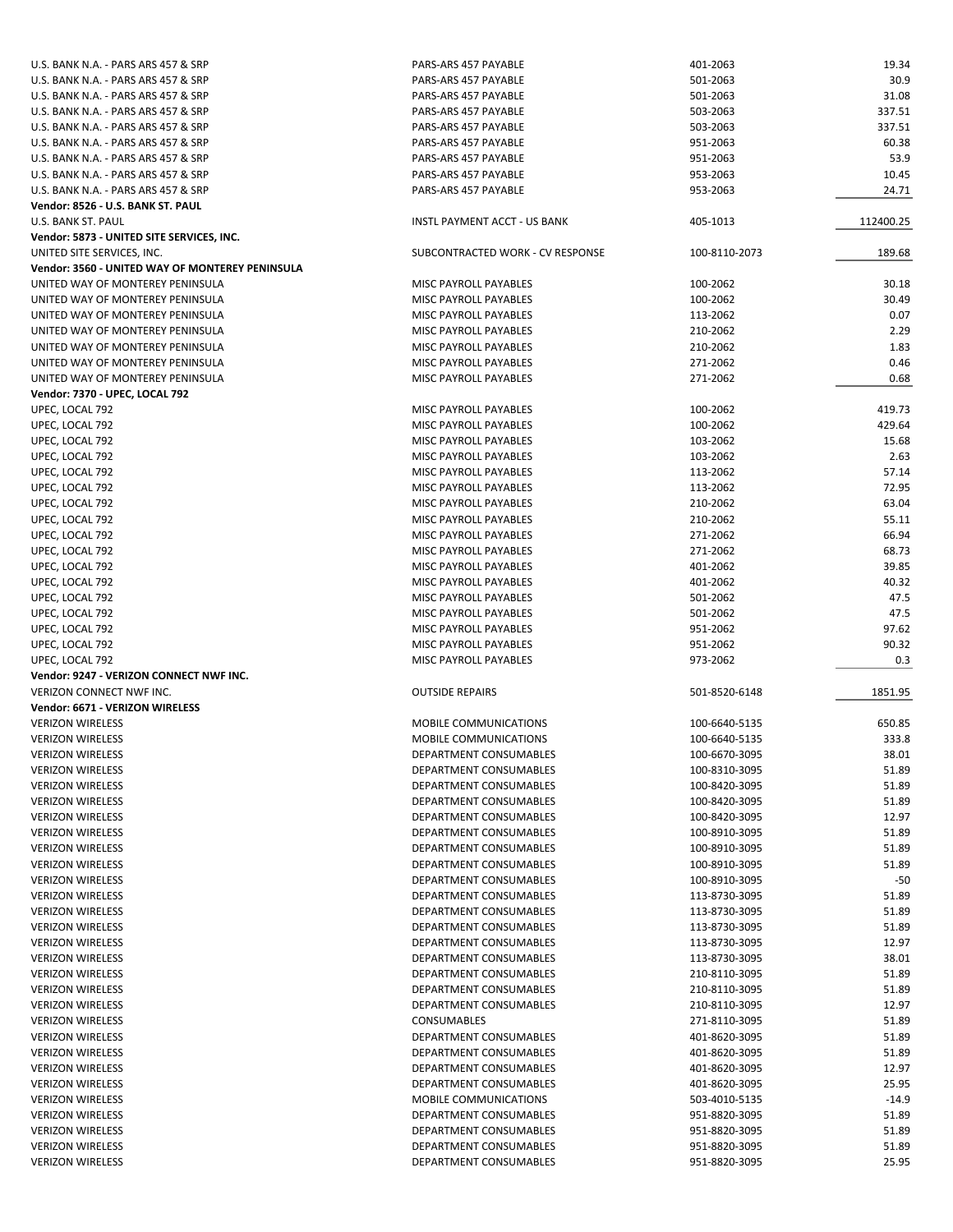| U.S. BANK N.A. - PARS ARS 457 & SRP             | PARS-ARS 457 PAYABLE             | 401-2063      | 19.34     |
|-------------------------------------------------|----------------------------------|---------------|-----------|
| U.S. BANK N.A. - PARS ARS 457 & SRP             | PARS-ARS 457 PAYABLE             | 501-2063      | 30.9      |
| U.S. BANK N.A. - PARS ARS 457 & SRP             | PARS-ARS 457 PAYABLE             | 501-2063      | 31.08     |
| U.S. BANK N.A. - PARS ARS 457 & SRP             | PARS-ARS 457 PAYABLE             | 503-2063      | 337.51    |
|                                                 |                                  |               |           |
| U.S. BANK N.A. - PARS ARS 457 & SRP             | PARS-ARS 457 PAYABLE             | 503-2063      | 337.51    |
| U.S. BANK N.A. - PARS ARS 457 & SRP             | PARS-ARS 457 PAYABLE             | 951-2063      | 60.38     |
| U.S. BANK N.A. - PARS ARS 457 & SRP             | PARS-ARS 457 PAYABLE             | 951-2063      | 53.9      |
| U.S. BANK N.A. - PARS ARS 457 & SRP             | PARS-ARS 457 PAYABLE             | 953-2063      | 10.45     |
| U.S. BANK N.A. - PARS ARS 457 & SRP             | PARS-ARS 457 PAYABLE             | 953-2063      | 24.71     |
| Vendor: 8526 - U.S. BANK ST. PAUL               |                                  |               |           |
|                                                 |                                  |               | 112400.25 |
| U.S. BANK ST. PAUL                              | INSTL PAYMENT ACCT - US BANK     | 405-1013      |           |
| Vendor: 5873 - UNITED SITE SERVICES, INC.       |                                  |               |           |
| UNITED SITE SERVICES, INC.                      | SUBCONTRACTED WORK - CV RESPONSE | 100-8110-2073 | 189.68    |
| Vendor: 3560 - UNITED WAY OF MONTEREY PENINSULA |                                  |               |           |
| UNITED WAY OF MONTEREY PENINSULA                | <b>MISC PAYROLL PAYABLES</b>     | 100-2062      | 30.18     |
| UNITED WAY OF MONTEREY PENINSULA                | MISC PAYROLL PAYABLES            | 100-2062      | 30.49     |
| UNITED WAY OF MONTEREY PENINSULA                | MISC PAYROLL PAYABLES            | 113-2062      | 0.07      |
|                                                 |                                  |               |           |
| UNITED WAY OF MONTEREY PENINSULA                | MISC PAYROLL PAYABLES            | 210-2062      | 2.29      |
| UNITED WAY OF MONTEREY PENINSULA                | MISC PAYROLL PAYABLES            | 210-2062      | 1.83      |
| UNITED WAY OF MONTEREY PENINSULA                | MISC PAYROLL PAYABLES            | 271-2062      | 0.46      |
| UNITED WAY OF MONTEREY PENINSULA                | MISC PAYROLL PAYABLES            | 271-2062      | 0.68      |
| Vendor: 7370 - UPEC, LOCAL 792                  |                                  |               |           |
| UPEC, LOCAL 792                                 | MISC PAYROLL PAYABLES            | 100-2062      | 419.73    |
|                                                 |                                  | 100-2062      | 429.64    |
| UPEC, LOCAL 792                                 | MISC PAYROLL PAYABLES            |               |           |
| UPEC, LOCAL 792                                 | MISC PAYROLL PAYABLES            | 103-2062      | 15.68     |
| UPEC, LOCAL 792                                 | MISC PAYROLL PAYABLES            | 103-2062      | 2.63      |
| UPEC, LOCAL 792                                 | MISC PAYROLL PAYABLES            | 113-2062      | 57.14     |
| UPEC, LOCAL 792                                 | MISC PAYROLL PAYABLES            | 113-2062      | 72.95     |
| UPEC, LOCAL 792                                 | MISC PAYROLL PAYABLES            | 210-2062      | 63.04     |
| UPEC, LOCAL 792                                 | MISC PAYROLL PAYABLES            | 210-2062      | 55.11     |
|                                                 |                                  |               |           |
| UPEC, LOCAL 792                                 | MISC PAYROLL PAYABLES            | 271-2062      | 66.94     |
| UPEC, LOCAL 792                                 | MISC PAYROLL PAYABLES            | 271-2062      | 68.73     |
| UPEC, LOCAL 792                                 | MISC PAYROLL PAYABLES            | 401-2062      | 39.85     |
| UPEC, LOCAL 792                                 | MISC PAYROLL PAYABLES            | 401-2062      | 40.32     |
| UPEC, LOCAL 792                                 | MISC PAYROLL PAYABLES            | 501-2062      | 47.5      |
| UPEC, LOCAL 792                                 | MISC PAYROLL PAYABLES            | 501-2062      | 47.5      |
| UPEC, LOCAL 792                                 | MISC PAYROLL PAYABLES            | 951-2062      | 97.62     |
|                                                 |                                  |               |           |
| UPEC, LOCAL 792                                 | MISC PAYROLL PAYABLES            | 951-2062      | 90.32     |
| UPEC, LOCAL 792                                 | MISC PAYROLL PAYABLES            | 973-2062      | 0.3       |
| Vendor: 9247 - VERIZON CONNECT NWF INC.         |                                  |               |           |
| VERIZON CONNECT NWF INC.                        | <b>OUTSIDE REPAIRS</b>           | 501-8520-6148 | 1851.95   |
| Vendor: 6671 - VERIZON WIRELESS                 |                                  |               |           |
| <b>VERIZON WIRELESS</b>                         | MOBILE COMMUNICATIONS            | 100-6640-5135 | 650.85    |
|                                                 |                                  |               |           |
| <b>VERIZON WIRELESS</b>                         | MOBILE COMMUNICATIONS            | 100-6640-5135 | 333.8     |
| <b>VERIZON WIRELESS</b>                         | DEPARTMENT CONSUMABLES           | 100-6670-3095 | 38.01     |
| <b>VERIZON WIRELESS</b>                         | DEPARTMENT CONSUMABLES           | 100-8310-3095 | 51.89     |
| <b>VERIZON WIRELESS</b>                         | DEPARTMENT CONSUMABLES           | 100-8420-3095 | 51.89     |
| <b>VERIZON WIRELESS</b>                         | DEPARTMENT CONSUMABLES           | 100-8420-3095 | 51.89     |
| <b>VERIZON WIRELESS</b>                         | DEPARTMENT CONSUMABLES           | 100-8420-3095 | 12.97     |
|                                                 | <b>DEPARTMENT CONSUMABLES</b>    |               |           |
| <b>VERIZON WIRELESS</b>                         |                                  | 100-8910-3095 | 51.89     |
| <b>VERIZON WIRELESS</b>                         | DEPARTMENT CONSUMABLES           | 100-8910-3095 | 51.89     |
| <b>VERIZON WIRELESS</b>                         | DEPARTMENT CONSUMABLES           | 100-8910-3095 | 51.89     |
| <b>VERIZON WIRELESS</b>                         | DEPARTMENT CONSUMABLES           | 100-8910-3095 | $-50$     |
| <b>VERIZON WIRELESS</b>                         | DEPARTMENT CONSUMABLES           | 113-8730-3095 | 51.89     |
| <b>VERIZON WIRELESS</b>                         | DEPARTMENT CONSUMABLES           | 113-8730-3095 | 51.89     |
| <b>VERIZON WIRELESS</b>                         | DEPARTMENT CONSUMABLES           | 113-8730-3095 | 51.89     |
|                                                 |                                  |               |           |
| <b>VERIZON WIRELESS</b>                         | DEPARTMENT CONSUMABLES           | 113-8730-3095 | 12.97     |
| <b>VERIZON WIRELESS</b>                         | DEPARTMENT CONSUMABLES           | 113-8730-3095 | 38.01     |
| <b>VERIZON WIRELESS</b>                         | DEPARTMENT CONSUMABLES           | 210-8110-3095 | 51.89     |
| <b>VERIZON WIRELESS</b>                         | DEPARTMENT CONSUMABLES           | 210-8110-3095 | 51.89     |
| <b>VERIZON WIRELESS</b>                         | DEPARTMENT CONSUMABLES           | 210-8110-3095 | 12.97     |
| <b>VERIZON WIRELESS</b>                         | CONSUMABLES                      | 271-8110-3095 | 51.89     |
|                                                 |                                  |               |           |
| <b>VERIZON WIRELESS</b>                         | DEPARTMENT CONSUMABLES           | 401-8620-3095 | 51.89     |
| <b>VERIZON WIRELESS</b>                         | DEPARTMENT CONSUMABLES           | 401-8620-3095 | 51.89     |
| <b>VERIZON WIRELESS</b>                         | DEPARTMENT CONSUMABLES           | 401-8620-3095 | 12.97     |
| <b>VERIZON WIRELESS</b>                         | DEPARTMENT CONSUMABLES           | 401-8620-3095 | 25.95     |
| <b>VERIZON WIRELESS</b>                         | MOBILE COMMUNICATIONS            | 503-4010-5135 | $-14.9$   |
| <b>VERIZON WIRELESS</b>                         | DEPARTMENT CONSUMABLES           | 951-8820-3095 | 51.89     |
| <b>VERIZON WIRELESS</b>                         | DEPARTMENT CONSUMABLES           | 951-8820-3095 | 51.89     |
|                                                 |                                  |               |           |
| <b>VERIZON WIRELESS</b>                         | DEPARTMENT CONSUMABLES           | 951-8820-3095 | 51.89     |
| <b>VERIZON WIRELESS</b>                         | DEPARTMENT CONSUMABLES           | 951-8820-3095 | 25.95     |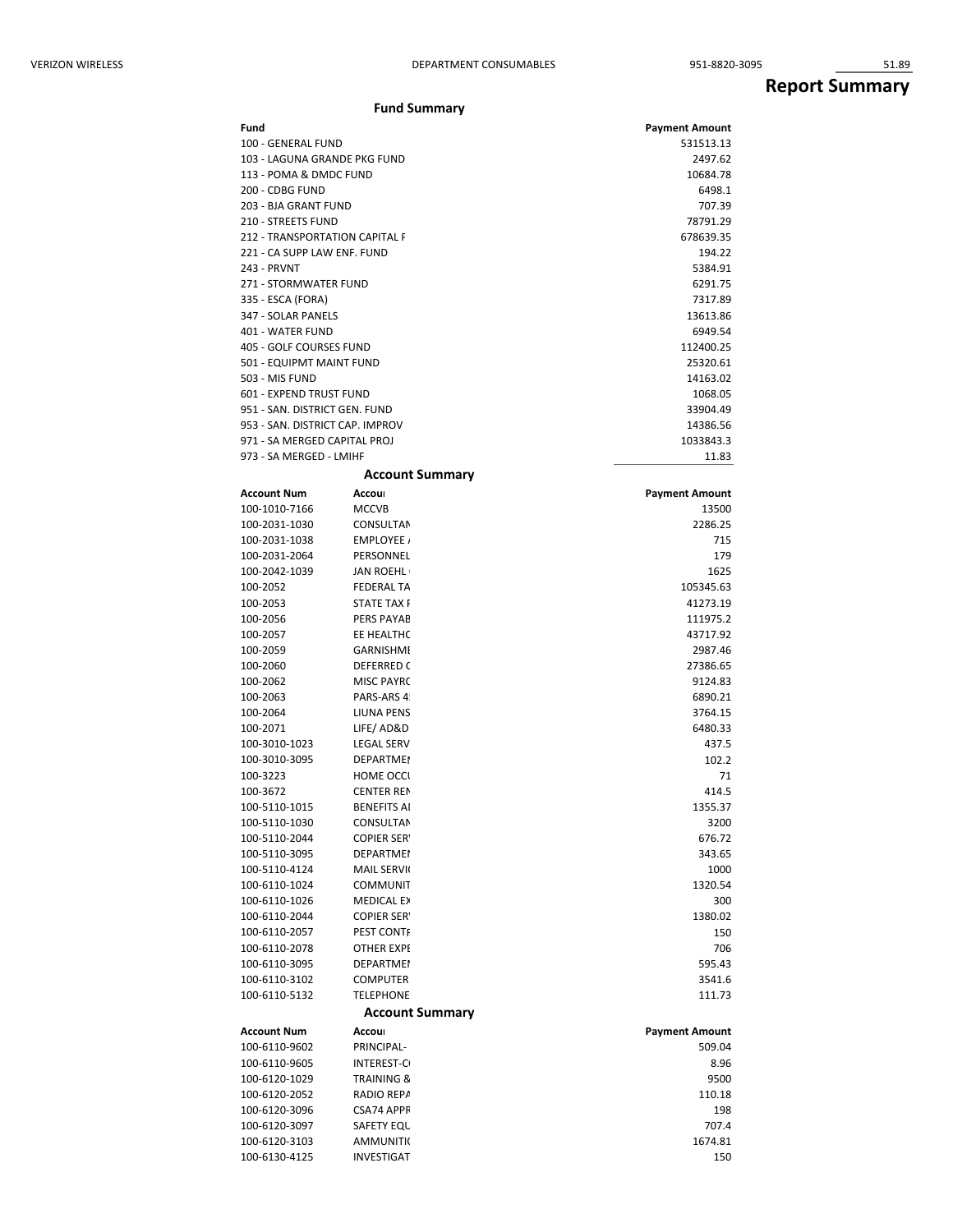## **Report Summary**

| VERIZON WIRELESS |                                      | DEPARTMENT CONSUMABLES              | 951-8820-3095         | 51.89                 |
|------------------|--------------------------------------|-------------------------------------|-----------------------|-----------------------|
|                  |                                      |                                     |                       | <b>Report Summary</b> |
|                  |                                      | <b>Fund Summary</b>                 |                       |                       |
|                  | Fund                                 |                                     | <b>Payment Amount</b> |                       |
|                  | 100 - GENERAL FUND                   |                                     | 531513.13             |                       |
|                  | 103 - LAGUNA GRANDE PKG FUND         |                                     | 2497.62               |                       |
|                  | 113 - POMA & DMDC FUND               |                                     | 10684.78              |                       |
|                  | 200 - CDBG FUND                      |                                     | 6498.1                |                       |
|                  | 203 - BJA GRANT FUND                 |                                     | 707.39                |                       |
|                  | 210 - STREETS FUND                   |                                     | 78791.29              |                       |
|                  | 212 - TRANSPORTATION CAPITAL F       |                                     | 678639.35             |                       |
|                  | 221 - CA SUPP LAW ENF. FUND          |                                     | 194.22                |                       |
|                  | 243 - PRVNT<br>271 - STORMWATER FUND |                                     | 5384.91<br>6291.75    |                       |
|                  | 335 - ESCA (FORA)                    |                                     | 7317.89               |                       |
|                  | 347 - SOLAR PANELS                   |                                     | 13613.86              |                       |
|                  | 401 - WATER FUND                     |                                     | 6949.54               |                       |
|                  | 405 - GOLF COURSES FUND              |                                     | 112400.25             |                       |
|                  | 501 - EQUIPMT MAINT FUND             |                                     | 25320.61              |                       |
|                  | 503 - MIS FUND                       |                                     | 14163.02              |                       |
|                  | 601 - EXPEND TRUST FUND              |                                     | 1068.05               |                       |
|                  | 951 - SAN. DISTRICT GEN. FUND        |                                     | 33904.49              |                       |
|                  | 953 - SAN. DISTRICT CAP. IMPROV      |                                     | 14386.56              |                       |
|                  | 971 - SA MERGED CAPITAL PROJ         |                                     | 1033843.3             |                       |
|                  | 973 - SA MERGED - LMIHF              |                                     | 11.83                 |                       |
|                  |                                      | <b>Account Summary</b>              |                       |                       |
|                  | <b>Account Num</b>                   | Accour                              | <b>Payment Amount</b> |                       |
|                  | 100-1010-7166                        | <b>MCCVB</b>                        | 13500                 |                       |
|                  | 100-2031-1030                        | CONSULTAN                           | 2286.25               |                       |
|                  | 100-2031-1038<br>100-2031-2064       | EMPLOYEE /<br>PERSONNEL             | 715<br>179            |                       |
|                  | 100-2042-1039                        | JAN ROEHL                           | 1625                  |                       |
|                  | 100-2052                             | <b>FEDERAL TA</b>                   | 105345.63             |                       |
|                  | 100-2053                             | <b>STATE TAX F</b>                  | 41273.19              |                       |
|                  | 100-2056                             | PERS PAYAB                          | 111975.2              |                       |
|                  | 100-2057                             | EE HEALTHC                          | 43717.92              |                       |
|                  | 100-2059                             | GARNISHME                           | 2987.46               |                       |
|                  | 100-2060                             | DEFERRED C                          | 27386.65              |                       |
|                  | 100-2062                             | <b>MISC PAYRC</b>                   | 9124.83               |                       |
|                  | 100-2063                             | PARS-ARS 4!                         | 6890.21               |                       |
|                  | 100-2064                             | LIUNA PENS                          | 3764.15               |                       |
|                  | 100-2071                             | LIFE/AD&D                           | 6480.33               |                       |
|                  | 100-3010-1023<br>100-3010-3095       | LEGAL SERV<br><b>DEPARTMEN</b>      | 437.5<br>102.2        |                       |
|                  | 100-3223                             | <b>HOME OCCL</b>                    | 71                    |                       |
|                  | 100-3672                             | <b>CENTER REN</b>                   | 414.5                 |                       |
|                  | 100-5110-1015                        | <b>BENEFITS AI</b>                  | 1355.37               |                       |
|                  | 100-5110-1030                        | CONSULTAN                           | 3200                  |                       |
|                  | 100-5110-2044                        | <b>COPIER SERY</b>                  | 676.72                |                       |
|                  | 100-5110-3095                        | <b>DEPARTMEN</b>                    | 343.65                |                       |
|                  | 100-5110-4124                        | MAIL SERVI(                         | 1000                  |                       |
|                  | 100-6110-1024                        | COMMUNIT                            | 1320.54               |                       |
|                  | 100-6110-1026                        | MEDICAL EX                          | 300                   |                       |
|                  | 100-6110-2044                        | <b>COPIER SERY</b>                  | 1380.02               |                       |
|                  | 100-6110-2057                        | PEST CONTF                          | 150                   |                       |
|                  | 100-6110-2078                        | OTHER EXPE                          | 706                   |                       |
|                  | 100-6110-3095                        | <b>DEPARTMEN</b>                    | 595.43                |                       |
|                  | 100-6110-3102<br>100-6110-5132       | <b>COMPUTER</b><br><b>TELEPHONE</b> | 3541.6<br>111.73      |                       |
|                  |                                      |                                     |                       |                       |

| <b>Account Num</b> | Accour                | <b>Payment Amount</b> |
|--------------------|-----------------------|-----------------------|
| 100-6110-9602      | PRINCIPAL-            | 509.04                |
| 100-6110-9605      | <b>INTEREST-CO</b>    | 8.96                  |
| 100-6120-1029      | <b>TRAINING &amp;</b> | 9500                  |
| 100-6120-2052      | RADIO REPA            | 110.18                |
| 100-6120-3096      | CSA74 APPR            | 198                   |
| 100-6120-3097      | SAFETY EQU            | 707.4                 |
| 100-6120-3103      | <b>AMMUNITIC</b>      | 1674.81               |
| 100-6130-4125      | <b>INVESTIGAT</b>     | 150                   |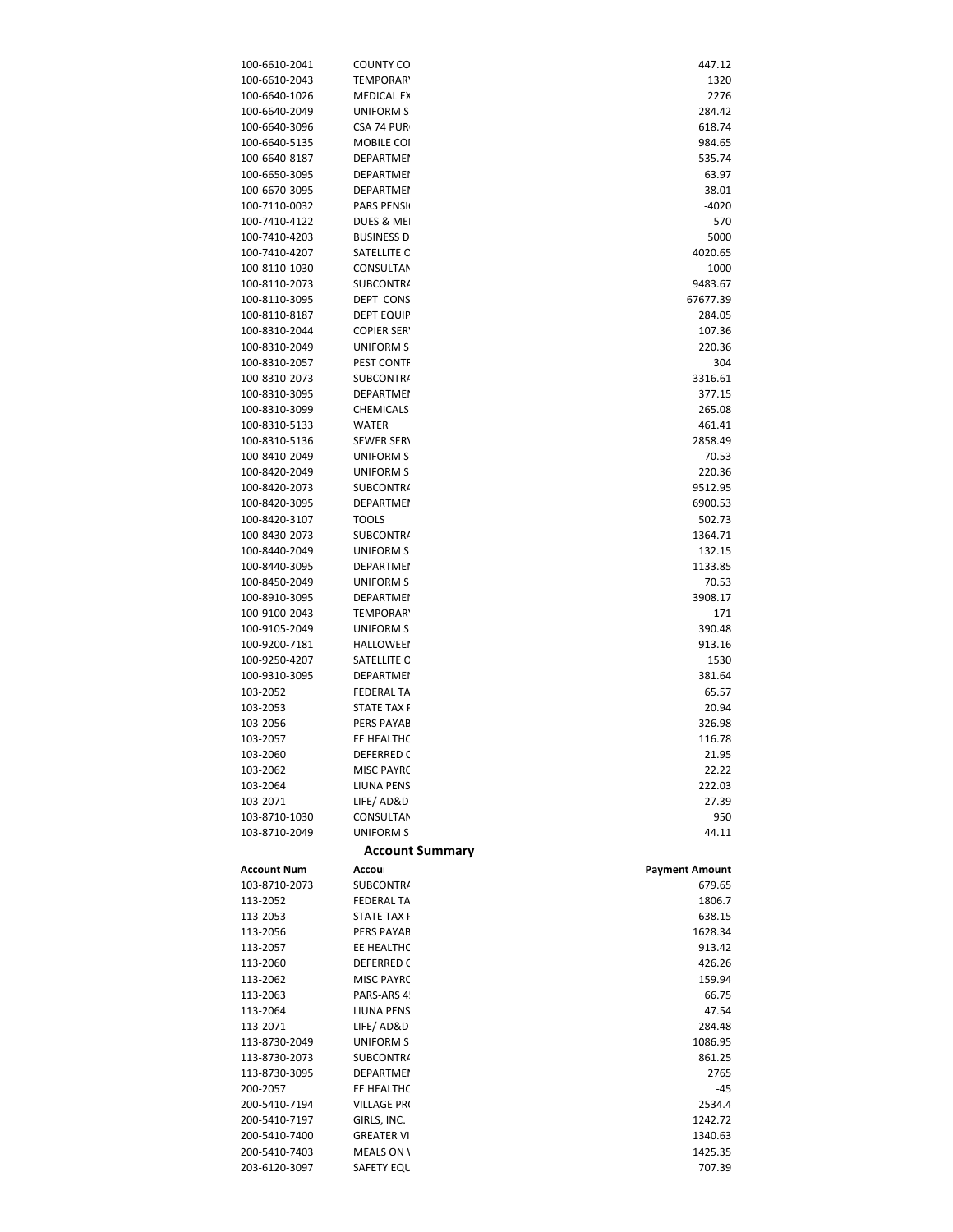| 100-6610-2041                  | COUNTY CO                | 447.12                |
|--------------------------------|--------------------------|-----------------------|
| 100-6610-2043                  | <b>TEMPORAR</b>          | 1320                  |
| 100-6640-1026                  | <b>MEDICAL EX</b>        | 2276                  |
| 100-6640-2049                  | UNIFORM S                | 284.42                |
| 100-6640-3096                  | CSA 74 PUR               | 618.74                |
| 100-6640-5135                  | MOBILE COI               | 984.65                |
| 100-6640-8187                  | <b>DEPARTMEN</b>         | 535.74                |
|                                |                          |                       |
| 100-6650-3095                  | <b>DEPARTMEN</b>         | 63.97                 |
| 100-6670-3095                  | <b>DEPARTMEN</b>         | 38.01                 |
| 100-7110-0032                  | PARS PENSIL              | -4020                 |
| 100-7410-4122                  | DUES & MEI               | 570                   |
| 100-7410-4203                  | <b>BUSINESS D</b>        | 5000                  |
| 100-7410-4207                  | SATELLITE O              | 4020.65               |
| 100-8110-1030                  | CONSULTAN                | 1000                  |
| 100-8110-2073                  | <b>SUBCONTRA</b>         | 9483.67               |
| 100-8110-3095                  | DEPT CONS                | 67677.39              |
| 100-8110-8187                  | <b>DEPT EQUIP</b>        | 284.05                |
| 100-8310-2044                  | <b>COPIER SERY</b>       | 107.36                |
|                                |                          |                       |
| 100-8310-2049                  | UNIFORM S                | 220.36                |
| 100-8310-2057                  | PEST CONTF               | 304                   |
| 100-8310-2073                  | SUBCONTRA                | 3316.61               |
| 100-8310-3095                  | <b>DEPARTMEN</b>         | 377.15                |
| 100-8310-3099                  | <b>CHEMICALS</b>         | 265.08                |
| 100-8310-5133                  | WATER                    | 461.41                |
| 100-8310-5136                  | <b>SEWER SERV</b>        | 2858.49               |
| 100-8410-2049                  | UNIFORM S                | 70.53                 |
| 100-8420-2049                  | UNIFORM S                | 220.36                |
|                                | SUBCONTRA                |                       |
| 100-8420-2073                  |                          | 9512.95               |
| 100-8420-3095                  | <b>DEPARTMEN</b>         | 6900.53               |
| 100-8420-3107                  | TOOLS                    | 502.73                |
| 100-8430-2073                  | <b>SUBCONTRA</b>         | 1364.71               |
| 100-8440-2049                  | UNIFORM S                | 132.15                |
| 100-8440-3095                  | <b>DEPARTMEN</b>         | 1133.85               |
| 100-8450-2049                  | UNIFORM S                | 70.53                 |
| 100-8910-3095                  | <b>DEPARTMEN</b>         | 3908.17               |
| 100-9100-2043                  | <b>TEMPORAR</b>          | 171                   |
| 100-9105-2049                  | UNIFORM S                | 390.48                |
|                                |                          |                       |
| 100-9200-7181                  | <b>HALLOWEEN</b>         | 913.16                |
| 100-9250-4207                  | SATELLITE O              | 1530                  |
| 100-9310-3095                  | <b>DEPARTMEN</b>         | 381.64                |
| 103-2052                       | <b>FEDERAL TA</b>        | 65.57                 |
| 103-2053                       | STATE TAX F              | 20.94                 |
| 103-2056                       | <b>PERS PAYAB</b>        | 326.98                |
| 103-2057                       | EE HEALTHC               | 116.78                |
| 103-2060                       | DEFERRED C               | 21.95                 |
| 103-2062                       | <b>MISC PAYRC</b>        | 22.22                 |
|                                |                          |                       |
| 103-2064                       | LIUNA PENS               | 222.03                |
| 103-2071                       | LIFE/AD&D                | 27.39                 |
| 103-8710-1030                  | CONSULTAN                | 950                   |
| 103-8710-2049                  | <b>UNIFORM S</b>         | 44.11                 |
|                                | <b>Account Summary</b>   |                       |
| <b>Account Num</b>             | Accour                   | <b>Payment Amount</b> |
| 103-8710-2073                  | SUBCONTRA                |                       |
|                                |                          | 679.65                |
| 113-2052                       | <b>FEDERAL TA</b>        | 1806.7                |
| 113-2053                       | <b>STATE TAX F</b>       | 638.15                |
| 113-2056                       | PERS PAYAB               | 1628.34               |
| 113-2057                       | EE HEALTHC               | 913.42                |
| 113-2060                       | <b>DEFERRED C</b>        | 426.26                |
| 113-2062                       | <b>MISC PAYRC</b>        | 159.94                |
| 113-2063                       | PARS-ARS 4!              | 66.75                 |
| 113-2064                       | LIUNA PENS               | 47.54                 |
|                                |                          |                       |
| 113-2071                       | LIFE/AD&D                | 284.48                |
| 113-8730-2049                  | UNIFORM S                | 1086.95               |
| 113-8730-2073                  | <b>SUBCONTRA</b>         | 861.25                |
| 113-8730-3095                  | <b>DEPARTMEN</b>         | 2765                  |
| 200-2057                       | EE HEALTHC               | -45                   |
| 200-5410-7194                  | VILLAGE PR(              | 2534.4                |
| 200-5410-7197                  |                          |                       |
|                                | GIRLS, INC.              | 1242.72               |
|                                |                          |                       |
| 200-5410-7400                  | <b>GREATER VI</b>        | 1340.63               |
| 200-5410-7403<br>203-6120-3097 | MEALS ON \<br>SAFETY EQU | 1425.35<br>707.39     |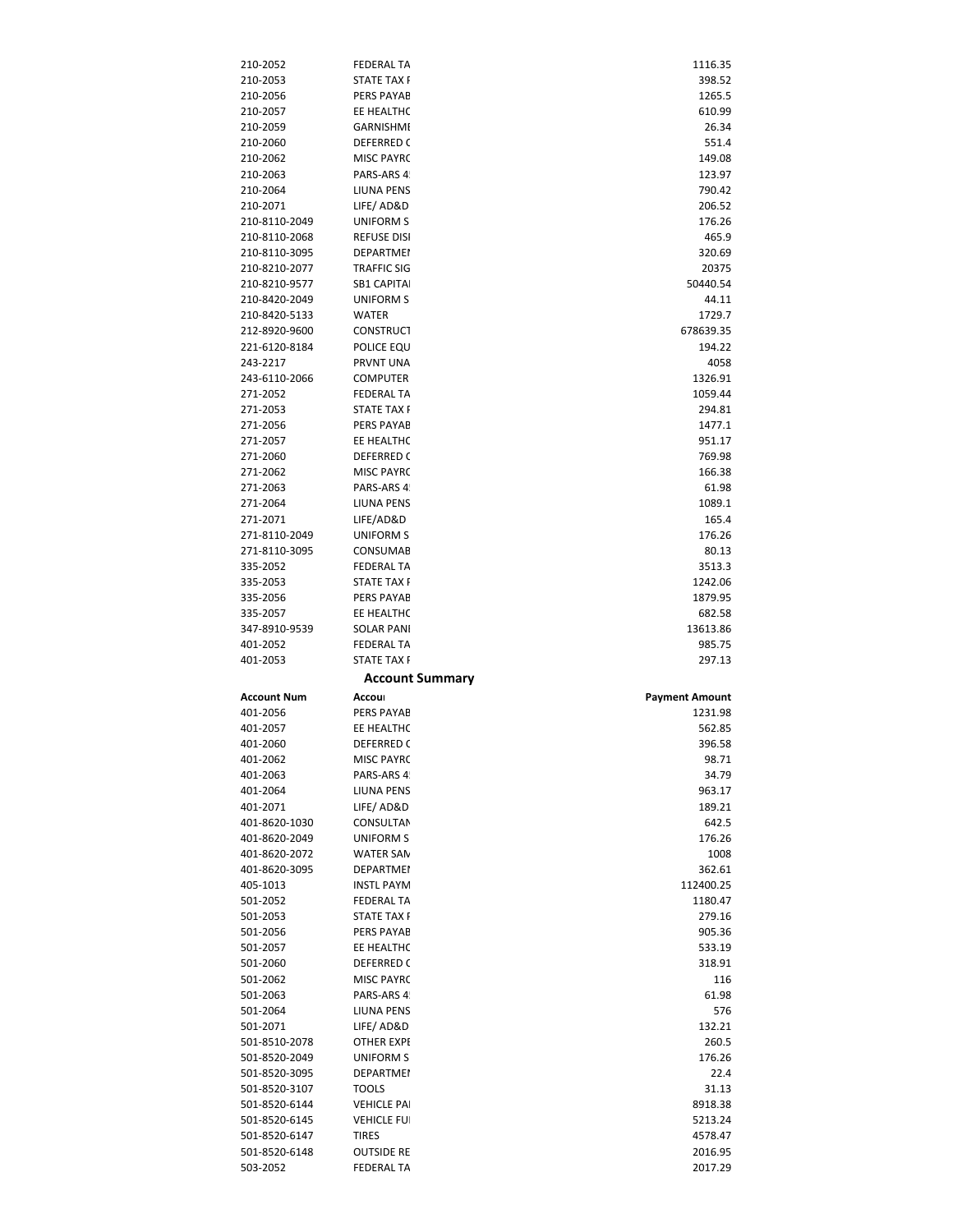| 210-2052                       | <b>FEDERAL TA</b>                  | 1116.35               |
|--------------------------------|------------------------------------|-----------------------|
| 210-2053                       | STATE TAX F                        | 398.52                |
| 210-2056                       | PERS PAYAB                         | 1265.5                |
| 210-2057                       | EE HEALTHC                         | 610.99                |
| 210-2059                       | <b>GARNISHMI</b>                   | 26.34                 |
| 210-2060                       | DEFERRED C                         | 551.4                 |
| 210-2062                       | <b>MISC PAYRC</b>                  | 149.08                |
| 210-2063                       | PARS-ARS 4!                        | 123.97                |
| 210-2064                       | LIUNA PENS                         | 790.42                |
| 210-2071                       | LIFE/AD&D                          | 206.52                |
| 210-8110-2049                  | <b>UNIFORM S</b>                   | 176.26                |
| 210-8110-2068                  | <b>REFUSE DISI</b>                 | 465.9                 |
| 210-8110-3095                  | <b>DEPARTMEN</b>                   | 320.69                |
| 210-8210-2077                  | <b>TRAFFIC SIG</b>                 | 20375                 |
| 210-8210-9577                  | <b>SB1 CAPITAI</b>                 | 50440.54              |
| 210-8420-2049                  | <b>UNIFORM S</b><br><b>WATER</b>   | 44.11                 |
| 210-8420-5133<br>212-8920-9600 | <b>CONSTRUCT</b>                   | 1729.7<br>678639.35   |
| 221-6120-8184                  | POLICE EQU                         | 194.22                |
| 243-2217                       | PRVNT UNA                          | 4058                  |
| 243-6110-2066                  | <b>COMPUTER</b>                    | 1326.91               |
| 271-2052                       | <b>FEDERAL TA</b>                  | 1059.44               |
| 271-2053                       | <b>STATE TAX F</b>                 | 294.81                |
| 271-2056                       | <b>PERS PAYAB</b>                  | 1477.1                |
| 271-2057                       | EE HEALTHC                         | 951.17                |
| 271-2060                       | DEFERRED C                         | 769.98                |
| 271-2062                       | <b>MISC PAYRC</b>                  | 166.38                |
| 271-2063                       | PARS-ARS 4!                        | 61.98                 |
| 271-2064                       | <b>LIUNA PENS</b>                  | 1089.1                |
| 271-2071                       | LIFE/AD&D                          | 165.4                 |
| 271-8110-2049                  | UNIFORM S                          | 176.26                |
| 271-8110-3095                  | CONSUMAB                           | 80.13                 |
| 335-2052                       | <b>FEDERAL TA</b>                  | 3513.3                |
| 335-2053                       | <b>STATE TAX F</b>                 | 1242.06               |
| 335-2056                       | PERS PAYAB                         | 1879.95               |
| 335-2057                       | EE HEALTHC                         |                       |
|                                |                                    | 682.58                |
| 347-8910-9539                  | <b>SOLAR PANI</b>                  | 13613.86              |
| 401-2052                       | <b>FEDERAL TA</b>                  | 985.75                |
| 401-2053                       | <b>STATE TAX F</b>                 | 297.13                |
|                                | <b>Account Summary</b>             |                       |
| <b>Account Num</b>             | Accour                             | <b>Payment Amount</b> |
| 401-2056                       | PERS PAYAB                         | 1231.98               |
| 401-2057                       | EE HEALTHC                         | 562.85                |
| 401-2060                       | <b>DEFERRED C</b>                  | 396.58                |
| 401-2062                       | MISC PAYRC                         | 98.71                 |
| 401-2063                       | PARS-ARS 4!                        | 34.79                 |
| 401-2064                       | LIUNA PENS                         | 963.17                |
| 401-2071                       | LIFE/AD&D                          | 189.21                |
| 401-8620-1030                  | <b>CONSULTAN</b>                   | 642.5                 |
| 401-8620-2049                  | UNIFORM S                          | 176.26                |
| 401-8620-2072                  | <b>WATER SAN</b>                   | 1008                  |
| 401-8620-3095                  | <b>DEPARTMEN</b>                   | 362.61                |
| 405-1013                       | <b>INSTL PAYM</b>                  | 112400.25             |
| 501-2052                       | <b>FEDERAL TA</b>                  | 1180.47               |
| 501-2053                       | <b>STATE TAX F</b>                 | 279.16                |
| 501-2056                       | PERS PAYAB                         | 905.36                |
| 501-2057                       | EE HEALTHC                         | 533.19                |
| 501-2060                       | <b>DEFERRED C</b>                  | 318.91                |
| 501-2062                       | MISC PAYRC                         | 116                   |
| 501-2063                       | PARS-ARS 4!                        | 61.98                 |
| 501-2064                       | LIUNA PENS                         | 576                   |
| 501-2071                       | LIFE/AD&D                          | 132.21                |
| 501-8510-2078                  | OTHER EXPE                         | 260.5                 |
| 501-8520-2049                  | UNIFORM S                          | 176.26                |
| 501-8520-3095                  | <b>DEPARTMEN</b>                   | 22.4                  |
| 501-8520-3107                  | <b>TOOLS</b>                       | 31.13                 |
| 501-8520-6144                  | <b>VEHICLE PAI</b>                 | 8918.38               |
| 501-8520-6145                  | <b>VEHICLE FUI</b><br><b>TIRES</b> | 5213.24<br>4578.47    |
| 501-8520-6147<br>501-8520-6148 | <b>OUTSIDE RE</b>                  | 2016.95               |
| 503-2052                       | FEDERAL TA                         | 2017.29               |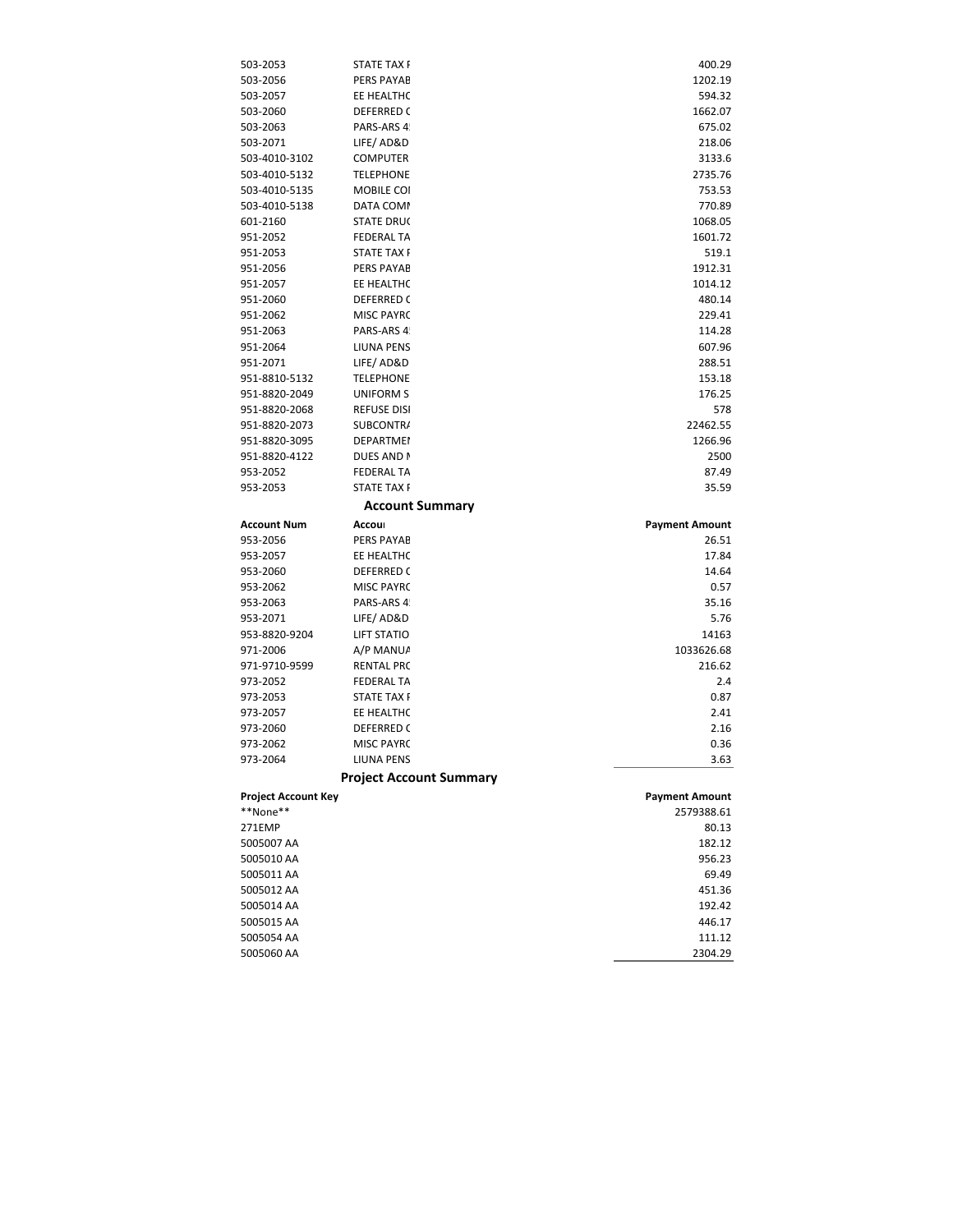| 503-2053                   | <b>STATE TAX F</b>             | 400.29                |
|----------------------------|--------------------------------|-----------------------|
| 503-2056                   | PERS PAYAB                     | 1202.19               |
| 503-2057                   | EE HEALTHC                     | 594.32                |
| 503-2060                   | <b>DEFERRED C</b>              | 1662.07               |
| 503-2063                   | PARS-ARS 4!                    | 675.02                |
| 503-2071                   | LIFE/AD&D                      | 218.06                |
| 503-4010-3102              | <b>COMPUTER</b>                | 3133.6                |
| 503-4010-5132              | <b>TELEPHONE</b>               | 2735.76               |
| 503-4010-5135              | MOBILE COI                     | 753.53                |
| 503-4010-5138              | DATA COMM                      | 770.89                |
| 601-2160                   | <b>STATE DRUC</b>              | 1068.05               |
| 951-2052                   | <b>FEDERAL TA</b>              | 1601.72               |
| 951-2053                   | <b>STATE TAX F</b>             | 519.1                 |
| 951-2056                   | <b>PERS PAYAB</b>              | 1912.31               |
| 951-2057                   | EE HEALTHC                     | 1014.12               |
| 951-2060                   | <b>DEFERRED C</b>              | 480.14                |
| 951-2062                   | <b>MISC PAYRC</b>              | 229.41                |
| 951-2063                   | PARS-ARS 4!                    | 114.28                |
| 951-2064                   | LIUNA PENS                     | 607.96                |
| 951-2071                   | LIFE/AD&D                      | 288.51                |
| 951-8810-5132              | <b>TELEPHONE</b>               | 153.18                |
| 951-8820-2049              | <b>UNIFORM S</b>               | 176.25                |
| 951-8820-2068              | <b>REFUSE DISI</b>             | 578                   |
| 951-8820-2073              | SUBCONTRA                      | 22462.55              |
| 951-8820-3095              | <b>DEPARTMEN</b>               | 1266.96               |
| 951-8820-4122              | DUES AND N                     | 2500                  |
| 953-2052                   | <b>FEDERAL TA</b>              | 87.49                 |
| 953-2053                   | <b>STATE TAX F</b>             | 35.59                 |
|                            | <b>Account Summary</b>         |                       |
|                            |                                |                       |
| Account Num                | Accour                         | <b>Payment Amount</b> |
| 953-2056                   | <b>PERS PAYAB</b>              | 26.51                 |
| 953-2057                   | EE HEALTHC                     | 17.84                 |
| 953-2060                   | <b>DEFERRED C</b>              | 14.64                 |
| 953-2062                   | <b>MISC PAYRC</b>              | 0.57                  |
| 953-2063                   | PARS-ARS 4!                    | 35.16                 |
| 953-2071                   | LIFE/AD&D                      | 5.76                  |
| 953-8820-9204              | <b>LIFT STATIO</b>             | 14163                 |
| 971-2006                   | A/P MANUA                      | 1033626.68            |
| 971-9710-9599              | <b>RENTAL PRC</b>              | 216.62                |
| 973-2052                   | <b>FEDERAL TA</b>              | 2.4                   |
| 973-2053                   | <b>STATE TAX F</b>             | 0.87                  |
| 973-2057                   | EE HEALTHC                     | 2.41                  |
| 973-2060                   | <b>DEFERRED C</b>              | 2.16                  |
| 973-2062                   | <b>MISC PAYRC</b>              | 0.36                  |
| 973-2064                   | LIUNA PENS                     | 3.63                  |
|                            | <b>Project Account Summary</b> |                       |
| <b>Project Account Key</b> |                                | <b>Payment Amount</b> |
| **None**                   |                                | 2579388.61            |
| 271EMP                     |                                | 80.13                 |
| 5005007 AA                 |                                | 182.12                |
| 5005010 AA                 |                                | 956.23                |
| 5005011 AA                 |                                | 69.49                 |
| 5005012 AA                 |                                | 451.36                |
| 5005014 AA                 |                                | 192.42                |
| 5005015 AA                 |                                | 446.17                |
| 5005054 AA<br>5005060 AA   |                                | 111.12<br>2304.29     |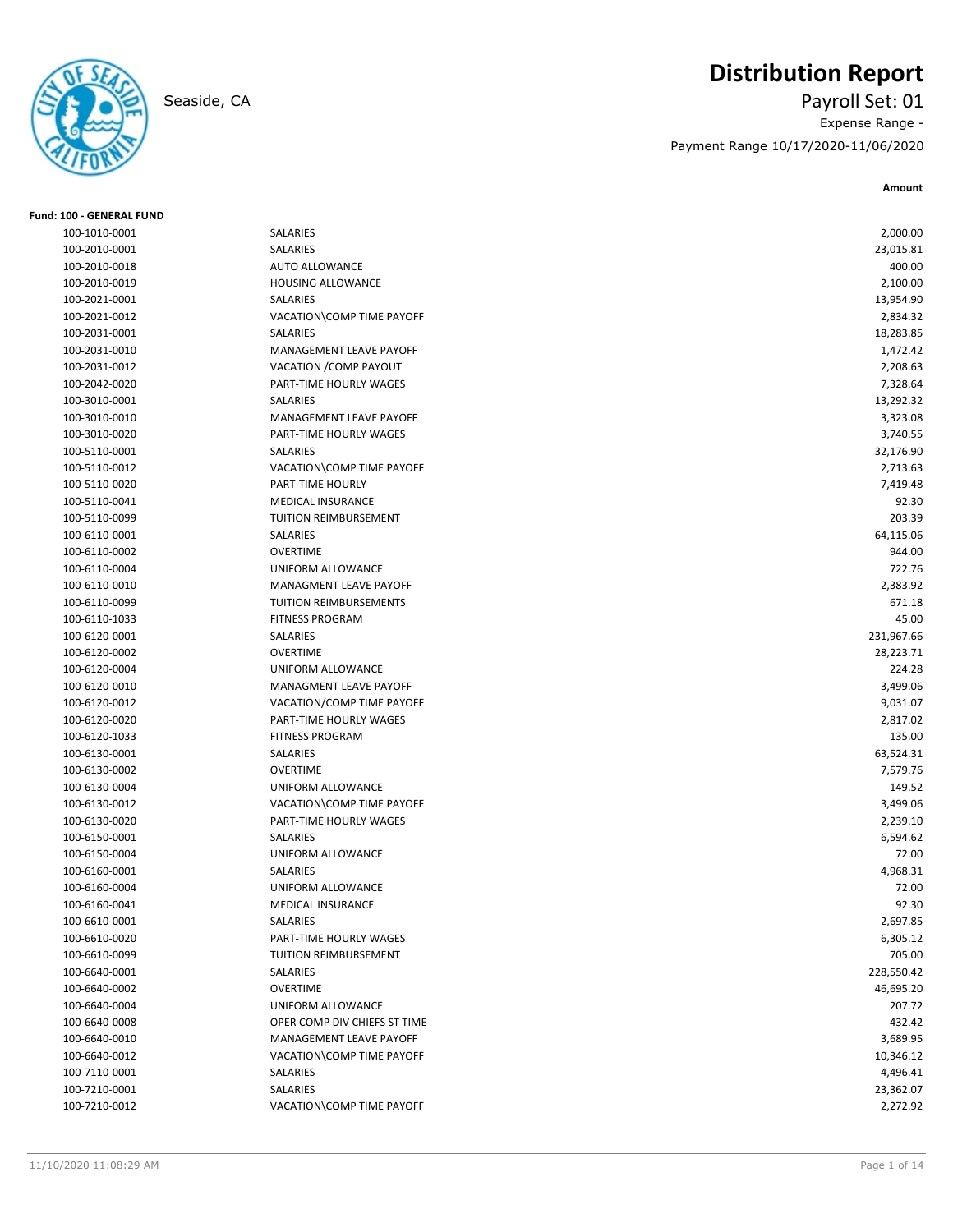**Fund: 100 - GENERAL FUND**

# **Distribution Report**

Seaside, CA Payroll Set: 01 Expense Range - Payment Range 10/17/2020-11/06/2020

| 100-1010-0001 | SALARIES                     | 2,000.00   |
|---------------|------------------------------|------------|
| 100-2010-0001 | SALARIES                     | 23,015.81  |
| 100-2010-0018 | <b>AUTO ALLOWANCE</b>        | 400.00     |
| 100-2010-0019 | <b>HOUSING ALLOWANCE</b>     | 2,100.00   |
| 100-2021-0001 | SALARIES                     | 13,954.90  |
| 100-2021-0012 | VACATION\COMP TIME PAYOFF    | 2,834.32   |
| 100-2031-0001 | SALARIES                     | 18,283.85  |
| 100-2031-0010 | MANAGEMENT LEAVE PAYOFF      | 1,472.42   |
| 100-2031-0012 | VACATION / COMP PAYOUT       | 2,208.63   |
| 100-2042-0020 | PART-TIME HOURLY WAGES       | 7,328.64   |
| 100-3010-0001 | <b>SALARIES</b>              | 13,292.32  |
| 100-3010-0010 | MANAGEMENT LEAVE PAYOFF      | 3,323.08   |
| 100-3010-0020 | PART-TIME HOURLY WAGES       | 3,740.55   |
| 100-5110-0001 | SALARIES                     | 32,176.90  |
| 100-5110-0012 | VACATION\COMP TIME PAYOFF    | 2,713.63   |
| 100-5110-0020 | PART-TIME HOURLY             | 7,419.48   |
| 100-5110-0041 | <b>MEDICAL INSURANCE</b>     | 92.30      |
| 100-5110-0099 | TUITION REIMBURSEMENT        | 203.39     |
| 100-6110-0001 | <b>SALARIES</b>              | 64,115.06  |
| 100-6110-0002 | <b>OVERTIME</b>              | 944.00     |
| 100-6110-0004 | UNIFORM ALLOWANCE            | 722.76     |
| 100-6110-0010 | MANAGMENT LEAVE PAYOFF       | 2,383.92   |
| 100-6110-0099 | TUITION REIMBURSEMENTS       | 671.18     |
| 100-6110-1033 | <b>FITNESS PROGRAM</b>       | 45.00      |
| 100-6120-0001 | SALARIES                     | 231,967.66 |
| 100-6120-0002 | <b>OVERTIME</b>              | 28,223.71  |
| 100-6120-0004 | UNIFORM ALLOWANCE            | 224.28     |
| 100-6120-0010 | MANAGMENT LEAVE PAYOFF       | 3,499.06   |
| 100-6120-0012 | VACATION/COMP TIME PAYOFF    | 9,031.07   |
| 100-6120-0020 | PART-TIME HOURLY WAGES       | 2,817.02   |
| 100-6120-1033 | <b>FITNESS PROGRAM</b>       | 135.00     |
| 100-6130-0001 | SALARIES                     | 63,524.31  |
| 100-6130-0002 | <b>OVERTIME</b>              | 7,579.76   |
| 100-6130-0004 | UNIFORM ALLOWANCE            | 149.52     |
| 100-6130-0012 | VACATION\COMP TIME PAYOFF    | 3,499.06   |
| 100-6130-0020 | PART-TIME HOURLY WAGES       | 2,239.10   |
| 100-6150-0001 | SALARIES                     | 6,594.62   |
| 100-6150-0004 | UNIFORM ALLOWANCE            | 72.00      |
| 100-6160-0001 | SALARIES                     | 4,968.31   |
| 100-6160-0004 | UNIFORM ALLOWANCE            | 72.00      |
| 100-6160-0041 | <b>MEDICAL INSURANCE</b>     | 92.30      |
| 100-6610-0001 | SALARIES                     | 2,697.85   |
| 100-6610-0020 | PART-TIME HOURLY WAGES       | 6,305.12   |
| 100-6610-0099 | TUITION REIMBURSEMENT        | 705.00     |
| 100-6640-0001 | SALARIES                     | 228,550.42 |
| 100-6640-0002 | <b>OVERTIME</b>              | 46,695.20  |
| 100-6640-0004 | UNIFORM ALLOWANCE            | 207.72     |
| 100-6640-0008 | OPER COMP DIV CHIEFS ST TIME | 432.42     |
| 100-6640-0010 | MANAGEMENT LEAVE PAYOFF      | 3,689.95   |
| 100-6640-0012 | VACATION\COMP TIME PAYOFF    | 10,346.12  |
| 100-7110-0001 | SALARIES                     | 4,496.41   |
| 100-7210-0001 | SALARIES                     | 23,362.07  |
| 100-7210-0012 | VACATION\COMP TIME PAYOFF    | 2,272.92   |
|               |                              |            |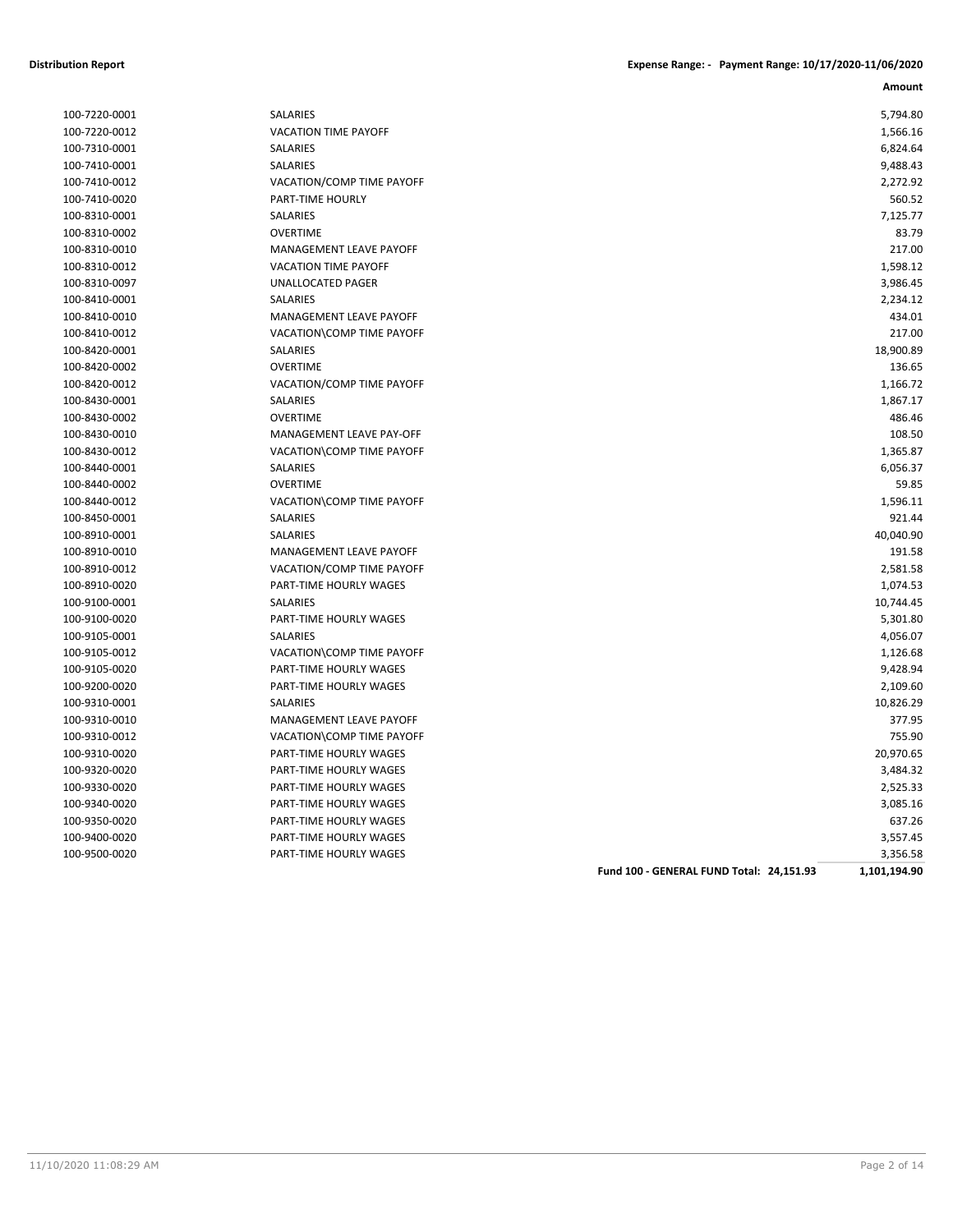| 100-7220-0001 | SALARIES                      |
|---------------|-------------------------------|
| 100-7220-0012 | <b>VACATION TIME PAYOFF</b>   |
| 100-7310-0001 | <b>SALARIES</b>               |
| 100-7410-0001 | <b>SALARIES</b>               |
| 100-7410-0012 | VACATION/COMP TIME PAY        |
| 100-7410-0020 | PART-TIME HOURLY              |
| 100-8310-0001 | SALARIES                      |
| 100-8310-0002 | <b>OVERTIME</b>               |
| 100-8310-0010 | <b>MANAGEMENT LEAVE PAYO</b>  |
| 100-8310-0012 | <b>VACATION TIME PAYOFF</b>   |
| 100-8310-0097 | UNALLOCATED PAGER             |
| 100-8410-0001 | <b>SALARIES</b>               |
| 100-8410-0010 | MANAGEMENT LEAVE PAYO         |
| 100-8410-0012 | VACATION\COMP TIME PAY        |
| 100-8420-0001 | <b>SALARIES</b>               |
| 100-8420-0002 | <b>OVERTIME</b>               |
| 100-8420-0012 | <b>VACATION/COMP TIME PAY</b> |
| 100-8430-0001 | <b>SALARIES</b>               |
| 100-8430-0002 | <b>OVERTIME</b>               |
| 100-8430-0010 | MANAGEMENT LEAVE PAY-C        |
| 100-8430-0012 | VACATION\COMP TIME PAY        |
| 100-8440-0001 | <b>SALARIES</b>               |
| 100-8440-0002 | <b>OVERTIME</b>               |
| 100-8440-0012 | VACATION\COMP TIME PAY        |
| 100-8450-0001 | <b>SALARIES</b>               |
| 100-8910-0001 | <b>SALARIES</b>               |
| 100-8910-0010 | <b>MANAGEMENT LEAVE PAYO</b>  |
| 100-8910-0012 | VACATION/COMP TIME PAY        |
| 100-8910-0020 | PART-TIME HOURLY WAGES        |
| 100-9100-0001 | <b>SALARIES</b>               |
| 100-9100-0020 | PART-TIME HOURLY WAGES        |
| 100-9105-0001 | <b>SALARIES</b>               |
| 100-9105-0012 | VACATION\COMP TIME PAY        |
| 100-9105-0020 | PART-TIME HOURLY WAGES        |
| 100-9200-0020 | PART-TIME HOURLY WAGES        |
| 100-9310-0001 | <b>SALARIES</b>               |
| 100-9310-0010 | MANAGEMENT LEAVE PAYO         |
| 100-9310-0012 | VACATION\COMP TIME PAY        |
| 100-9310-0020 | PART-TIME HOURLY WAGES        |
| 100-9320-0020 | PART-TIME HOURLY WAGES        |
| 100-9330-0020 | PART-TIME HOURLY WAGES        |
| 100-9340-0020 | PART-TIME HOURLY WAGES        |
| 100-9350-0020 | PART-TIME HOURLY WAGES        |
| 100-9400-0020 | PART-TIME HOURLY WAGES        |
| 100-9500-0020 | PART-TIME HOURLY WAGES        |

| <b>SALARIES</b>                           |
|-------------------------------------------|
| <b>VACATION TIME PAYOFF</b>               |
| <b>SALARIES</b>                           |
| SALARIES                                  |
| VACATION/COMP TIME PAYOFF                 |
| <b>PART-TIME HOURLY</b>                   |
| <b>SALARIES</b>                           |
| <b>OVERTIME</b>                           |
| <b>MANAGEMENT LEAVE PAYOFF</b>            |
| <b>VACATION TIME PAYOFF</b>               |
| <b>UNALLOCATED PAGER</b>                  |
| <b>SALARIES</b>                           |
| MANAGEMENT LEAVE PAYOFF                   |
| VACATION\COMP TIME PAYOFF                 |
| <b>SALARIES</b>                           |
| <b>OVERTIME</b>                           |
| VACATION/COMP TIME PAYOFF                 |
| <b>SALARIES</b>                           |
| <b>OVERTIME</b>                           |
| <b>MANAGEMENT LEAVE PAY-OFF</b>           |
| VACATION\COMP TIME PAYOFF                 |
| <b>SALARIES</b>                           |
| <b>OVERTIME</b>                           |
| VACATION\COMP TIME PAYOFF                 |
| SALARIES                                  |
| <b>SALARIES</b>                           |
| <b>MANAGEMENT LEAVE PAYOFF</b>            |
| VACATION/COMP TIME PAYOFF                 |
| PART-TIME HOURLY WAGES                    |
| <b>SALARIES</b><br>PART-TIME HOURLY WAGES |
| <b>SALARIES</b>                           |
| VACATION\COMP TIME PAYOFF                 |
| PART-TIME HOURLY WAGES                    |
| <b>PART-TIME HOURLY WAGES</b>             |
| SALARIES                                  |
| <b>MANAGEMENT LEAVE PAYOFF</b>            |
| VACATION\COMP TIME PAYOFF                 |
| PART-TIME HOURLY WAGES                    |
| <b>PART-TIME HOURLY WAGES</b>             |
| PART-TIME HOURLY WAGES                    |
| PART-TIME HOURLY WAGES                    |
| PART-TIME HOURLY WAGES                    |
| PART-TIME HOURLY WAGES                    |
|                                           |

| 100-7220-0001 | SALARIES                       |                                          | 5,794.80     |
|---------------|--------------------------------|------------------------------------------|--------------|
| 100-7220-0012 | <b>VACATION TIME PAYOFF</b>    |                                          | 1,566.16     |
| 100-7310-0001 | SALARIES                       |                                          | 6,824.64     |
| 100-7410-0001 | SALARIES                       |                                          | 9,488.43     |
| 100-7410-0012 | VACATION/COMP TIME PAYOFF      |                                          | 2,272.92     |
| 100-7410-0020 | PART-TIME HOURLY               |                                          | 560.52       |
| 100-8310-0001 | SALARIES                       |                                          | 7,125.77     |
| 100-8310-0002 | <b>OVERTIME</b>                |                                          | 83.79        |
| 100-8310-0010 | MANAGEMENT LEAVE PAYOFF        |                                          | 217.00       |
| 100-8310-0012 | VACATION TIME PAYOFF           |                                          | 1,598.12     |
| 100-8310-0097 | UNALLOCATED PAGER              |                                          | 3,986.45     |
| 100-8410-0001 | SALARIES                       |                                          | 2,234.12     |
| 100-8410-0010 | MANAGEMENT LEAVE PAYOFF        |                                          | 434.01       |
| 100-8410-0012 | VACATION\COMP TIME PAYOFF      |                                          | 217.00       |
| 100-8420-0001 | <b>SALARIES</b>                |                                          | 18,900.89    |
| 100-8420-0002 | <b>OVERTIME</b>                |                                          | 136.65       |
| 100-8420-0012 | VACATION/COMP TIME PAYOFF      |                                          | 1,166.72     |
| 100-8430-0001 | SALARIES                       |                                          | 1,867.17     |
| 100-8430-0002 | <b>OVERTIME</b>                |                                          | 486.46       |
| 100-8430-0010 | MANAGEMENT LEAVE PAY-OFF       |                                          | 108.50       |
| 100-8430-0012 | VACATION\COMP TIME PAYOFF      |                                          | 1,365.87     |
| 100-8440-0001 | SALARIES                       |                                          | 6,056.37     |
| 100-8440-0002 | <b>OVERTIME</b>                |                                          | 59.85        |
| 100-8440-0012 | VACATION\COMP TIME PAYOFF      |                                          | 1,596.11     |
| 100-8450-0001 | SALARIES                       |                                          | 921.44       |
| 100-8910-0001 | <b>SALARIES</b>                |                                          | 40,040.90    |
| 100-8910-0010 | MANAGEMENT LEAVE PAYOFF        |                                          | 191.58       |
| 100-8910-0012 | VACATION/COMP TIME PAYOFF      |                                          | 2,581.58     |
| 100-8910-0020 | PART-TIME HOURLY WAGES         |                                          | 1,074.53     |
| 100-9100-0001 | SALARIES                       |                                          | 10,744.45    |
| 100-9100-0020 | PART-TIME HOURLY WAGES         |                                          | 5,301.80     |
| 100-9105-0001 | SALARIES                       |                                          | 4,056.07     |
| 100-9105-0012 | VACATION\COMP TIME PAYOFF      |                                          | 1,126.68     |
| 100-9105-0020 | PART-TIME HOURLY WAGES         |                                          | 9,428.94     |
| 100-9200-0020 | PART-TIME HOURLY WAGES         |                                          | 2,109.60     |
| 100-9310-0001 | <b>SALARIES</b>                |                                          | 10,826.29    |
| 100-9310-0010 | <b>MANAGEMENT LEAVE PAYOFF</b> |                                          | 377.95       |
| 100-9310-0012 | VACATION\COMP TIME PAYOFF      |                                          | 755.90       |
| 100-9310-0020 | PART-TIME HOURLY WAGES         |                                          | 20,970.65    |
| 100-9320-0020 | PART-TIME HOURLY WAGES         |                                          | 3,484.32     |
| 100-9330-0020 | PART-TIME HOURLY WAGES         |                                          | 2,525.33     |
| 100-9340-0020 | PART-TIME HOURLY WAGES         |                                          | 3,085.16     |
| 100-9350-0020 | PART-TIME HOURLY WAGES         |                                          | 637.26       |
| 100-9400-0020 | PART-TIME HOURLY WAGES         |                                          | 3,557.45     |
| 100-9500-0020 | PART-TIME HOURLY WAGES         |                                          | 3,356.58     |
|               |                                | Fund 100 - GENERAL FUND Total: 24,151.93 | 1,101,194.90 |
|               |                                |                                          |              |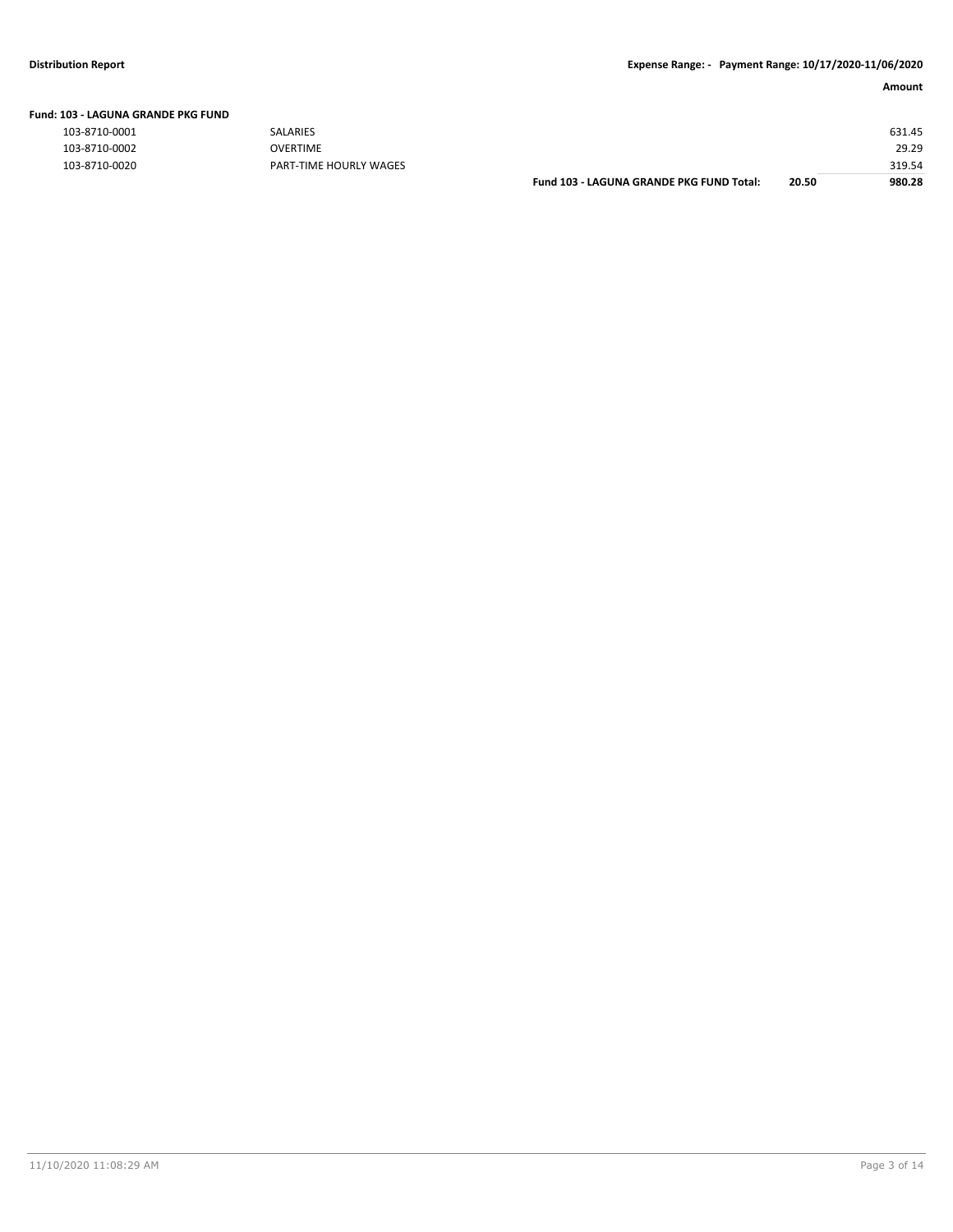#### **Fund: 103 - LAGUNA GRANDE PKG FUND**

| 103-8710-0001 |
|---------------|
| 103-8710-0002 |
| 103-8710-0020 |

| שווט ו שאויר שוואוס אוט בישר |                        |                                                 |       |        |
|------------------------------|------------------------|-------------------------------------------------|-------|--------|
| 103-8710-0001                | <b>SALARIES</b>        |                                                 |       | 631.45 |
| 103-8710-0002                | OVERTIME               |                                                 |       | 29.29  |
| 103-8710-0020                | PART-TIME HOURLY WAGES |                                                 |       | 319.54 |
|                              |                        | <b>Fund 103 - LAGUNA GRANDE PKG FUND Total:</b> | 20.50 | 980.28 |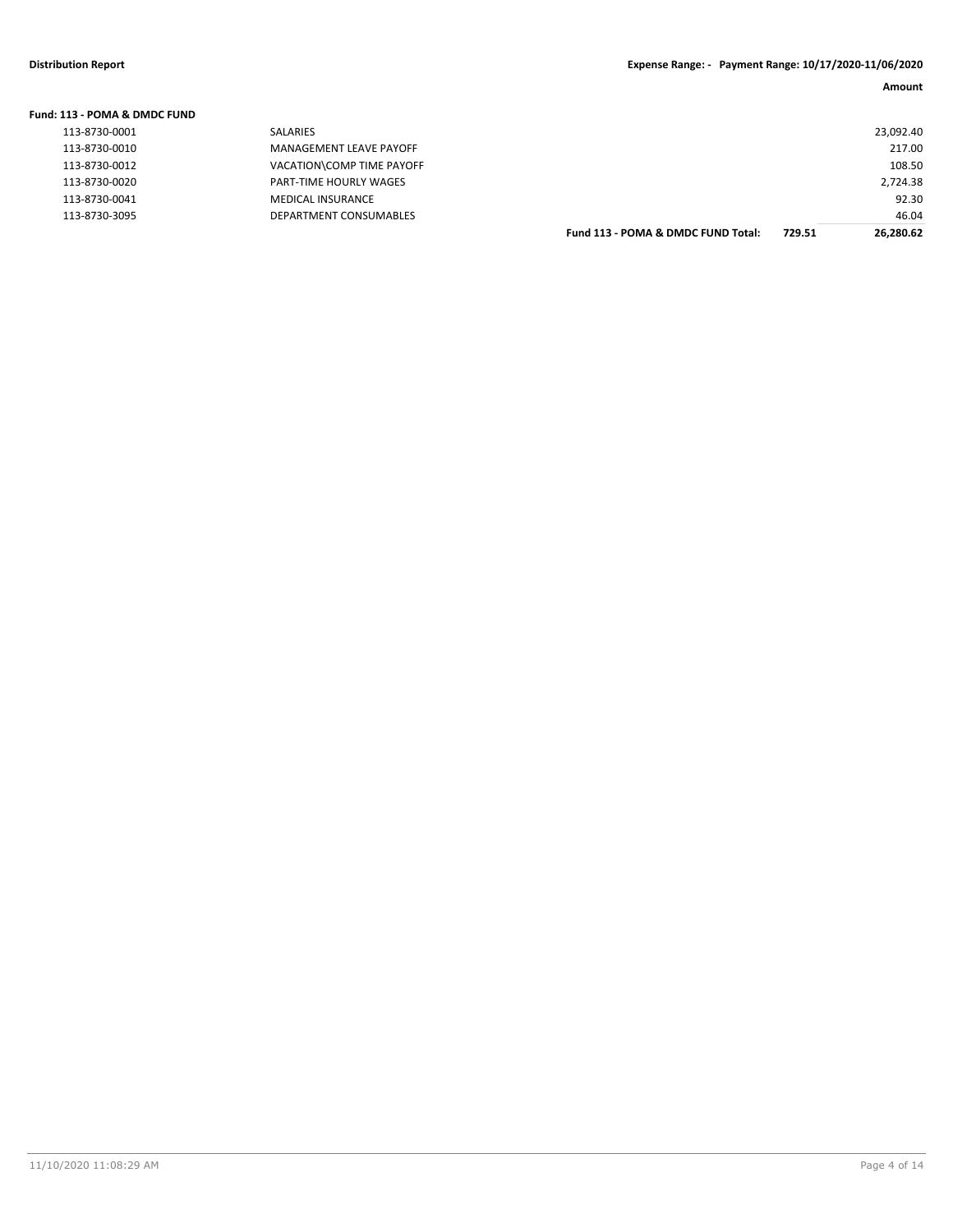| Fund: 113 - POMA & DMDC FUND |                           |                                    |        |           |
|------------------------------|---------------------------|------------------------------------|--------|-----------|
| 113-8730-0001                | <b>SALARIES</b>           |                                    |        | 23,092.40 |
| 113-8730-0010                | MANAGEMENT LEAVE PAYOFF   |                                    |        | 217.00    |
| 113-8730-0012                | VACATION\COMP TIME PAYOFF |                                    |        | 108.50    |
| 113-8730-0020                | PART-TIME HOURLY WAGES    |                                    |        | 2,724.38  |
| 113-8730-0041                | <b>MEDICAL INSURANCE</b>  |                                    |        | 92.30     |
| 113-8730-3095                | DEPARTMENT CONSUMABLES    |                                    |        | 46.04     |
|                              |                           | Fund 113 - POMA & DMDC FUND Total: | 729.51 | 26.280.62 |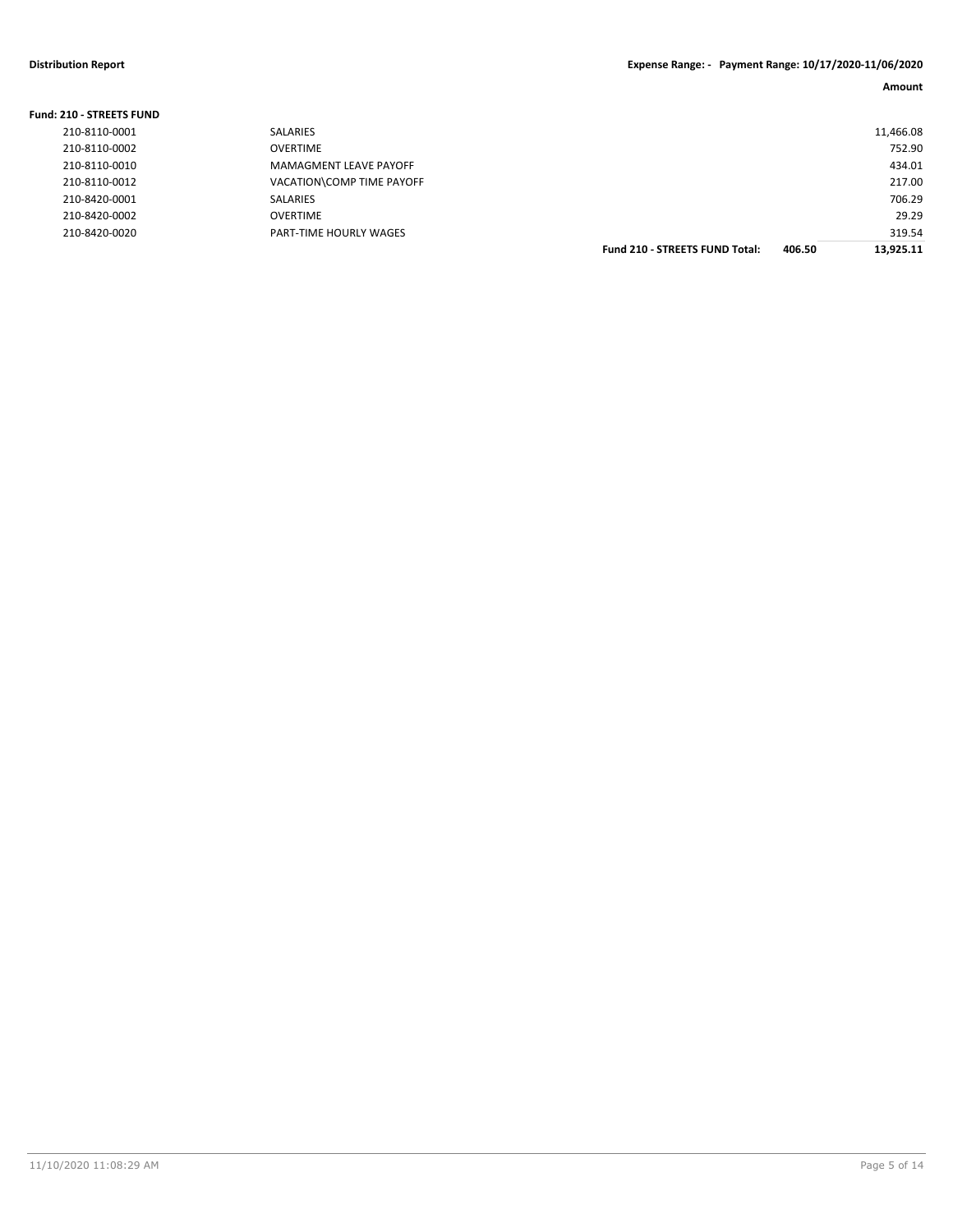#### **Distribution Report Expense Range: - Payment Range: 10/17/2020-11/06/2020**

**Amount**

### **Fund: 210 - STREETS FUND**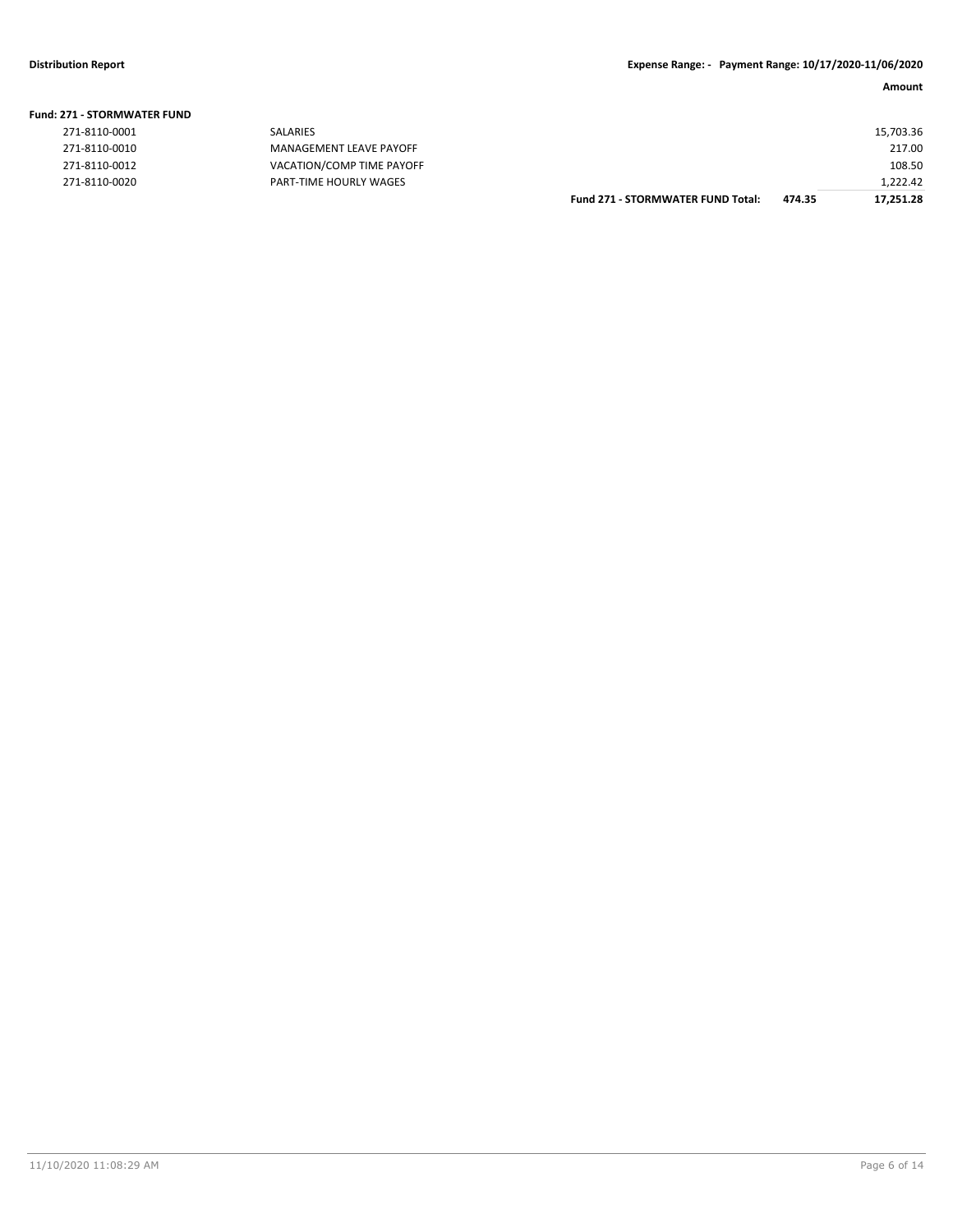|                       |                           | <b>Fund 271 - STORMWATER FUND Total:</b> | 474.35 | 17.251.28 |
|-----------------------|---------------------------|------------------------------------------|--------|-----------|
| 271-8110-0020         | PART-TIME HOURLY WAGES    |                                          |        | 1.222.42  |
| 271-8110-0012         | VACATION/COMP TIME PAYOFF |                                          |        | 108.50    |
| 271-8110-0010         | MANAGEMENT LEAVE PAYOFF   |                                          |        | 217.00    |
| 271-8110-0001         | SALARIES                  |                                          |        | 15,703.36 |
| !71 - STORMWATER FUND |                           |                                          |        |           |

#### **Fund: 271 - STORMWATER FUND**

| 271-8110-0001 | SALARIES                       |
|---------------|--------------------------------|
| 271-8110-0010 | MANAGEMENT LEAVE PAYO          |
| 271-8110-0012 | <b>VACATION/COMP TIME PAYO</b> |
| 271-8110-0020 | PART-TIME HOURLY WAGES         |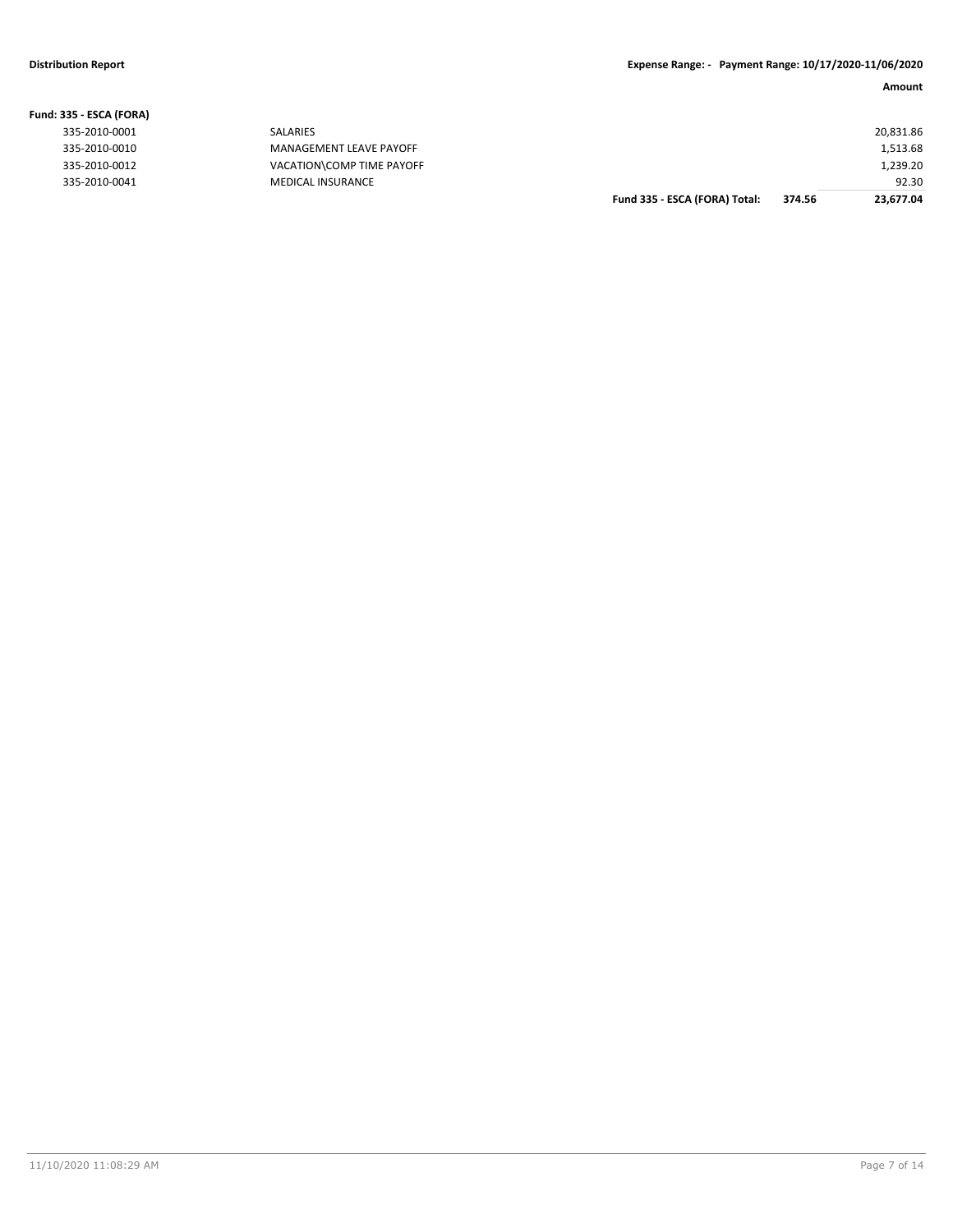|                   |                           | Fund 335 - ESCA (FORA) Total: | 374.56 | 23.677.04 |
|-------------------|---------------------------|-------------------------------|--------|-----------|
| 335-2010-0041     | <b>MEDICAL INSURANCE</b>  |                               |        | 92.30     |
| 335-2010-0012     | VACATION\COMP TIME PAYOFF |                               |        | 1,239.20  |
| 335-2010-0010     | MANAGEMENT LEAVE PAYOFF   |                               |        | 1,513.68  |
| 335-2010-0001     | SALARIES                  |                               |        | 20,831.86 |
| 335 - ESCA (FORA) |                           |                               |        |           |

#### **Fund: 335 - ESCA (FORA)**

| 335-2010-0001 |  |
|---------------|--|
| 335-2010-0010 |  |
| 335-2010-0012 |  |
| 335-2010-0041 |  |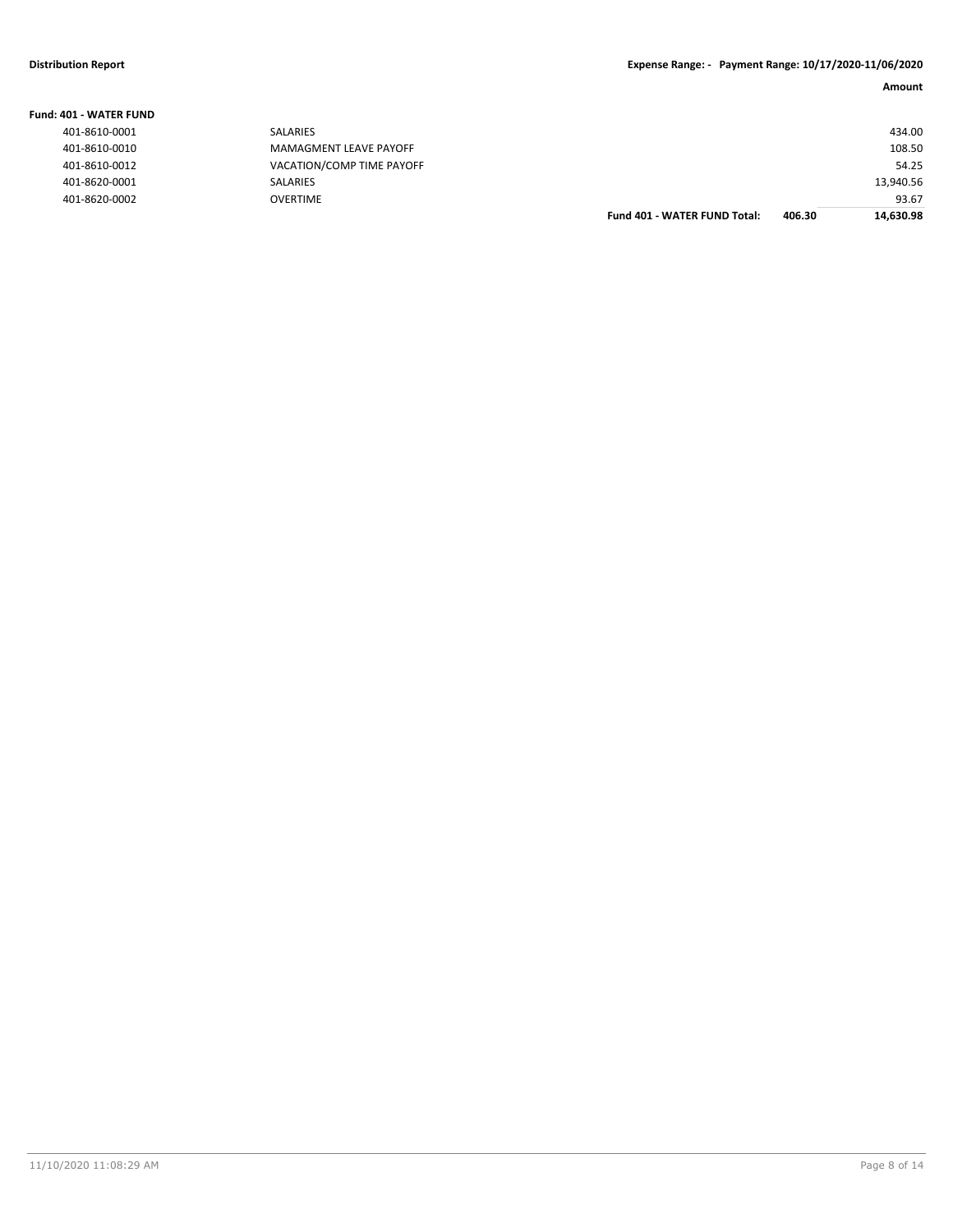| <b>Fund: 401 - WATER FUND</b> |                           |                                     |        |           |
|-------------------------------|---------------------------|-------------------------------------|--------|-----------|
| 401-8610-0001                 | <b>SALARIES</b>           |                                     |        | 434.00    |
| 401-8610-0010                 | MAMAGMENT LEAVE PAYOFF    |                                     |        | 108.50    |
| 401-8610-0012                 | VACATION/COMP TIME PAYOFF |                                     |        | 54.25     |
| 401-8620-0001                 | <b>SALARIES</b>           |                                     |        | 13,940.56 |
| 401-8620-0002                 | <b>OVERTIME</b>           |                                     |        | 93.67     |
|                               |                           | <b>Fund 401 - WATER FUND Total:</b> | 406.30 | 14,630.98 |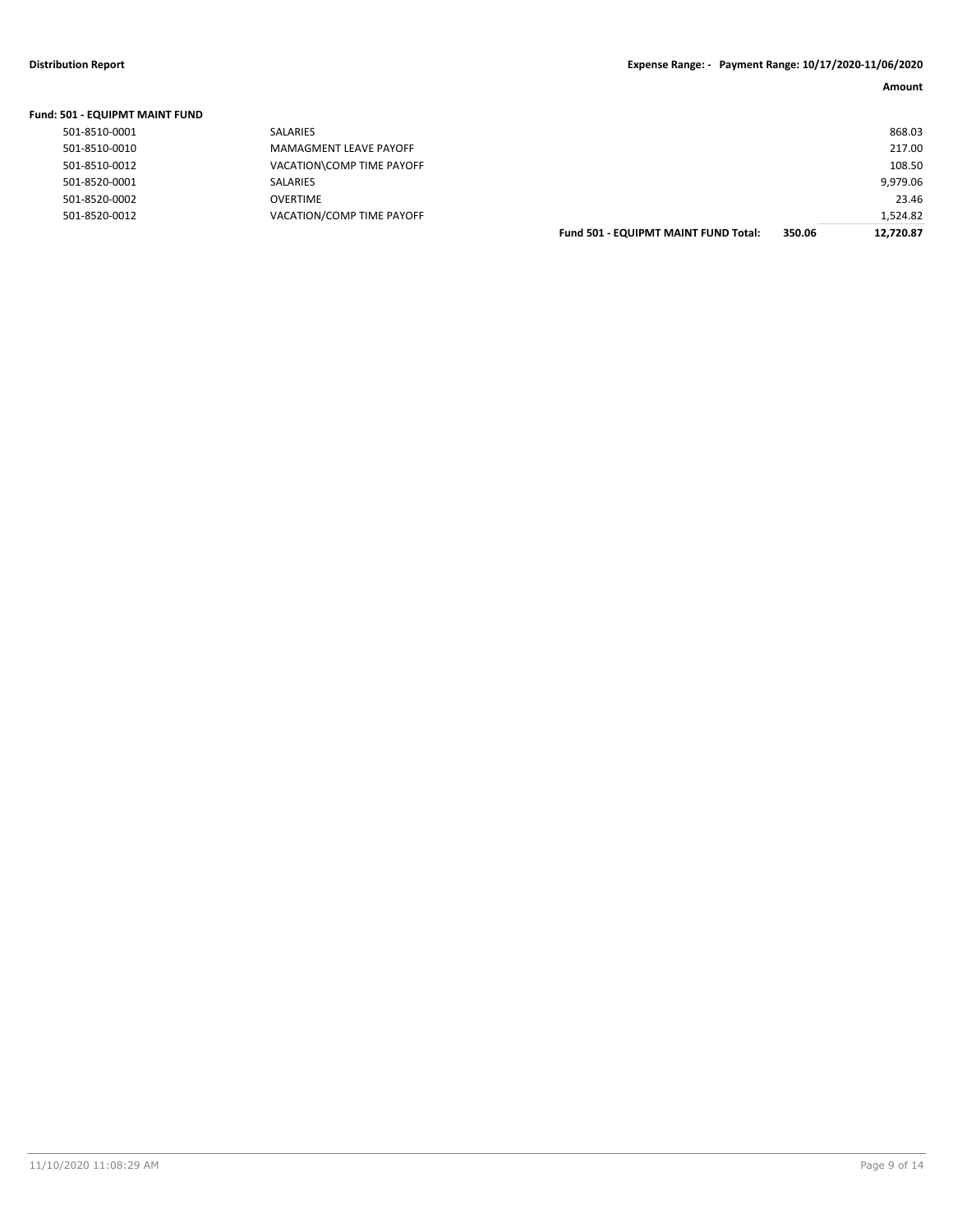| Fund: 501 - EQUIPMT MAINT FUND |                           |                                             |        |           |
|--------------------------------|---------------------------|---------------------------------------------|--------|-----------|
| 501-8510-0001                  | <b>SALARIES</b>           |                                             |        | 868.03    |
| 501-8510-0010                  | MAMAGMENT LEAVE PAYOFF    |                                             |        | 217.00    |
| 501-8510-0012                  | VACATION\COMP TIME PAYOFF |                                             |        | 108.50    |
| 501-8520-0001                  | SALARIES                  |                                             |        | 9,979.06  |
| 501-8520-0002                  | <b>OVERTIME</b>           |                                             |        | 23.46     |
| 501-8520-0012                  | VACATION/COMP TIME PAYOFF |                                             |        | 1,524.82  |
|                                |                           | <b>Fund 501 - EQUIPMT MAINT FUND Total:</b> | 350.06 | 12.720.87 |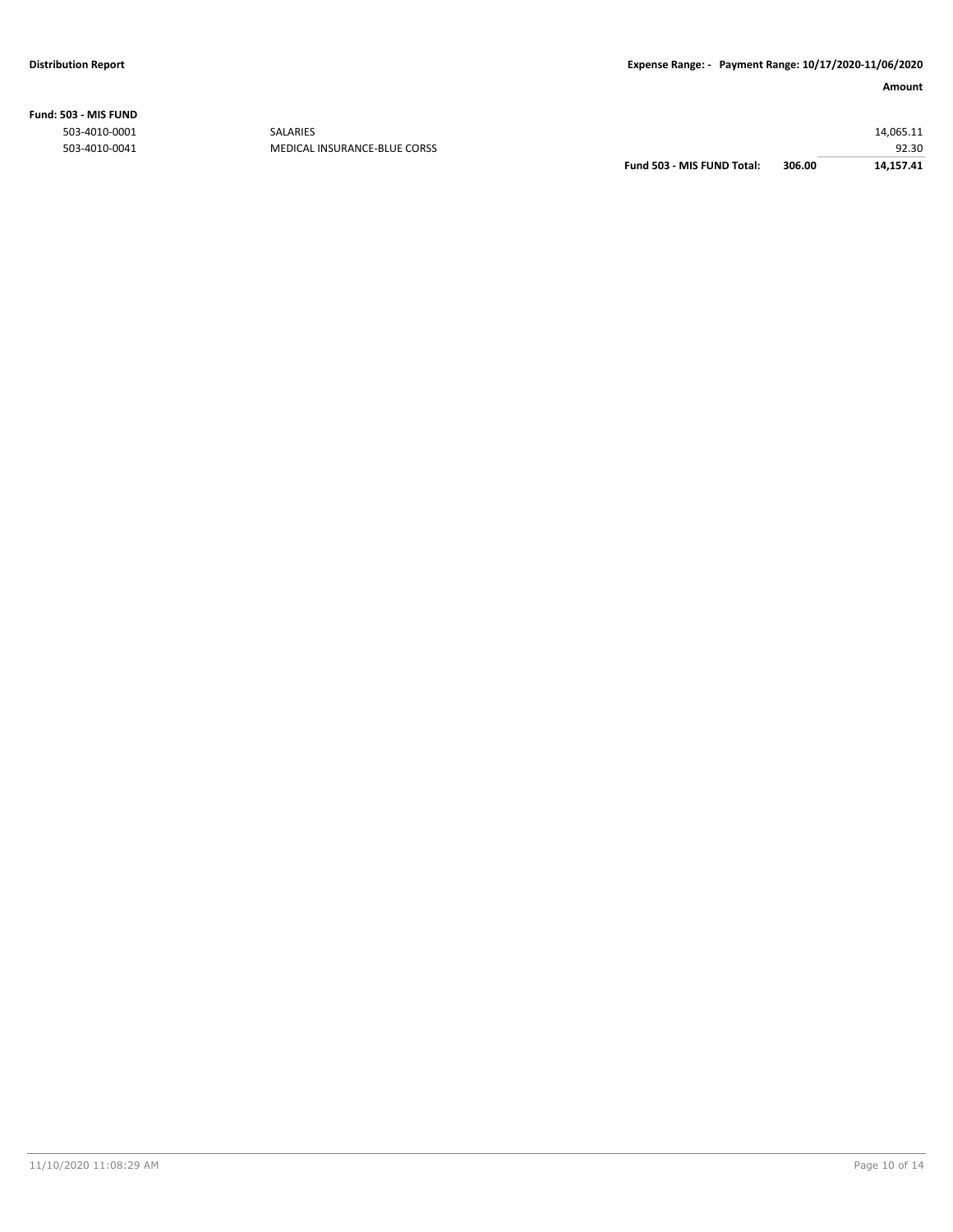**Fund: 503 - MIS FUND**

| Fund 503 - MIS FUND Total:                    | 306.00 | 14,157.41 |
|-----------------------------------------------|--------|-----------|
| 503-4010-0041<br>MEDICAL INSURANCE-BLUE CORSS |        | 92.30     |
| 503-4010-0001<br><b>SALARIES</b>              |        | 14,065.11 |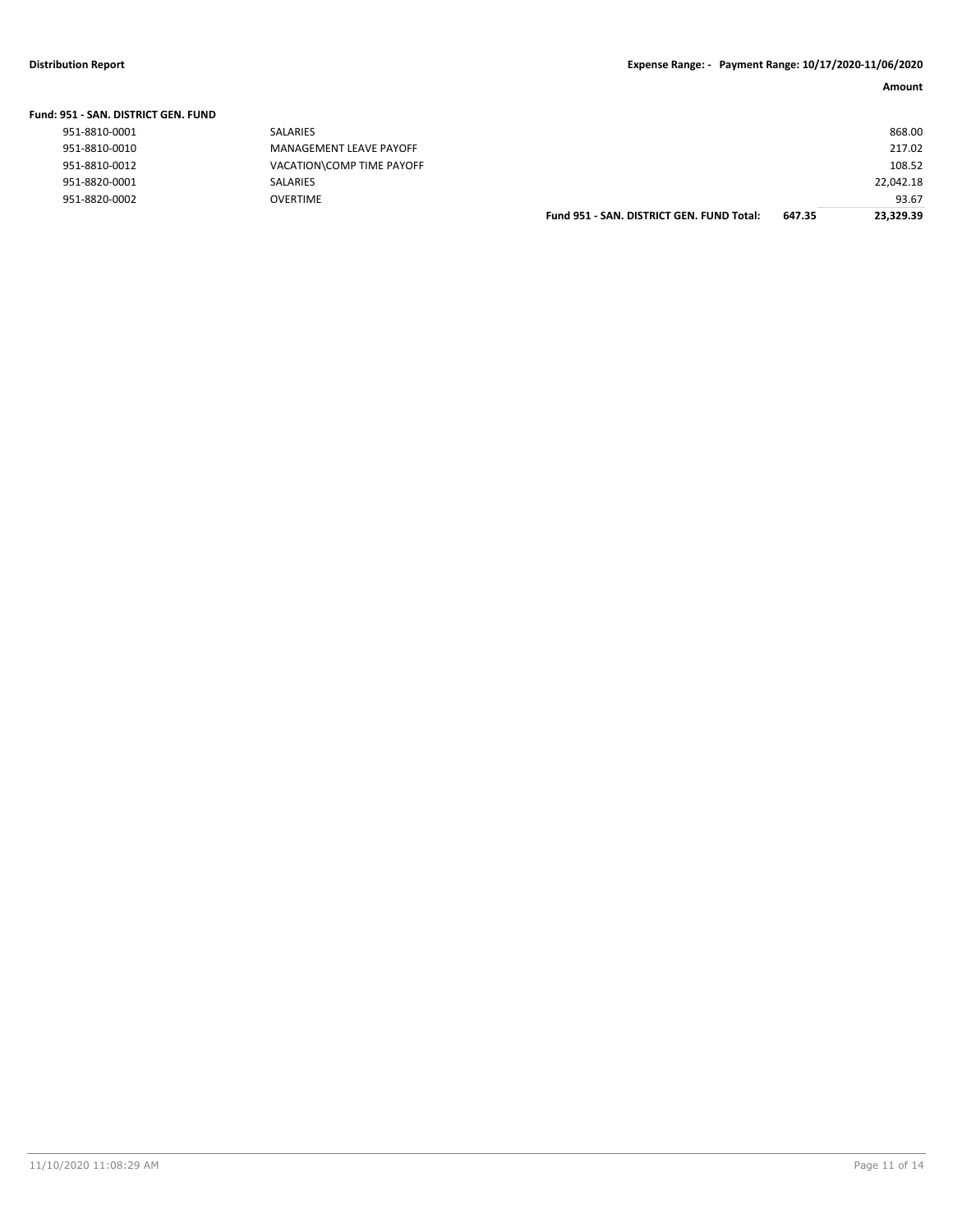| Fund: 951 - SAN. DISTRICT GEN. FUND |                           |                                           |        |           |
|-------------------------------------|---------------------------|-------------------------------------------|--------|-----------|
| 951-8810-0001                       | SALARIES                  |                                           |        | 868.00    |
| 951-8810-0010                       | MANAGEMENT LEAVE PAYOFF   |                                           |        | 217.02    |
| 951-8810-0012                       | VACATION\COMP TIME PAYOFF |                                           |        | 108.52    |
| 951-8820-0001                       | SALARIES                  |                                           |        | 22,042.18 |
| 951-8820-0002                       | <b>OVERTIME</b>           |                                           |        | 93.67     |
|                                     |                           | Fund 951 - SAN, DISTRICT GEN, FUND Total: | 647.35 | 23.329.39 |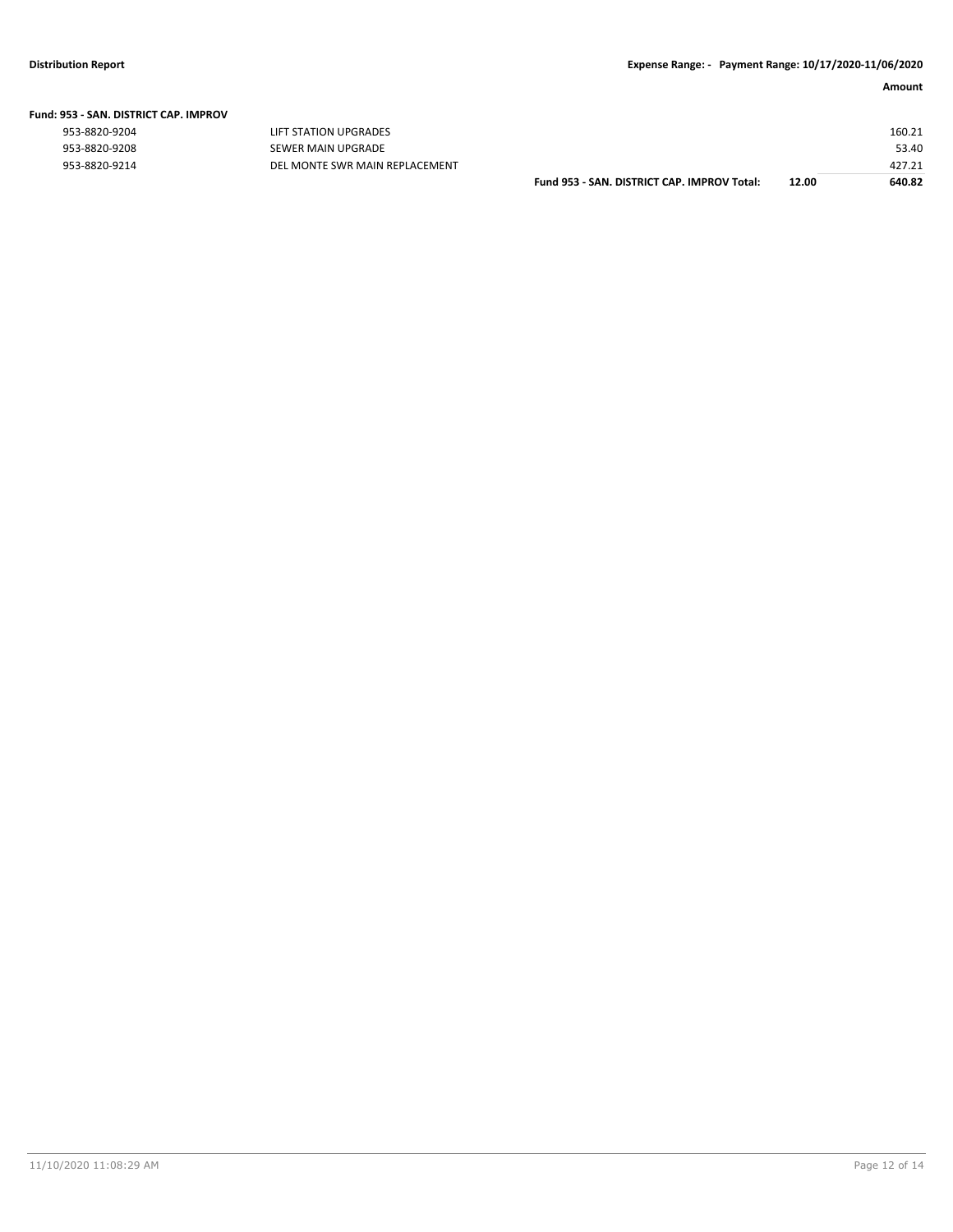#### **Fund: 953 - SAN. DISTRICT CAP. IMPROV**

| " טעטו וויווער ושט וויונדע ומח <i>ים - כככ</i> |                                |                                             |       |        |
|------------------------------------------------|--------------------------------|---------------------------------------------|-------|--------|
| 953-8820-9204                                  | LIFT STATION UPGRADES          |                                             |       | 160.21 |
| 953-8820-9208                                  | SEWER MAIN UPGRADE             |                                             |       | 53.40  |
| 953-8820-9214                                  | DEL MONTE SWR MAIN REPLACEMENT |                                             |       | 427.21 |
|                                                |                                | Fund 953 - SAN, DISTRICT CAP, IMPROV Total: | 12.00 | 640.82 |

| SAN. DISTRICT CAP. IMPROV Total: | 12.00 | 640.82 |
|----------------------------------|-------|--------|
|                                  |       | 427.21 |
|                                  |       | 53.40  |
|                                  |       | 160.21 |
|                                  |       |        |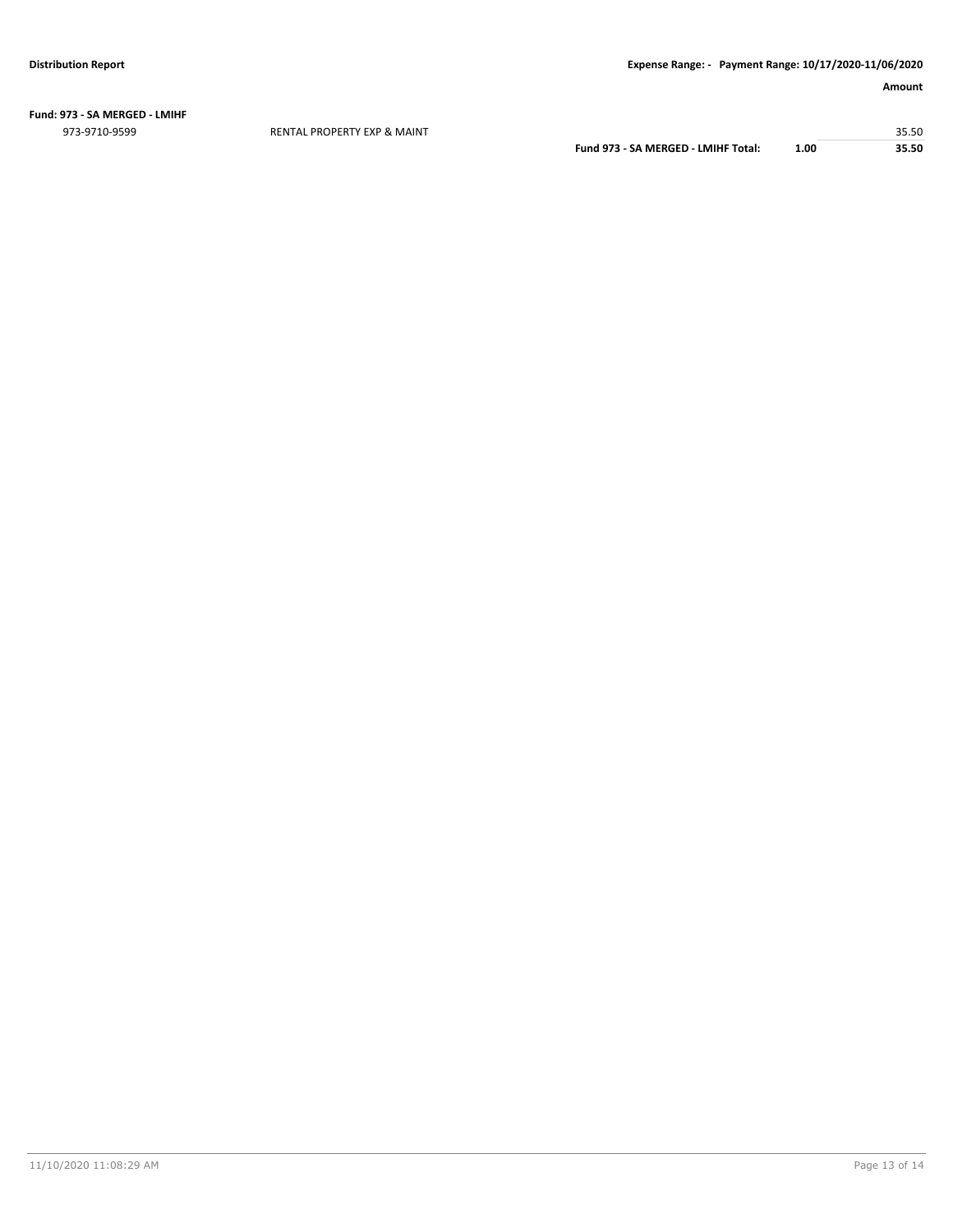**Fund: 973 - SA MERGED - LMIHF** 973-9710-9599 RENTAL PROPERTY EXP & MAINT 35.50

**Fund 973 - SA MERGED - LMIHF Total: 1.00 35.50**